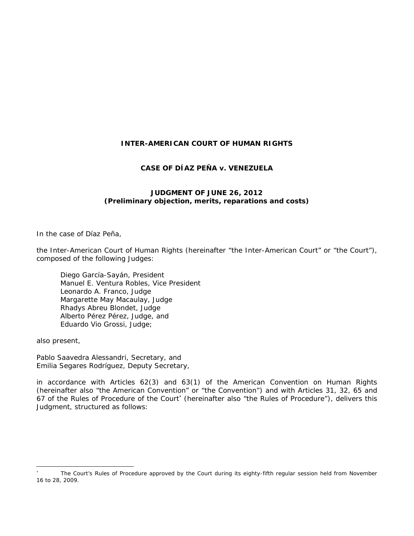## **INTER-AMERICAN COURT OF HUMAN RIGHTS**

## **CASE OF DÍAZ PEÑA** *v.* **VENEZUELA**

## **JUDGMENT OF JUNE 26, 2012**  *(Preliminary objection, merits, reparations and costs)*

In the case of *Díaz Peña*,

the Inter-American Court of Human Rights (hereinafter "the Inter-American Court" or "the Court"), composed of the following Judges:

Diego García-Sayán, President Manuel E. Ventura Robles, Vice President Leonardo A. Franco, Judge Margarette May Macaulay, Judge Rhadys Abreu Blondet, Judge Alberto Pérez Pérez, Judge, and Eduardo Vio Grossi, Judge;

also present,

Pablo Saavedra Alessandri, Secretary, and Emilia Segares Rodríguez, Deputy Secretary,

in accordance with Articles 62(3) and 63(1) of the American Convention on Human Rights (hereinafter also "the American Convention" or "the Convention") and with Articles 31, 32, 65 and 67 of the Rules of Procedure of the Court (hereinafter also "the Rules of Procedure"), delivers this Judgment, structured as follows:

<sup>\*</sup>  The Court's Rules of Procedure approved by the Court during its eighty-fifth regular session held from November 16 to 28, 2009.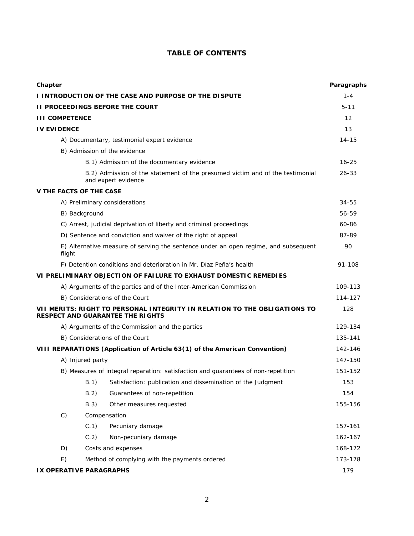# **TABLE OF CONTENTS**

| Chapter                                                                                                              |                                                                                               |                                                                                                      | Paragraphs |
|----------------------------------------------------------------------------------------------------------------------|-----------------------------------------------------------------------------------------------|------------------------------------------------------------------------------------------------------|------------|
| I INTRODUCTION OF THE CASE AND PURPOSE OF THE DISPUTE                                                                |                                                                                               |                                                                                                      | $1 - 4$    |
| <b>II PROCEEDINGS BEFORE THE COURT</b>                                                                               |                                                                                               |                                                                                                      | $5 - 11$   |
| <b>III COMPETENCE</b>                                                                                                |                                                                                               |                                                                                                      | 12         |
| <b>IV EVIDENCE</b>                                                                                                   |                                                                                               |                                                                                                      | 13         |
| A) Documentary, testimonial expert evidence                                                                          |                                                                                               | $14 - 15$                                                                                            |            |
|                                                                                                                      |                                                                                               | B) Admission of the evidence                                                                         |            |
|                                                                                                                      |                                                                                               | B.1) Admission of the documentary evidence                                                           | $16 - 25$  |
|                                                                                                                      |                                                                                               | B.2) Admission of the statement of the presumed victim and of the testimonial<br>and expert evidence | 26-33      |
| <b>V THE FACTS OF THE CASE</b>                                                                                       |                                                                                               |                                                                                                      |            |
|                                                                                                                      | A) Preliminary considerations                                                                 |                                                                                                      |            |
|                                                                                                                      | B) Background                                                                                 |                                                                                                      |            |
|                                                                                                                      | C) Arrest, judicial deprivation of liberty and criminal proceedings                           |                                                                                                      |            |
|                                                                                                                      | D) Sentence and conviction and waiver of the right of appeal                                  |                                                                                                      |            |
|                                                                                                                      | E) Alternative measure of serving the sentence under an open regime, and subsequent<br>flight |                                                                                                      |            |
| F) Detention conditions and deterioration in Mr. Díaz Peña's health                                                  |                                                                                               | 91-108                                                                                               |            |
|                                                                                                                      |                                                                                               | VI PRELIMINARY OBJECTION OF FAILURE TO EXHAUST DOMESTIC REMEDIES                                     |            |
|                                                                                                                      | A) Arguments of the parties and of the Inter-American Commission                              |                                                                                                      |            |
| B) Considerations of the Court                                                                                       |                                                                                               |                                                                                                      | 114-127    |
| VII MERITS: RIGHT TO PERSONAL INTEGRITY IN RELATION TO THE OBLIGATIONS TO<br><b>RESPECT AND GUARANTEE THE RIGHTS</b> |                                                                                               |                                                                                                      | 128        |
| A) Arguments of the Commission and the parties                                                                       |                                                                                               | 129-134                                                                                              |            |
| B) Considerations of the Court                                                                                       |                                                                                               | 135-141                                                                                              |            |
| VIII REPARATIONS (Application of Article 63(1) of the American Convention)                                           |                                                                                               |                                                                                                      | 142-146    |
| A) Injured party                                                                                                     |                                                                                               | 147-150                                                                                              |            |
|                                                                                                                      | B) Measures of integral reparation: satisfaction and guarantees of non-repetition             |                                                                                                      | 151-152    |
|                                                                                                                      | B.1)                                                                                          | Satisfaction: publication and dissemination of the Judgment                                          | 153        |
|                                                                                                                      | B.2)                                                                                          | Guarantees of non-repetition                                                                         | 154        |
|                                                                                                                      | B.3)                                                                                          | Other measures requested                                                                             | 155-156    |
| C                                                                                                                    | Compensation                                                                                  |                                                                                                      |            |
|                                                                                                                      | C.1                                                                                           | Pecuniary damage                                                                                     | 157-161    |
|                                                                                                                      | C.2                                                                                           | Non-pecuniary damage                                                                                 | 162-167    |
| D)                                                                                                                   |                                                                                               | Costs and expenses                                                                                   |            |
| E)                                                                                                                   |                                                                                               | Method of complying with the payments ordered                                                        | 173-178    |
| IX OPERATIVE PARAGRAPHS                                                                                              |                                                                                               |                                                                                                      | 179        |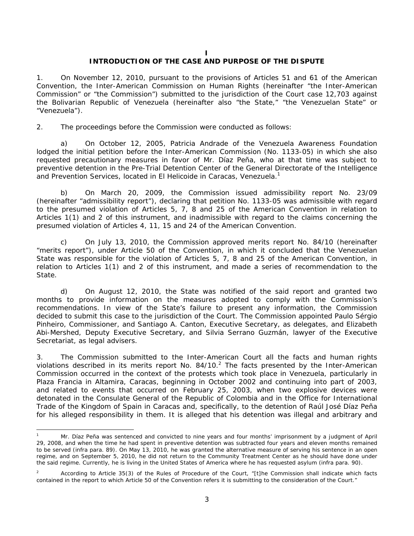**I** 

### **INTRODUCTION OF THE CASE AND PURPOSE OF THE DISPUTE**

1. On November 12, 2010, pursuant to the provisions of Articles 51 and 61 of the American Convention, the Inter-American Commission on Human Rights (hereinafter "the Inter-American Commission" or "the Commission") submitted to the jurisdiction of the Court case 12,703 against the Bolivarian Republic of Venezuela (hereinafter also "the State," "the Venezuelan State" or "Venezuela").

2. The proceedings before the Commission were conducted as follows:

a) On October 12, 2005, Patricia Andrade of the Venezuela Awareness Foundation lodged the initial petition before the Inter-American Commission (No. 1133-05) in which she also requested precautionary measures in favor of Mr. Díaz Peña, who at that time was subject to preventive detention in the Pre-Trial Detention Center of the General Directorate of the Intelligence and Prevention Services, located in El Helicoide in Caracas, Venezuela.<sup>1</sup>

b) On March 20, 2009, the Commission issued admissibility report No. 23/09 (hereinafter "admissibility report"), declaring that petition No. 1133-05 was admissible with regard to the presumed violation of Articles 5, 7, 8 and 25 of the American Convention in relation to Articles 1(1) and 2 of this instrument, and inadmissible with regard to the claims concerning the presumed violation of Articles 4, 11, 15 and 24 of the American Convention.

c) On July 13, 2010, the Commission approved merits report No. 84/10 (hereinafter "merits report"), under Article 50 of the Convention, in which it concluded that the Venezuelan State was responsible for the violation of Articles 5, 7, 8 and 25 of the American Convention, in relation to Articles 1(1) and 2 of this instrument, and made a series of recommendation to the State.

d) On August 12, 2010, the State was notified of the said report and granted two months to provide information on the measures adopted to comply with the Commission's recommendations. In view of the State's failure to present any information, the Commission decided to submit this case to the jurisdiction of the Court. The Commission appointed Paulo Sérgio Pinheiro, Commissioner, and Santiago A. Canton, Executive Secretary, as delegates, and Elizabeth Abi-Mershed, Deputy Executive Secretary, and Silvia Serrano Guzmán, lawyer of the Executive Secretariat, as legal advisers.

3. The Commission submitted to the Inter-American Court all the facts and human rights violations described in its merits report No. 84/10. $^2$  The facts presented by the Inter-American Commission occurred in the context of the protests which took place in Venezuela, particularly in Plaza Francia in Altamira, Caracas, beginning in October 2002 and continuing into part of 2003, and related to events that occurred on February 25, 2003, when two explosive devices were detonated in the Consulate General of the Republic of Colombia and in the Office for International Trade of the Kingdom of Spain in Caracas and, specifically, to the detention of Raúl José Díaz Peña for his alleged responsibility in them. It is alleged that his detention was illegal and arbitrary and

1

<sup>1</sup> Mr. Díaz Peña was sentenced and convicted to nine years and four months' imprisonment by a judgment of April 29, 2008, and when the time he had spent in preventive detention was subtracted four years and eleven months remained to be served (*infra* para. 89). On May 13, 2010, he was granted the alternative measure of serving his sentence in an open regime, and on September 5, 2010, he did not return to the Community Treatment Center as he should have done under the said regime. Currently, he is living in the United States of America where he has requested asylum (*infra* para. 90).

<sup>2</sup> According to Article 35(3) of the Rules of Procedure of the Court, "[t]he Commission shall indicate which facts contained in the report to which Article 50 of the Convention refers it is submitting to the consideration of the Court."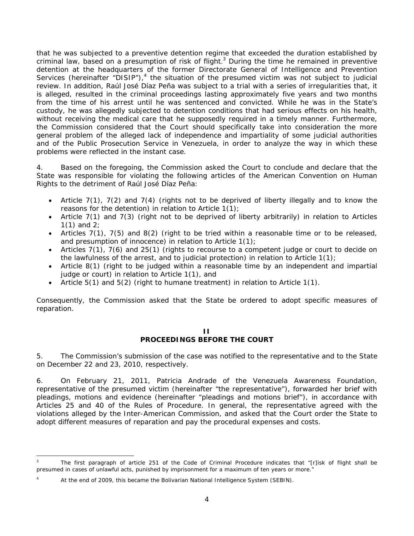that he was subjected to a preventive detention regime that exceeded the duration established by criminal law, based on a presumption of risk of flight.<sup>3</sup> During the time he remained in preventive detention at the headquarters of the former Directorate General of Intelligence and Prevention Services (hereinafter "DISIP"),<sup>4</sup> the situation of the presumed victim was not subject to judicial review. In addition, Raúl José Díaz Peña was subject to a trial with a series of irregularities that, it is alleged, resulted in the criminal proceedings lasting approximately five years and two months from the time of his arrest until he was sentenced and convicted. While he was in the State's custody, he was allegedly subjected to detention conditions that had serious effects on his health, without receiving the medical care that he supposedly required in a timely manner. Furthermore, the Commission considered that the Court should specifically take into consideration the more general problem of the alleged lack of independence and impartiality of some judicial authorities and of the Public Prosecution Service in Venezuela, in order to analyze the way in which these problems were reflected in the instant case.

4. Based on the foregoing, the Commission asked the Court to conclude and declare that the State was responsible for violating the following articles of the American Convention on Human Rights to the detriment of Raúl José Díaz Peña:

- Article 7(1), 7(2) and 7(4) (rights not to be deprived of liberty illegally and to know the reasons for the detention) in relation to Article 1(1);
- Article 7(1) and 7(3) (right not to be deprived of liberty arbitrarily) in relation to Articles 1(1) and 2;
- Articles 7(1), 7(5) and 8(2) (right to be tried within a reasonable time or to be released, and presumption of innocence) in relation to Article 1(1);
- Articles 7(1), 7(6) and 25(1) (rights to recourse to a competent judge or court to decide on the lawfulness of the arrest, and to judicial protection) in relation to Article 1(1);
- Article 8(1) (right to be judged within a reasonable time by an independent and impartial judge or court) in relation to Article 1(1), and
- Article  $5(1)$  and  $5(2)$  (right to humane treatment) in relation to Article  $1(1)$ .

Consequently, the Commission asked that the State be ordered to adopt specific measures of reparation.

#### **II PROCEEDINGS BEFORE THE COURT**

5. The Commission's submission of the case was notified to the representative and to the State on December 22 and 23, 2010, respectively.

6. On February 21, 2011, Patricia Andrade of the Venezuela Awareness Foundation, representative of the presumed victim (hereinafter "the representative"), forwarded her brief with pleadings, motions and evidence (hereinafter "pleadings and motions brief"), in accordance with Articles 25 and 40 of the Rules of Procedure. In general, the representative agreed with the violations alleged by the Inter-American Commission, and asked that the Court order the State to adopt different measures of reparation and pay the procedural expenses and costs.

-

<sup>3</sup> The first paragraph of article 251 of the Code of Criminal Procedure indicates that "[r]isk of flight shall be presumed in cases of unlawful acts, punished by imprisonment for a maximum of ten years or more."

<sup>4</sup> At the end of 2009, this became the Bolivarian National Intelligence System (SEBIN).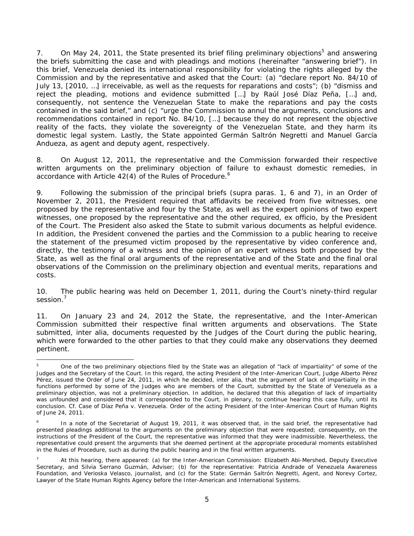7. On May 24, 2011, the State presented its brief filing preliminary objections<sup>5</sup> and answering the briefs submitting the case and with pleadings and motions (hereinafter "answering brief"). In this brief, Venezuela denied its international responsibility for violating the rights alleged by the Commission and by the representative and asked that the Court: (a) "declare report No. 84/10 of July 13, [2010, …] irreceivable, as well as the requests for reparations and costs"; (b) "dismiss and reject the pleading, motions and evidence submitted […] by Raúl José Díaz Peña, […] and, consequently, not sentence the Venezuelan State to make the reparations and pay the costs contained in the said brief," and (c) "urge the Commission to annul the arguments, conclusions and recommendations contained in report No. 84/10, […] because they do not represent the objective reality of the facts, they violate the sovereignty of the Venezuelan State, and they harm its domestic legal system. Lastly, the State appointed Germán Saltrón Negretti and Manuel García Andueza, as agent and deputy agent, respectively.

8. On August 12, 2011, the representative and the Commission forwarded their respective written arguments on the preliminary objection of failure to exhaust domestic remedies, in accordance with Article  $42(4)$  of the Rules of Procedure.<sup>6</sup>

9. Following the submission of the principal briefs (*supra* paras. 1, 6 and 7), in an Order of November 2, 2011, the President required that affidavits be received from five witnesses, one proposed by the representative and four by the State, as well as the expert opinions of two expert witnesses, one proposed by the representative and the other required, *ex officio,* by the President of the Court. The President also asked the State to submit various documents as helpful evidence. In addition, the President convened the parties and the Commission to a public hearing to receive the statement of the presumed victim proposed by the representative by video conference and, directly, the testimony of a witness and the opinion of an expert witness both proposed by the State, as well as the final oral arguments of the representative and of the State and the final oral observations of the Commission on the preliminary objection and eventual merits, reparations and costs.

10. The public hearing was held on December 1, 2011, during the Court's ninety-third regular session.<sup>7</sup>

11. On January 23 and 24, 2012 the State, the representative, and the Inter-American Commission submitted their respective final written arguments and observations. The State submitted, *inter alia*, documents requested by the Judges of the Court during the public hearing, which were forwarded to the other parties to that they could make any observations they deemed pertinent.

<sup>1</sup> 5 One of the two preliminary objections filed by the State was an allegation of "lack of impartiality" of some of the Judges and the Secretary of the Court. In this regard, the acting President of the Inter-American Court, Judge Alberto Pérez Pérez, issued the Order of June 24, 2011, in which he decided, *inter alia,* that the argument of lack of impartiality in the functions performed by some of the Judges who are members of the Court, submitted by the State of Venezuela as a preliminary objection, was not a preliminary objection. In addition, he declared that this allegation of lack of impartiality was unfounded and considered that it corresponded to the Court, in plenary, to continue hearing this case fully, until its conclusion. *Cf. Case of Díaz Peña v. Venezuela*. Order of the acting President of the Inter-American Court of Human Rights of June 24, 2011.

<sup>6</sup> In a note of the Secretariat of August 19, 2011, it was observed that, in the said brief, the representative had presented pleadings additional to the arguments on the preliminary objection that were requested; consequently, on the instructions of the President of the Court, the representative was informed that they were inadmissible. Nevertheless, the representative could present the arguments that she deemed pertinent at the appropriate procedural moments established in the Rules of Procedure, such as during the public hearing and in the final written arguments.

<sup>7</sup> At this hearing, there appeared: (a) for the Inter-American Commission: Elizabeth Abi-Mershed, Deputy Executive Secretary, and Silvia Serrano Guzmán, Adviser; (b) for the representative: Patricia Andrade of Venezuela Awareness Foundation, and Verioska Velasco, journalist, and (c) for the State: Germán Saltrón Negretti, Agent, and Norevy Cortez, Lawyer of the State Human Rights Agency before the Inter-American and International Systems.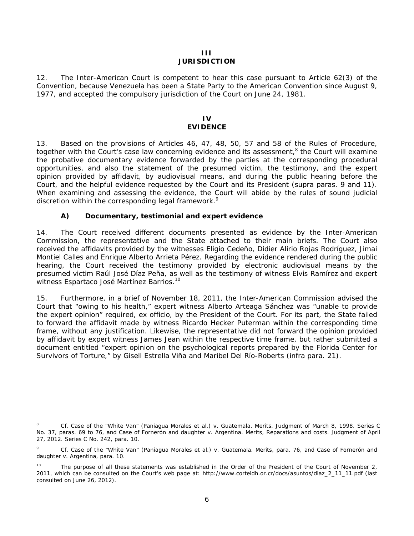#### **III JURISDICTION**

12. The Inter-American Court is competent to hear this case pursuant to Article 62(3) of the Convention, because Venezuela has been a State Party to the American Convention since August 9, 1977, and accepted the compulsory jurisdiction of the Court on June 24, 1981.

#### **IV EVIDENCE**

13. Based on the provisions of Articles 46, 47, 48, 50, 57 and 58 of the Rules of Procedure, together with the Court's case law concerning evidence and its assessment,<sup>8</sup> the Court will examine the probative documentary evidence forwarded by the parties at the corresponding procedural opportunities, and also the statement of the presumed victim, the testimony, and the expert opinion provided by affidavit, by audiovisual means, and during the public hearing before the Court, and the helpful evidence requested by the Court and its President (*supra* paras. 9 and 11). When examining and assessing the evidence, the Court will abide by the rules of sound judicial discretion within the corresponding legal framework.<sup>9</sup>

## *A) Documentary, testimonial and expert evidence*

1

14. The Court received different documents presented as evidence by the Inter-American Commission, the representative and the State attached to their main briefs. The Court also received the affidavits provided by the witnesses Eligio Cedeño, Didier Alirio Rojas Rodríguez, Jimai Montiel Calles and Enrique Alberto Arrieta Pérez. Regarding the evidence rendered during the public hearing, the Court received the testimony provided by electronic audiovisual means by the presumed victim Raúl José Díaz Peña, as well as the testimony of witness Elvis Ramírez and expert witness Espartaco José Martínez Barrios.<sup>10</sup>

15. Furthermore, in a brief of November 18, 2011, the Inter-American Commission advised the Court that "owing to his health," expert witness Alberto Arteaga Sánchez was "unable to provide the expert opinion" required, *ex officio*, by the President of the Court. For its part, the State failed to forward the affidavit made by witness Ricardo Hecker Puterman within the corresponding time frame, without any justification. Likewise, the representative did not forward the opinion provided by affidavit by expert witness James Jean within the respective time frame, but rather submitted a document entitled "expert opinion on the psychological reports prepared by the Florida Center for Survivors of Torture," by Gisell Estrella Viña and Maribel Del Río-Roberts (*infra* para. 21).

<sup>8</sup> *Cf. Case of the "White Van" (Paniagua Morales et al.) v. Guatemala. Merits.* Judgment of March 8, 1998. Series C No. 37, paras. 69 to 76, and *Case of Fornerón and daughter v. Argentina. Merits, Reparations and costs.* Judgment of April 27, 2012. Series C No. 242, para. 10.

<sup>9</sup> *Cf. Case of the "White Van" (Paniagua Morales et al.) v. Guatemala. Merits*, para. 76, and *Case of Fornerón and daughter v. Argentina*, para. 10.

<sup>&</sup>lt;sup>10</sup> The purpose of all these statements was established in the Order of the President of the Court of November 2, 2011, which can be consulted on the Court's web page at: http://www.corteidh.or.cr/docs/asuntos/diaz\_2\_11\_11.pdf (last consulted on June 26, 2012).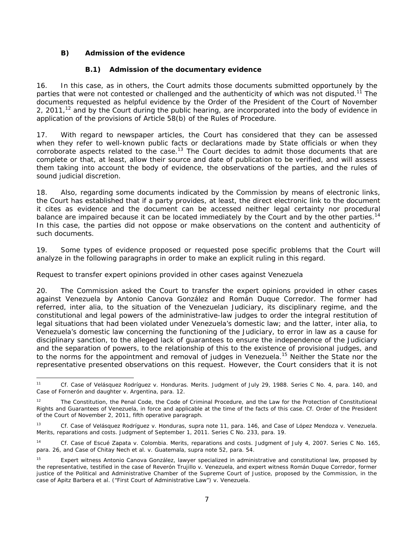# *B) Admission of the evidence*

## **B.1) Admission of the documentary evidence**

16. In this case, as in others, the Court admits those documents submitted opportunely by the parties that were not contested or challenged and the authenticity of which was not disputed.<sup>11</sup> The documents requested as helpful evidence by the Order of the President of the Court of November 2, 2011, $^{12}$  and by the Court during the public hearing, are incorporated into the body of evidence in application of the provisions of Article 58(b) of the Rules of Procedure.

17. With regard to newspaper articles, the Court has considered that they can be assessed when they refer to well-known public facts or declarations made by State officials or when they corroborate aspects related to the case.<sup>13</sup> The Court decides to admit those documents that are complete or that, at least, allow their source and date of publication to be verified, and will assess them taking into account the body of evidence, the observations of the parties, and the rules of sound judicial discretion.

18. Also, regarding some documents indicated by the Commission by means of electronic links, the Court has established that if a party provides, at least, the direct electronic link to the document it cites as evidence and the document can be accessed neither legal certainty nor procedural balance are impaired because it can be located immediately by the Court and by the other parties.<sup>14</sup> In this case, the parties did not oppose or make observations on the content and authenticity of such documents.

19. Some types of evidence proposed or requested pose specific problems that the Court will analyze in the following paragraphs in order to make an explicit ruling in this regard.

### *Request to transfer expert opinions provided in other cases against Venezuela*

20. The Commission asked the Court to transfer the expert opinions provided in other cases against Venezuela by Antonio Canova González and Román Duque Corredor. The former had referred, *inter alia*, to the situation of the Venezuelan Judiciary, its disciplinary regime, and the constitutional and legal powers of the administrative-law judges to order the integral restitution of legal situations that had been violated under Venezuela's domestic law; and the latter, *inter alia*, to Venezuela's domestic law concerning the functioning of the Judiciary, to error in law as a cause for disciplinary sanction, to the alleged lack of guarantees to ensure the independence of the Judiciary and the separation of powers, to the relationship of this to the existence of provisional judges, and to the norms for the appointment and removal of judges in Venezuela.<sup>15</sup> Neither the State nor the representative presented observations on this request. However, the Court considers that it is not

 11 *Cf. Case of Velásquez Rodríguez v. Honduras*. *Merits*. Judgment of July 29, 1988. Series C No. 4, para. 140, and *Case of Fornerón and daughter v. Argentina*, para. 12.

<sup>&</sup>lt;sup>12</sup> The Constitution, the Penal Code, the Code of Criminal Procedure, and the Law for the Protection of Constitutional Rights and Guarantees of Venezuela, in force and applicable at the time of the facts of this case. *Cf.* Order of the President of the Court of November 2, 2011, fifth operative paragraph.

<sup>13</sup> *Cf. Case of Velásquez Rodríguez v. Honduras, supra* note 11, para. 146, and *Case of López Mendoza v. Venezuela. Merits, reparations and costs*. Judgment of September 1, 2011. Series C No. 233, para. 19.

<sup>14</sup> *Cf. Case of Escué Zapata v. Colombia*. *Merits, reparations and costs.* Judgment of July 4, 2007. Series C No. 165, para. 26, and *Case of Chitay Nech et al. v. Guatemala, supra* note 52, para. 54.

<sup>&</sup>lt;sup>15</sup> Expert witness Antonio Canova González, lawyer specialized in administrative and constitutional law, proposed by the representative, testified in the case of *Reverón Trujillo v. Venezuela,* and expert witness Román Duque Corredor, former justice of the Political and Administrative Chamber of the Supreme Court of Justice, proposed by the Commission, in the case of *Apitz Barbera et al. ("First Court of Administrative Law") v. Venezuela*.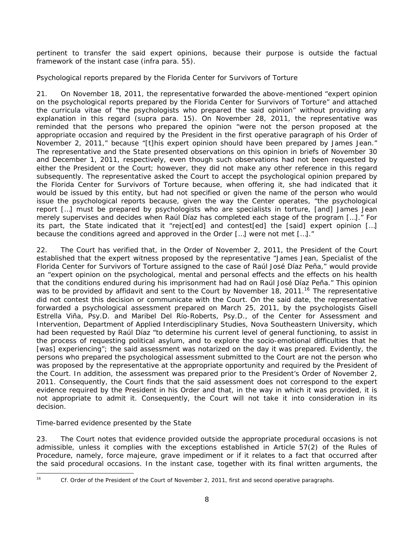pertinent to transfer the said expert opinions, because their purpose is outside the factual framework of the instant case (*infra* para. 55).

## *Psychological reports prepared by the Florida Center for Survivors of Torture*

21. On November 18, 2011, the representative forwarded the above-mentioned "expert opinion on the psychological reports prepared by the Florida Center for Survivors of Torture" and attached the *curricula vitae* of "the psychologists who prepared the said opinion" without providing any explanation in this regard (*supra* para. 15). On November 28, 2011, the representative was reminded that the persons who prepared the opinion "were not the person proposed at the appropriate occasion and required by the President in the first operative paragraph of his Order of November 2, 2011," because "[t]his expert opinion should have been prepared by James Jean." The representative and the State presented observations on this opinion in briefs of November 30 and December 1, 2011, respectively, even though such observations had not been requested by either the President or the Court; however, they did not make any other reference in this regard subsequently. The representative asked the Court to accept the psychological opinion prepared by the Florida Center for Survivors of Torture because, when offering it, she had indicated that it would be issued by this entity, but had not specified or given the name of the person who would issue the psychological reports because, given the way the Center operates, "the psychological report […] must be prepared by psychologists who are specialists in torture, [and] James Jean merely supervises and decides when Raúl Díaz has completed each stage of the program […]." For its part, the State indicated that it "reject[ed] and contest[ed] the [said] expert opinion […] because the conditions agreed and approved in the Order […] were not met […]."

22. The Court has verified that, in the Order of November 2, 2011, the President of the Court established that the expert witness proposed by the representative "James Jean, Specialist of the Florida Center for Survivors of Torture assigned to the case of Raúl José Díaz Peña," would provide an "expert opinion on the psychological, mental and personal effects and the effects on his health that the conditions endured during his imprisonment had had on Raúl José Díaz Peña." This opinion was to be provided by affidavit and sent to the Court by November 18, 2011.<sup>16</sup> The representative did not contest this decision or communicate with the Court. On the said date, the representative forwarded a psychological assessment prepared on March 25, 2011, by the psychologists Gisell Estrella Viña, Psy.D. and Maribel Del Río-Roberts, Psy.D., of the Center for Assessment and Intervention, Department of Applied Interdisciplinary Studies, Nova Southeastern University, which had been requested by Raúl Díaz "to determine his current level of general functioning, to assist in the process of requesting political asylum, and to explore the socio-emotional difficulties that he [was] experiencing"; the said assessment was notarized on the day it was prepared. Evidently, the persons who prepared the psychological assessment submitted to the Court are not the person who was proposed by the representative at the appropriate opportunity and required by the President of the Court. In addition, the assessment was prepared prior to the President's Order of November 2, 2011. Consequently, the Court finds that the said assessment does not correspond to the expert evidence required by the President in his Order and that, in the way in which it was provided, it is not appropriate to admit it. Consequently, the Court will not take it into consideration in its decision.

# *Time-barred evidence presented by the State*

23. The Court notes that evidence provided outside the appropriate procedural occasions is not admissible, unless it complies with the exceptions established in Article 57(2) of the Rules of Procedure, namely, *force majeure*, grave impediment or if it relates to a fact that occurred after the said procedural occasions. In the instant case, together with its final written arguments, the

<sup>16</sup> 

Cf. Order of the President of the Court of November 2, 2011, first and second operative paragraphs.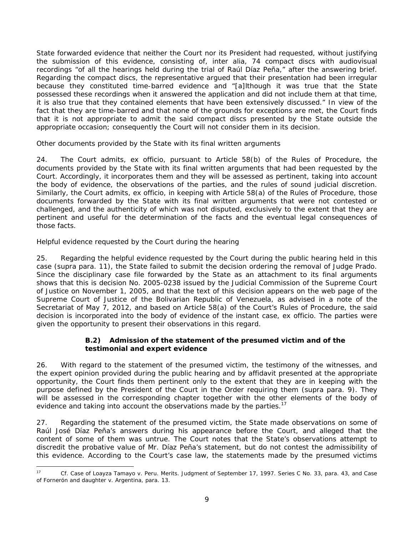State forwarded evidence that neither the Court nor its President had requested, without justifying the submission of this evidence, consisting of, *inter alia*, 74 compact discs with audiovisual recordings "of all the hearings held during the trial of Raúl Díaz Peña," after the answering brief. Regarding the compact discs, the representative argued that their presentation had been irregular because they constituted time-barred evidence and "[a]lthough it was true that the State possessed these recordings when it answered the application and did not include them at that time, it is also true that they contained elements that have been extensively discussed." In view of the fact that they are time-barred and that none of the grounds for exceptions are met, the Court finds that it is not appropriate to admit the said compact discs presented by the State outside the appropriate occasion; consequently the Court will not consider them in its decision.

## *Other documents provided by the State with its final written arguments*

24. The Court admits, *ex officio*, pursuant to Article 58(b) of the Rules of Procedure, the documents provided by the State with its final written arguments that had been requested by the Court. Accordingly, it incorporates them and they will be assessed as pertinent, taking into account the body of evidence, the observations of the parties, and the rules of sound judicial discretion. Similarly, the Court admits, *ex officio*, in keeping with Article 58(a) of the Rules of Procedure, those documents forwarded by the State with its final written arguments that were not contested or challenged, and the authenticity of which was not disputed, exclusively to the extent that they are pertinent and useful for the determination of the facts and the eventual legal consequences of those facts.

# *Helpful evidence requested by the Court during the hearing*

25. Regarding the helpful evidence requested by the Court during the public hearing held in this case (*supra* para. 11), the State failed to submit the decision ordering the removal of Judge Prado. Since the disciplinary case file forwarded by the State as an attachment to its final arguments shows that this is decision No. 2005-0238 issued by the Judicial Commission of the Supreme Court of Justice on November 1, 2005, and that the text of this decision appears on the web page of the Supreme Court of Justice of the Bolivarian Republic of Venezuela, as advised in a note of the Secretariat of May 7, 2012, and based on Article 58(a) of the Court's Rules of Procedure, the said decision is incorporated into the body of evidence of the instant case, *ex officio*. The parties were given the opportunity to present their observations in this regard.

### **B.2) Admission of the statement of the presumed victim and of the testimonial and expert evidence**

26. With regard to the statement of the presumed victim, the testimony of the witnesses, and the expert opinion provided during the public hearing and by affidavit presented at the appropriate opportunity, the Court finds them pertinent only to the extent that they are in keeping with the purpose defined by the President of the Court in the Order requiring them (*supra* para. 9). They will be assessed in the corresponding chapter together with the other elements of the body of evidence and taking into account the observations made by the parties.<sup>17</sup>

27. Regarding the statement of the presumed victim, the State made observations on some of Raúl José Díaz Peña's answers during his appearance before the Court, and alleged that the content of some of them was untrue. The Court notes that the State's observations attempt to discredit the probative value of Mr. Díaz Peña's statement, but do not contest the admissibility of this evidence. According to the Court's case law, the statements made by the presumed victims

 $17$ 17 *Cf. Case of Loayza Tamayo v. Peru. Merits.* Judgment of September 17, 1997. Series C No. 33, para. 43, and *Case of Fornerón and daughter v. Argentina*, para. 13.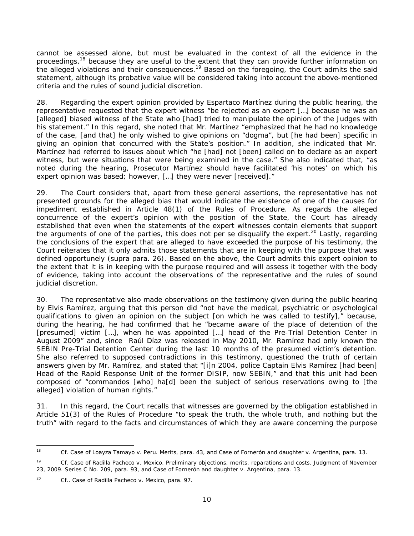cannot be assessed alone, but must be evaluated in the context of all the evidence in the proceedings,<sup>18</sup> because they are useful to the extent that they can provide further information on the alleged violations and their consequences.<sup>19</sup> Based on the foregoing, the Court admits the said statement, although its probative value will be considered taking into account the above-mentioned criteria and the rules of sound judicial discretion.

28. Regarding the expert opinion provided by Espartaco Martínez during the public hearing, the representative requested that the expert witness "be rejected as an expert […] because he was an [alleged] biased witness of the State who [had] tried to manipulate the opinion of the Judges with his statement." In this regard, she noted that Mr. Martínez "emphasized that he had no knowledge of the case, [and that] he only wished to give opinions on "dogma", but [he had been] specific in giving an opinion that concurred with the State's position." In addition, she indicated that Mr. Martínez had referred to issues about which "he [had] not [been] called on to declare as an expert witness, but were situations that were being examined in the case." She also indicated that, "as noted during the hearing, Prosecutor Martínez should have facilitated 'his notes' on which his expert opinion was based; however, […] they were never [received]."

29. The Court considers that, apart from these general assertions, the representative has not presented grounds for the alleged bias that would indicate the existence of one of the causes for impediment established in Article 48(1) of the Rules of Procedure. As regards the alleged concurrence of the expert's opinion with the position of the State, the Court has already established that even when the statements of the expert witnesses contain elements that support the arguments of one of the parties, this does not *per se* disqualify the expert.<sup>20</sup> Lastly, regarding the conclusions of the expert that are alleged to have exceeded the purpose of his testimony, the Court reiterates that it only admits those statements that are in keeping with the purpose that was defined opportunely (*supra* para. 26). Based on the above, the Court admits this expert opinion to the extent that it is in keeping with the purpose required and will assess it together with the body of evidence, taking into account the observations of the representative and the rules of sound judicial discretion.

30. The representative also made observations on the testimony given during the public hearing by Elvis Ramírez, arguing that this person did "not have the medical, psychiatric or psychological qualifications to given an opinion on the subject [on which he was called to testify]," because, during the hearing, he had confirmed that he "became aware of the place of detention of the [presumed] victim […], when he was appointed […] head of the Pre-Trial Detention Center in August 2009" and, since Raúl Díaz was released in May 2010, Mr. Ramírez had only known the SEBIN Pre-Trial Detention Center during the last 10 months of the presumed victim's detention. She also referred to supposed contradictions in this testimony, questioned the truth of certain answers given by Mr. Ramírez, and stated that "[i]n 2004, police Captain Elvis Ramírez [had been] Head of the Rapid Response Unit of the former DISIP, now SEBIN," and that this unit had been composed of "commandos [who] ha[d] been the subject of serious reservations owing to [the alleged] violation of human rights."

31. In this regard, the Court recalls that witnesses are governed by the obligation established in Article 51(3) of the Rules of Procedure "to speak the truth, the whole truth, and nothing but the truth" with regard to the facts and circumstances of which they are aware concerning the purpose

<sup>18</sup> 18 *Cf. Case of Loayza Tamayo v. Peru*. *Merits*, para. 43, and *Case of Fornerón and daughter v. Argentina*, para. 13.

<sup>&</sup>lt;sup>19</sup> Cf. Case of Radilla Pacheco v. Mexico. Preliminary objections, merits, reparations and costs. Judgment of November 23, 2009. Series C No. 209, para. 93, and Case of Fornerón and daughter v. Argentina, para. 13.

Cf.. Case of Radilla Pacheco v. Mexico, para. 97.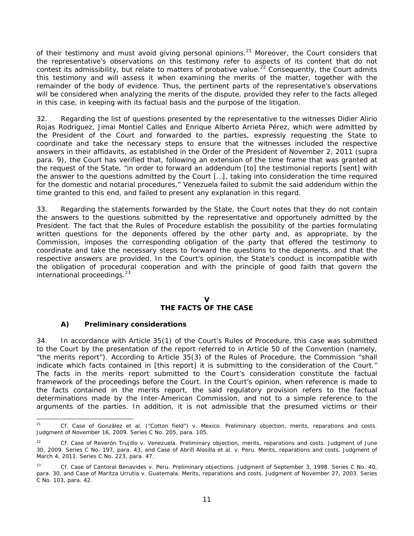of their testimony and must avoid giving personal opinions.<sup>21</sup> Moreover, the Court considers that the representative's observations on this testimony refer to aspects of its content that do not contest its admissibility, but relate to matters of probative value.<sup>22</sup> Consequently, the Court admits this testimony and will assess it when examining the merits of the matter, together with the remainder of the body of evidence. Thus, the pertinent parts of the representative's observations will be considered when analyzing the merits of the dispute, provided they refer to the facts alleged in this case, in keeping with its factual basis and the purpose of the litigation.

32. Regarding the list of questions presented by the representative to the witnesses Didier Alirio Rojas Rodríguez, Jimai Montiel Calles and Enrique Alberto Arrieta Pérez, which were admitted by the President of the Court and forwarded to the parties, expressly requesting the State to coordinate and take the necessary steps to ensure that the witnesses included the respective answers in their affidavits, as established in the Order of the President of November 2, 2011 (*supra* para. 9), the Court has verified that, following an extension of the time frame that was granted at the request of the State, "in order to forward an addendum [to] the testimonial reports [sent] with the answer to the questions admitted by the Court […], taking into consideration the time required for the domestic and notarial procedures," Venezuela failed to submit the said addendum within the time granted to this end, and failed to present any explanation in this regard.

33. Regarding the statements forwarded by the State, the Court notes that they do not contain the answers to the questions submitted by the representative and opportunely admitted by the President. The fact that the Rules of Procedure establish the possibility of the parties formulating written questions for the deponents offered by the other party and, as appropriate, by the Commission, imposes the corresponding obligation of the party that offered the testimony to coordinate and take the necessary steps to forward the questions to the deponents, and that the respective answers are provided. In the Court's opinion, the State's conduct is incompatible with the obligation of procedural cooperation and with the principle of good faith that govern the international proceedings. $23$ 

## **V**

# **THE FACTS OF THE CASE**

### *A) Preliminary considerations*

34. In accordance with Article 35(1) of the Court's Rules of Procedure, this case was submitted to the Court by the presentation of the report referred to in Article 50 of the Convention (namely, "the merits report"). According to Article 35(3) of the Rules of Procedure, the Commission "shall indicate which facts contained in [this report] it is submitting to the consideration of the Court." The facts in the merits report submitted to the Court's consideration constitute the factual framework of the proceedings before the Court. In the Court's opinion, when reference is made to the facts contained in the merits report, the said regulatory provision refers to the factual determinations made by the Inter-American Commission, and not to a simple reference to the arguments of the parties. In addition, it is not admissible that the presumed victims or their

 $21$ Cf. Case of González et al. ("Cotton field") v. Mexico. Preliminary objection, merits, reparations and costs. Judgment of November 16, 2009. Series C No. 205, para. 105.

Cf. Case of Reverón Trujillo v. Venezuela. Preliminary objection, merits, reparations and costs. Judgment of June 30, 2009. Series C No. 197, para. 43, and *Case of Abrill Alosilla et al. v. Peru. Merits, reparations and costs.* Judgment of March 4, 2011. Series C No. 223, para. 47.

<sup>23</sup> *Cf. Case of Cantoral Benavides v. Peru. Preliminary objections.* Judgment of September 3, 1998. Series C No. 40, para. 30, and *Case of Maritza Urrutia v. Guatemala. Merits, reparations and costs*. Judgment of November 27, 2003. Series C No. 103, para. 42.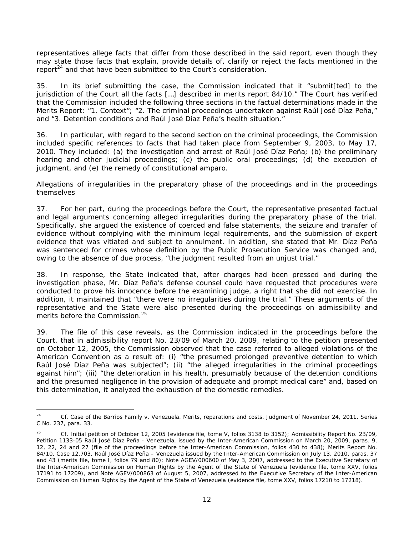representatives allege facts that differ from those described in the said report, even though they may state those facts that explain, provide details of, clarify or reject the facts mentioned in the report<sup>24</sup> and that have been submitted to the Court's consideration.

35. In its brief submitting the case, the Commission indicated that it "submit[ted] to the jurisdiction of the Court all the facts […] described in merits report 84/10." The Court has verified that the Commission included the following three sections in the factual determinations made in the Merits Report: "1. Context"; "2. The criminal proceedings undertaken against Raúl José Díaz Peña," and "3. Detention conditions and Raúl José Díaz Peña's health situation."

36. In particular, with regard to the second section on the criminal proceedings, the Commission included specific references to facts that had taken place from September 9, 2003, to May 17, 2010. They included: (a) the investigation and arrest of Raúl José Díaz Peña; (b) the preliminary hearing and other judicial proceedings; (c) the public oral proceedings; (d) the execution of judgment, and (e) the remedy of constitutional *amparo*.

#### *Allegations of irregularities in the preparatory phase of the proceedings and in the proceedings themselves*

37. For her part, during the proceedings before the Court, the representative presented factual and legal arguments concerning alleged irregularities during the preparatory phase of the trial. Specifically, she argued the existence of coerced and false statements, the seizure and transfer of evidence without complying with the minimum legal requirements, and the submission of expert evidence that was vitiated and subject to annulment. In addition, she stated that Mr. Díaz Peña was sentenced for crimes whose definition by the Public Prosecution Service was changed and, owing to the absence of due process, "the judgment resulted from an unjust trial."

38. In response, the State indicated that, after charges had been pressed and during the investigation phase, Mr. Díaz Peña's defense counsel could have requested that procedures were conducted to prove his innocence before the examining judge, a right that she did not exercise. In addition, it maintained that "there were no irregularities during the trial." These arguments of the representative and the State were also presented during the proceedings on admissibility and merits before the Commission.<sup>25</sup>

39. The file of this case reveals, as the Commission indicated in the proceedings before the Court, that in admissibility report No. 23/09 of March 20, 2009, relating to the petition presented on October 12, 2005, the Commission observed that the case referred to alleged violations of the American Convention as a result of: (i) "the presumed prolonged preventive detention to which Raúl José Díaz Peña was subjected"; (ii) "the alleged irregularities in the criminal proceedings against him"; (iii) "the deterioration in his health, presumably because of the detention conditions and the presumed negligence in the provision of adequate and prompt medical care" and, based on this determination, it analyzed the exhaustion of the domestic remedies.

 $24$ Cf. Case of the Barrios Family v. Venezuela. Merits, reparations and costs. Judgment of November 24, 2011. Series C No. 237, para. 33.

<sup>25</sup> *Cf.* Initial petition of October 12, 2005 (evidence file, tome V, folios 3138 to 3152); Admissibility Report No. 23/09, Petition 1133-05 Raúl José Díaz Peña - Venezuela, issued by the Inter-American Commission on March 20, 2009, paras. 9, 12, 22, 24 and 27 (file of the proceedings before the Inter-American Commission, folios 430 to 438); Merits Report No. 84/10, Case 12,703, Raúl José Díaz Peña – Venezuela issued by the Inter-American Commission on July 13, 2010, paras. 37 and 43 (merits file, tome I, folios 79 and 80); Note AGEV/000600 of May 3, 2007, addressed to the Executive Secretary of the Inter-American Commission on Human Rights by the Agent of the State of Venezuela (evidence file, tome XXV, folios 17191 to 17209), and Note AGEV/000863 of August 5, 2007, addressed to the Executive Secretary of the Inter-American Commission on Human Rights by the Agent of the State of Venezuela (evidence file, tome XXV, folios 17210 to 17218).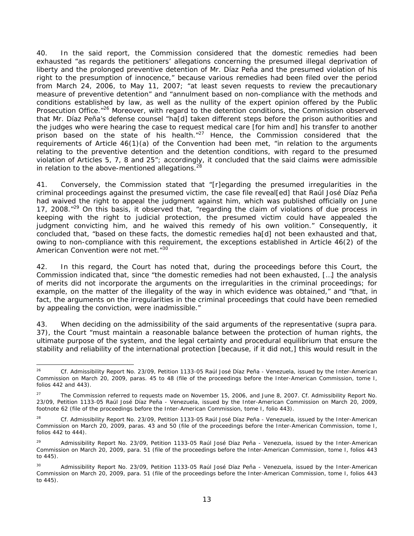40. In the said report, the Commission considered that the domestic remedies had been exhausted "as regards the petitioners' allegations concerning the presumed illegal deprivation of liberty and the prolonged preventive detention of Mr. Díaz Peña and the presumed violation of his right to the presumption of innocence," because various remedies had been filed over the period from March 24, 2006, to May 11, 2007; "at least seven requests to review the precautionary measure of preventive detention" and "annulment based on non-compliance with the methods and conditions established by law, as well as the nullity of the expert opinion offered by the Public Prosecution Office.<sup>"26</sup> Moreover, with regard to the detention conditions, the Commission observed that Mr. Díaz Peña's defense counsel "ha[d] taken different steps before the prison authorities and the judges who were hearing the case to request medical care [for him and] his transfer to another prison based on the state of his health. $n^{27}$  Hence, the Commission considered that the requirements of Article 46(1)(a) of the Convention had been met, "in relation to the arguments relating to the preventive detention and the detention conditions, with regard to the presumed violation of Articles 5, 7, 8 and 25"; accordingly, it concluded that the said claims were admissible in relation to the above-mentioned allegations. $^{28}$ 

41. Conversely, the Commission stated that "[r]egarding the presumed irregularities in the criminal proceedings against the presumed victim, the case file reveal[ed] that Raúl José Díaz Peña had waived the right to appeal the judgment against him, which was published officially on June 17, 2008. $129$  On this basis, it observed that, "regarding the claim of violations of due process in keeping with the right to judicial protection, the presumed victim could have appealed the judgment convicting him, and he waived this remedy of his own volition." Consequently, it concluded that, "based on these facts, the domestic remedies ha[d] not been exhausted and that, owing to non-compliance with this requirement, the exceptions established in Article 46(2) of the American Convention were not met."30

42. In this regard, the Court has noted that, during the proceedings before this Court, the Commission indicated that, since "the domestic remedies had not been exhausted, […] the analysis of merits did not incorporate the arguments on the irregularities in the criminal proceedings; for example, on the matter of the illegality of the way in which evidence was obtained," and "that, in fact, the arguments on the irregularities in the criminal proceedings that could have been remedied by appealing the conviction, were inadmissible."

43. When deciding on the admissibility of the said arguments of the representative (*supra* para. 37), the Court "must maintain a reasonable balance between the protection of human rights, the ultimate purpose of the system, and the legal certainty and procedural equilibrium that ensure the stability and reliability of the international protection [because, if it did not,] this would result in the

<sup>-</sup>26 *Cf.* Admissibility Report No. 23/09, Petition 1133-05 Raúl José Díaz Peña - Venezuela, issued by the Inter-American Commission on March 20, 2009, paras. 45 to 48 (file of the proceedings before the Inter-American Commission, tome I, folios 442 and 443).

<sup>27</sup> The Commission referred to requests made on November 15, 2006, and June 8, 2007. *Cf.* Admissibility Report No. 23/09, Petition 1133-05 Raúl José Díaz Peña - Venezuela, issued by the Inter-American Commission on March 20, 2009, footnote 62 (file of the proceedings before the Inter-American Commission, tome I, folio 443).

<sup>28</sup> *Cf.* Admissibility Report No. 23/09, Petition 1133-05 Raúl José Díaz Peña - Venezuela, issued by the Inter-American Commission on March 20, 2009, paras. 43 and 50 (file of the proceedings before the Inter-American Commission, tome I, folios 442 to 444).

<sup>29</sup> Admissibility Report No. 23/09, Petition 1133-05 Raúl José Díaz Peña - Venezuela, issued by the Inter-American Commission on March 20, 2009, para. 51 (file of the proceedings before the Inter-American Commission, tome I, folios 443 to 445).

<sup>&</sup>lt;sup>30</sup> Admissibility Report No. 23/09, Petition 1133-05 Raúl José Díaz Peña - Venezuela, issued by the Inter-American Commission on March 20, 2009, para. 51 (file of the proceedings before the Inter-American Commission, tome I, folios 443 to 445).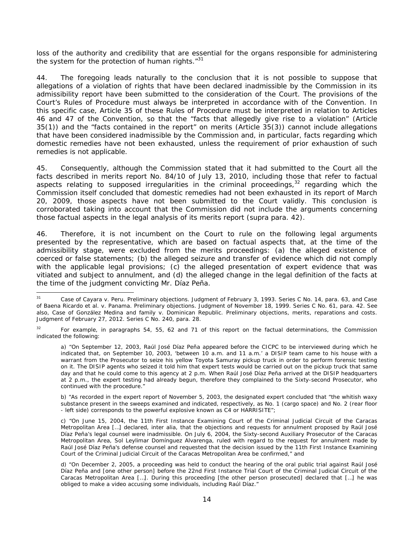loss of the authority and credibility that are essential for the organs responsible for administering the system for the protection of human rights. $131$ 

44. The foregoing leads naturally to the conclusion that it is not possible to suppose that allegations of a violation of rights that have been declared inadmissible by the Commission in its admissibility report have been submitted to the consideration of the Court. The provisions of the Court's Rules of Procedure must always be interpreted in accordance with of the Convention. In this specific case, Article 35 of these Rules of Procedure must be interpreted in relation to Articles 46 and 47 of the Convention, so that the "facts that allegedly give rise to a violation" (Article 35(1)) and the "facts contained in the report" on merits (Article 35(3)) cannot include allegations that have been considered inadmissible by the Commission and, in particular, facts regarding which domestic remedies have not been exhausted, unless the requirement of prior exhaustion of such remedies is not applicable.

45. Consequently, although the Commission stated that it had submitted to the Court all the facts described in merits report No. 84/10 of July 13, 2010, including those that refer to factual aspects relating to supposed irregularities in the criminal proceedings, $32$  regarding which the Commission itself concluded that domestic remedies had not been exhausted in its report of March 20, 2009, those aspects have not been submitted to the Court validly. This conclusion is corroborated taking into account that the Commission did not include the arguments concerning those factual aspects in the legal analysis of its merits report (*supra* para. 42).

46. Therefore, it is not incumbent on the Court to rule on the following legal arguments presented by the representative, which are based on factual aspects that, at the time of the admissibility stage, were excluded from the merits proceedings: (a) the alleged existence of coerced or false statements; (b) the alleged seizure and transfer of evidence which did not comply with the applicable legal provisions; (c) the alleged presentation of expert evidence that was vitiated and subject to annulment, and (d) the alleged change in the legal definition of the facts at the time of the judgment convicting Mr. Díaz Peña.

b) "As recorded in the expert report of November 5, 2003, the designated expert concluded that "the whitish waxy substance present in the sweeps examined and indicated, respectively, as No. 1 (cargo space) and No. 2 (rear floor - left side) corresponds to the powerful explosive known as C4 or HARRISITE";

 $31$ 31 *Case of Cayara v. Peru. Preliminary objections.* Judgment of February 3, 1993. Series C No. 14, para. 63, and *Case of Baena Ricardo et al. v. Panama. Preliminary objections.* Judgment of November 18, 1999. Series C No. 61, para. 42. See also, *Case of González Medina and family v. Dominican Republic*. *Preliminary objections, merits, reparations and costs*. Judgment of February 27, 2012. Series C No. 240, para. 28.

<sup>&</sup>lt;sup>32</sup> For example, in paragraphs 54, 55, 62 and 71 of this report on the factual determinations, the Commission indicated the following:

a) "On September 12, 2003, Raúl José Díaz Peña appeared before the CICPC to be interviewed during which he indicated that, on September 10, 2003, 'between 10 a.m. and 11 a.m.' a DISIP team came to his house with a warrant from the Prosecutor to seize his yellow Toyota Samuray pickup truck in order to perform forensic testing on it. The DISIP agents who seized it told him that expert tests would be carried out on the pickup truck that same day and that he could come to this agency at 2 p.m. When Raúl José Díaz Peña arrived at the DISIP headquarters at 2 p.m., the expert testing had already begun, therefore they complained to the Sixty-second Prosecutor, who continued with the procedure."

c) "On June 15, 2004, the 11th First Instance Examining Court of the Criminal Judicial Circuit of the Caracas Metropolitan Area […] declared, *inter alia,* that the objections and requests for annulment proposed by Raúl José Díaz Peña's legal counsel were inadmissible. On July 6, 2004, the Sixty-second Auxiliary Prosecutor of the Caracas Metropolitan Area, Sol Leylimar Domínguez Alvarenga, ruled with regard to the request for annulment made by Raúl José Díaz Peña's defense counsel and requested that the decision issued by the 11th First Instance Examining Court of the Criminal Judicial Circuit of the Caracas Metropolitan Area be confirmed," and

d) "On December 2, 2005, a proceeding was held to conduct the hearing of the oral public trial against Raúl José Díaz Peña and [one other person] before the 22nd First Instance Trial Court of the Criminal Judicial Circuit of the Caracas Metropolitan Area […]. During this proceeding [the other person prosecuted] declared that […] he was obliged to make a video accusing some individuals, including Raúl Díaz."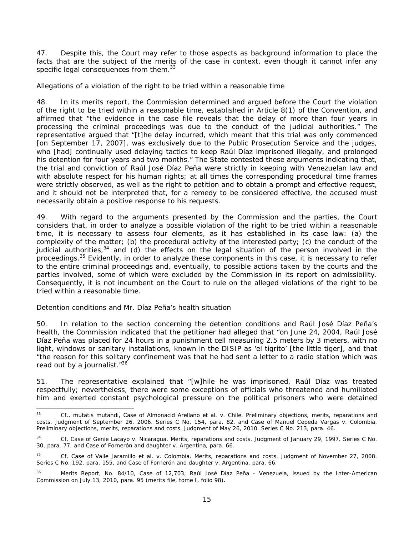47. Despite this, the Court may refer to those aspects as background information to place the facts that are the subject of the merits of the case in context, even though it cannot infer any specific legal consequences from them.<sup>33</sup>

#### *Allegations of a violation of the right to be tried within a reasonable time*

48. In its merits report, the Commission determined and argued before the Court the violation of the right to be tried within a reasonable time, established in Article 8(1) of the Convention, and affirmed that "the evidence in the case file reveals that the delay of more than four years in processing the criminal proceedings was due to the conduct of the judicial authorities." The representative argued that "[t]he delay incurred, which meant that this trial was only commenced [on September 17, 2007], was exclusively due to the Public Prosecution Service and the judges, who [had] continually used delaying tactics to keep Raúl Díaz imprisoned illegally, and prolonged his detention for four years and two months." The State contested these arguments indicating that, the trial and conviction of Raúl José Díaz Peña were strictly in keeping with Venezuelan law and with absolute respect for his human rights; at all times the corresponding procedural time frames were strictly observed, as well as the right to petition and to obtain a prompt and effective request, and it should not be interpreted that, for a remedy to be considered effective, the accused must necessarily obtain a positive response to his requests.

49. With regard to the arguments presented by the Commission and the parties, the Court considers that, in order to analyze a possible violation of the right to be tried within a reasonable time, it is necessary to assess four elements, as it has established in its case law: (a) the complexity of the matter; (b) the procedural activity of the interested party; (c) the conduct of the judicial authorities,<sup>34</sup> and (d) the effects on the legal situation of the person involved in the proceedings.35 Evidently, in order to analyze these components in this case, it is necessary to refer to the entire criminal proceedings and, eventually, to possible actions taken by the courts and the parties involved, some of which were excluded by the Commission in its report on admissibility. Consequently, it is not incumbent on the Court to rule on the alleged violations of the right to be tried within a reasonable time.

#### *Detention conditions and Mr. Díaz Peña's health situation*

50. In relation to the section concerning the detention conditions and Raúl José Díaz Peña's health, the Commission indicated that the petitioner had alleged that "on June 24, 2004, Raúl José Díaz Peña was placed for 24 hours in a punishment cell measuring 2.5 meters by 3 meters, with no light, windows or sanitary installations, known in the DISIP as '*el tigrito'* [the little tiger], and that "the reason for this solitary confinement was that he had sent a letter to a radio station which was read out by a journalist."<sup>36</sup>

51. The representative explained that "[w]hile he was imprisoned, Raúl Díaz was treated respectfully; nevertheless, there were some exceptions of officials who threatened and humiliated him and exerted constant psychological pressure on the political prisoners who were detained

<sup>33</sup> 33 *Cf., mutatis mutandi, Case of Almonacid Arellano et al. v. Chile. Preliminary objections, merits, reparations and costs.* Judgment of September 26, 2006. Series C No. 154, para. 82, *and Case of Manuel Cepeda Vargas v. Colombia. Preliminary objections, merits, reparations and costs.* Judgment of May 26, 2010. Series C No. 213, para. 46.

<sup>34</sup> *Cf. Case of Genie Lacayo v. Nicaragua. Merits, reparations and costs.* Judgment of January 29, 1997. Series C No. 30, para. 77, and *Case of Fornerón and daughter v. Argentina*, para. 66.

<sup>35</sup> *Cf. Case of Valle Jaramillo et al. v. Colombia. Merits, reparations and costs.* Judgment of November 27, 2008. Series C No. 192, para. 155, and *Case of Fornerón and daughter v. Argentina*, para. 66.

Merits Report, No. 84/10, Case of 12,703, Raúl José Díaz Peña - Venezuela, issued by the Inter-American Commission on July 13, 2010, para. 95 (merits file, tome I, folio 98).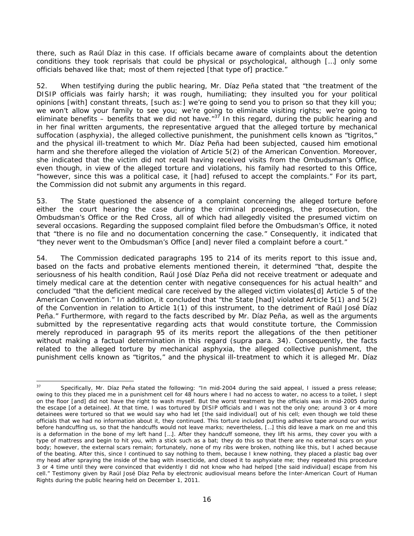there, such as Raúl Díaz in this case. If officials became aware of complaints about the detention conditions they took reprisals that could be physical or psychological, although […] only some officials behaved like that; most of them rejected [that type of] practice."

52. When testifying during the public hearing, Mr. Díaz Peña stated that "the treatment of the DISIP officials was fairly harsh; it was rough, humiliating; they insulted you for your political opinions [with] constant threats, [such as:] we're going to send you to prison so that they kill you; we won't allow your family to see you; we're going to eliminate visiting rights; we're going to eliminate benefits – benefits that we did not have." $37$  In this regard, during the public hearing and in her final written arguments, the representative argued that the alleged torture by mechanical suffocation (asphyxia), the alleged collective punishment, the punishment cells known as "*tigritos*," and the physical ill-treatment to which Mr. Díaz Peña had been subjected, caused him emotional harm and she therefore alleged the violation of Article 5(2) of the American Convention. Moreover, she indicated that the victim did not recall having received visits from the Ombudsman's Office, even though, in view of the alleged torture and violations, his family had resorted to this Office, "however, since this was a political case, it [had] refused to accept the complaints." For its part, the Commission did not submit any arguments in this regard.

53. The State questioned the absence of a complaint concerning the alleged torture before either the court hearing the case during the criminal proceedings, the prosecution, the Ombudsman's Office or the Red Cross, all of which had allegedly visited the presumed victim on several occasions. Regarding the supposed complaint filed before the Ombudsman's Office, it noted that "there is no file and no documentation concerning the case." Consequently, it indicated that "they never went to the Ombudsman's Office [and] never filed a complaint before a court."

54. The Commission dedicated paragraphs 195 to 214 of its merits report to this issue and, based on the facts and probative elements mentioned therein, it determined "that, despite the seriousness of his health condition, Raúl José Díaz Peña did not receive treatment or adequate and timely medical care at the detention center with negative consequences for his actual health" and concluded "that the deficient medical care received by the alleged victim violates[d] Article 5 of the American Convention." In addition, it concluded that "the State [had] violated Article 5(1) and 5(2) of the Convention in relation to Article 1(1) of this instrument, to the detriment of Raúl José Díaz Peña." Furthermore, with regard to the facts described by Mr. Díaz Peña, as well as the arguments submitted by the representative regarding acts that would constitute torture, the Commission merely reproduced in paragraph 95 of its merits report the allegations of the then petitioner without making a factual determination in this regard (*supra* para. 34). Consequently, the facts related to the alleged torture by mechanical asphyxia, the alleged collective punishment, the punishment cells known as "*tigritos*," and the physical ill-treatment to which it is alleged Mr. Díaz

 $\overline{37}$ Specifically, Mr. Díaz Peña stated the following: "In mid-2004 during the said appeal, I issued a press release; owing to this they placed me in a punishment cell for 48 hours where I had no access to water, no access to a toilet, I slept on the floor [and] did not have the right to wash myself. But the worst treatment by the officials was in mid-2005 during the escape [of a detainee]. At that time, I was tortured by DISIP officials and I was not the only one; around 3 or 4 more detainees were tortured so that we would say who had let [the said individual] out of his cell; even though we told these officials that we had no information about it, they continued. This torture included putting adhesive tape around our wrists before handcuffing us, so that the handcuffs would not leave marks; nevertheless, […] this did leave a mark on me and this is a deformation in the bone of my left hand […]. After they handcuff someone, they lift his arms, they cover you with a type of mattress and begin to hit you, with a stick such as a bat; they do this so that there are no external scars on your body; however, the external scars remain; fortunately, none of my ribs were broken, nothing like this, but I ached because of the beating. After this, since I continued to say nothing to them, because I knew nothing, they placed a plastic bag over my head after spraying the inside of the bag with insecticide, and closed it to asphyxiate me; they repeated this procedure 3 or 4 time until they were convinced that evidently I did not know who had helped [the said individual] escape from his cell." Testimony given by Raúl José Díaz Peña by electronic audiovisual means before the Inter-American Court of Human Rights during the public hearing held on December 1, 2011.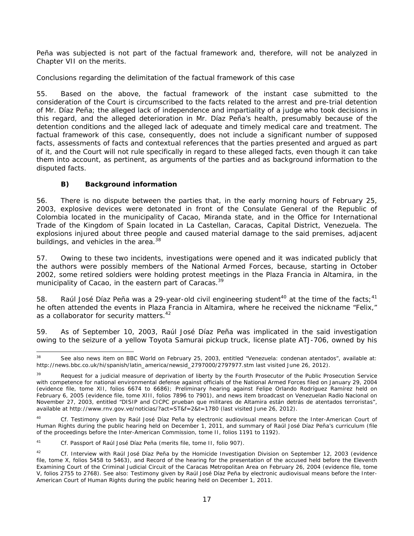Peña was subjected is not part of the factual framework and, therefore, will not be analyzed in Chapter VII on the merits.

## *Conclusions regarding the delimitation of the factual framework of this case*

55. Based on the above, the factual framework of the instant case submitted to the consideration of the Court is circumscribed to the facts related to the arrest and pre-trial detention of Mr. Díaz Peña; the alleged lack of independence and impartiality of a judge who took decisions in this regard, and the alleged deterioration in Mr. Díaz Peña's health, presumably because of the detention conditions and the alleged lack of adequate and timely medical care and treatment. The factual framework of this case, consequently, does not include a significant number of supposed facts, assessments of facts and contextual references that the parties presented and argued as part of it, and the Court will not rule specifically in regard to these alleged facts, even though it can take them into account, as pertinent, as arguments of the parties and as background information to the disputed facts.

# *B) Background information*

56. There is no dispute between the parties that, in the early morning hours of February 25, 2003, explosive devices were detonated in front of the Consulate General of the Republic of Colombia located in the municipality of Cacao, Miranda state, and in the Office for International Trade of the Kingdom of Spain located in La Castellan, Caracas, Capital District, Venezuela. The explosions injured about three people and caused material damage to the said premises, adjacent buildings, and vehicles in the area.<sup>38</sup>

57. Owing to these two incidents, investigations were opened and it was indicated publicly that the authors were possibly members of the National Armed Forces, because, starting in October 2002, some retired soldiers were holding protest meetings in the Plaza Francia in Altamira, in the municipality of Cacao, in the eastern part of Caracas.<sup>39</sup>

58. Raúl José Díaz Peña was a 29-year-old civil engineering student<sup>40</sup> at the time of the facts;<sup>41</sup> he often attended the events in Plaza Francia in Altamira, where he received the nickname "Felix," as a collaborator for security matters.<sup>42</sup>

59. As of September 10, 2003, Raúl José Díaz Peña was implicated in the said investigation owing to the seizure of a yellow Toyota Samurai pickup truck, license plate ATJ-706, owned by his

<sup>1</sup> See also news item on BBC World on February 25, 2003, entitled "Venezuela: condenan atentados", available at: http://news.bbc.co.uk/hi/spanish/latin\_america/newsid\_2797000/2797977.stm last visited June 26, 2012).

<sup>39</sup> Request for a judicial measure of deprivation of liberty by the Fourth Prosecutor of the Public Prosecution Service with competence for national environmental defense against officials of the National Armed Forces filed on January 29, 2004 (evidence file, tome XII, folios 6674 to 6686); Preliminary hearing against Felipe Orlando Rodríguez Ramírez held on February 6, 2005 (evidence file, tome XIII, folios 7896 to 7901), and news item broadcast on Venezuelan *Radio Nacional* on November 27, 2003, entitled "*DISIP and CICPC prueban que militares de Altamira están detrás de atentados terroristas",* available at http://www.rnv.gov.ve/noticias/?act=ST&f=2&t=1780 (last visited June 26, 2012).

<sup>40</sup> *Cf.* Testimony given by Raúl José Díaz Peña by electronic audiovisual means before the Inter-American Court of Human Rights during the public hearing held on December 1, 2011, and summary of Raúl José Díaz Peña's curriculum (file of the proceedings before the Inter-American Commission, tome II, folios 1191 to 1192).

<sup>41</sup> *Cf.* Passport of Raúl José Díaz Peña (merits file, tome II, folio 907).

<sup>42</sup> *Cf.* Interview with Raúl José Díaz Peña by the Homicide Investigation Division on September 12, 2003 (evidence file, tome X, folios 5458 to 5463), and Record of the hearing for the presentation of the accused held before the Eleventh Examining Court of the Criminal Judicial Circuit of the Caracas Metropolitan Area on February 26, 2004 (evidence file, tome V, folios 2755 to 2768). See also: Testimony given by Raúl José Díaz Peña by electronic audiovisual means before the Inter-American Court of Human Rights during the public hearing held on December 1, 2011.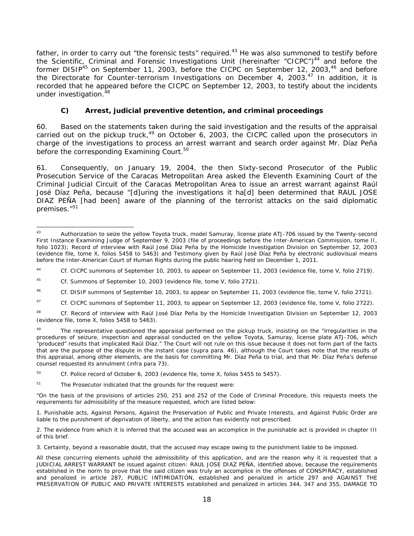father, in order to carry out "the forensic tests" required.<sup>43</sup> He was also summoned to testify before the Scientific, Criminal and Forensic Investigations Unit (hereinafter "CICPC")<sup>44</sup> and before the former DISIP<sup>45</sup> on September 11, 2003, before the CICPC on September 12, 2003,<sup>46</sup> and before the Directorate for Counter-terrorism Investigations on December 4, 2003.<sup>47</sup> In addition, it is recorded that he appeared before the CICPC on September 12, 2003, to testify about the incidents under investigation.<sup>48</sup>

# *C) Arrest, judicial preventive detention, and criminal proceedings*

60. Based on the statements taken during the said investigation and the results of the appraisal carried out on the pickup truck, $49$  on October 6, 2003, the CICPC called upon the prosecutors in charge of the investigations to process an arrest warrant and search order against Mr. Díaz Peña before the corresponding Examining Court.<sup>50</sup>

61. Consequently, on January 19, 2004, the then Sixty-second Prosecutor of the Public Prosecution Service of the Caracas Metropolitan Area asked the Eleventh Examining Court of the Criminal Judicial Circuit of the Caracas Metropolitan Area to issue an arrest warrant against Raúl José Díaz Peña, because "[d]uring the investigations it ha[d] been determined that RAUL JOSE DIAZ PEÑA [had been] aware of the planning of the terrorist attacks on the said diplomatic premises."51

<sup>43</sup> Authorization to seize the yellow Toyota truck, model Samuray, license plate ATJ-706 issued by the Twenty-second First Instance Examining Judge of September 9, 2003 (file of proceedings before the Inter-American Commission, tome II, folio 1023); Record of interview with Raúl José Díaz Peña by the Homicide Investigation Division on September 12, 2003 (evidence file, tome X, folios 5458 to 5463) and Testimony given by Raúl José Díaz Peña by electronic audiovisual means before the Inter-American Court of Human Rights during the public hearing held on December 1, 2011.

<sup>44</sup> *Cf.* CICPC summons of September 10, 2003, to appear on September 11, 2003 (evidence file, tome V, folio 2719).

<sup>45</sup> *Cf.* Summons of September 10, 2003 (evidence file, tome V, folio 2721).

<sup>46</sup> *Cf.* DISIP summons of September 10, 2003, to appear on September 11, 2003 (evidence file, tome V, folio 2721).

<sup>47</sup> *Cf.* CICPC summons of September 11, 2003, to appear on September 12, 2003 (evidence file, tome V, folio 2722).

<sup>48</sup> *Cf.* Record of interview with Raúl José Díaz Peña by the Homicide Investigation Division on September 12, 2003 (evidence file, tome X, folios 5458 to 5463).

 $49$  The representative questioned the appraisal performed on the pickup truck, insisting on the "irregularities in the procedures of seizure, inspection and appraisal conducted on the yellow Toyota, Samuray, license plate ATJ-706, which "produced" results that implicated Raúl Díaz." The Court will not rule on this issue because it does not form part of the facts that are the purpose of the dispute in the instant case (*supra* para. 46), although the Court takes note that the results of this appraisal, among other elements, are the basis for committing Mr. Díaz Peña to trial, and that Mr. Díaz Peña's defense counsel requested its annulment (*infra* para 73).

<sup>&</sup>lt;sup>50</sup> *Cf.* Police record of October 6, 2003 (evidence file, tome X, folios 5455 to 5457).

<sup>&</sup>lt;sup>51</sup> The Prosecutor indicated that the grounds for the request were:

<sup>&</sup>quot;On the basis of the provisions of articles 250, 251 and 252 of the Code of Criminal Procedure, this requests meets the requirements for admissibility of the measure requested, which are listed below:

<sup>1.</sup> Punishable acts, Against Persons, Against the Preservation of Public and Private Interests, and Against Public Order are liable to the punishment of deprivation of liberty, and the action has evidently not prescribed.

<sup>2.</sup> The evidence from which it is inferred that the accused was an accomplice in the punishable act is provided in chapter III of this brief.

<sup>3.</sup> Certainty, beyond a reasonable doubt, that the accused may escape owing to the punishment liable to be imposed.

All these concurring elements uphold the admissibility of this application, and are the reason why it is requested that a JUDICIAL ARREST WARRANT be issued against citizen: RAUL JOSE DIAZ PEÑA, identified above, because the requirements established in the norm to prove that the said citizen was truly an accomplice in the offenses of CONSPIRACY, established and penalized in article 287, PUBLIC INTIMIDATION, established and penalized in article 297 and AGAINST THE PRESERVATION OF PUBLIC AND PRIVATE INTERESTS established and penalized in articles 344, 347 and 355, DAMAGE TO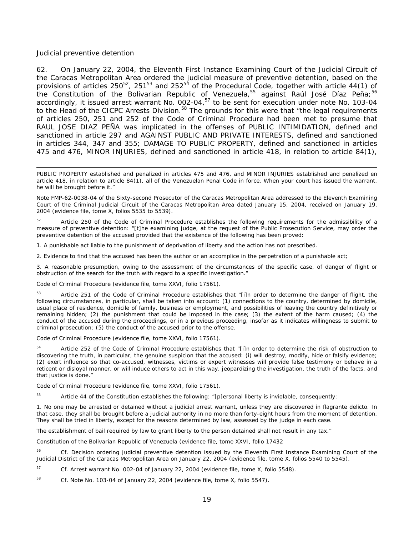#### *Judicial preventive detention*

-

62. On January 22, 2004, the Eleventh First Instance Examining Court of the Judicial Circuit of the Caracas Metropolitan Area ordered the judicial measure of preventive detention, based on the provisions of articles  $250^{52}$ ,  $251^{53}$  and  $252^{54}$  of the Procedural Code, together with article 44(1) of the Constitution of the Bolivarian Republic of Venezuela,<sup>55</sup> against Raúl José Díaz Peña;<sup>56</sup> accordingly, it issued arrest warrant No. 002-04,<sup>57</sup> to be sent for execution under note No. 103-04 to the Head of the CICPC Arrests Division.<sup>58</sup> The grounds for this were that "the legal requirements of articles 250, 251 and 252 of the Code of Criminal Procedure had been met to presume that RAUL JOSE DIAZ PEÑA was implicated in the offenses of PUBLIC INTIMIDATION, defined and sanctioned in article 297 and AGAINST PUBLIC AND PRIVATE INTERESTS, defined and sanctioned in articles 344, 347 and 355; DAMAGE TO PUBLIC PROPERTY, defined and sanctioned in articles 475 and 476, MINOR INJURIES, defined and sanctioned in article 418, in relation to article 84(1),

PUBLIC PROPERTY established and penalized in articles 475 and 476, and MINOR INJURIES established and penalized en article 418, in relation to article 84(1), all of the Venezuelan Penal Code in force. When your court has issued the warrant, he will be brought before it."

Note FMP-62-0038-04 of the Sixty-second Prosecutor of the Caracas Metropolitan Area addressed to the Eleventh Examining Court of the Criminal Judicial Circuit of the Caracas Metropolitan Area dated January 15, 2004, received on January 19, 2004 (evidence file, tome X, folios 5535 to 5539).

Article 250 of the Code of Criminal Procedure establishes the following requirements for the admissibility of a measure of preventive detention: "[t]he examining judge, at the request of the Public Prosecution Service, may order the preventive detention of the accused provided that the existence of the following has been proved:

1. A punishable act liable to the punishment of deprivation of liberty and the action has not prescribed.

2. Evidence to find that the accused has been the author or an accomplice in the perpetration of a punishable act;

3. A reasonable presumption, owing to the assessment of the circumstances of the specific case, of danger of flight or obstruction of the search for the truth with regard to a specific investigation."

Code of Criminal Procedure (evidence file, tome XXVI, folio 17561).

Article 251 of the Code of Criminal Procedure establishes that "[i]n order to determine the danger of flight, the following circumstances, in particular, shall be taken into account: (1) connections to the country, determined by domicile, usual place of residence, domicile of family, business or employment, and possibilities of leaving the country definitively or remaining hidden; (2) the punishment that could be imposed in the case; (3) the extent of the harm caused; (4) the conduct of the accused during the proceedings, or in a previous proceeding, insofar as it indicates willingness to submit to criminal prosecution; (5) the conduct of the accused prior to the offense.

Code of Criminal Procedure (evidence file, tome XXVI, folio 17561).

<sup>54</sup> Article 252 of the Code of Criminal Procedure establishes that "[i]n order to determine the risk of obstruction to discovering the truth, in particular, the genuine suspicion that the accused: (i) will destroy, modify, hide or falsify evidence; (2) exert influence so that co-accused, witnesses, victims or expert witnesses will provide false testimony or behave in a reticent or disloyal manner, or will induce others to act in this way, jeopardizing the investigation, the truth of the facts, and that justice is done."

Code of Criminal Procedure (evidence file, tome XXVI, folio 17561).

<sup>55</sup> Article 44 of the Constitution establishes the following: "[p]ersonal liberty is inviolable, consequently:

1. No one may be arrested or detained without a judicial arrest warrant, unless they are discovered *in flagrante delicto*. In that case, they shall be brought before a judicial authority in no more than forty-eight hours from the moment of detention. They shall be tried in liberty, except for the reasons determined by law, assessed by the judge in each case.

The establishment of bail required by law to grant liberty to the person detained shall not result in any tax."

Constitution of the Bolivarian Republic of Venezuela (evidence file, tome XXVI, folio 17432

56 *Cf.* Decision ordering judicial preventive detention issued by the Eleventh First Instance Examining Court of the Judicial District of the Caracas Metropolitan Area on January 22, 2004 (evidence file, tome X, folios 5540 to 5545).

57 *Cf.* Arrest warrant No. 002-04 of January 22, 2004 (evidence file, tome X, folio 5548).

58 *Cf. Note* No. 103-04 of January 22, 2004 (evidence file, tome X, folio 5547).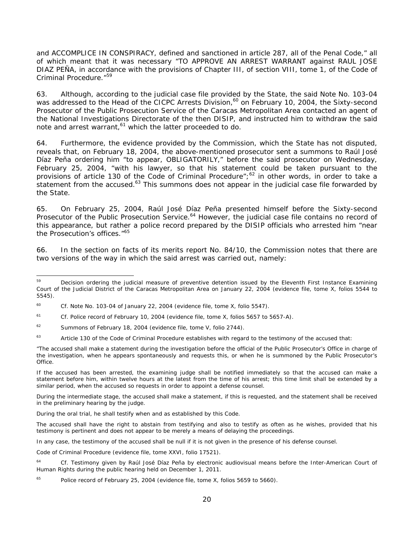and ACCOMPLICE IN CONSPIRACY, defined and sanctioned in article 287, all of the Penal Code," all of which meant that it was necessary "TO APPROVE AN ARREST WARRANT against RAUL JOSE DIAZ PEÑA, in accordance with the provisions of Chapter III, of section VIII, tome 1, of the Code of Criminal Procedure."59

63. Although, according to the judicial case file provided by the State, the said Note No. 103-04 was addressed to the Head of the CICPC Arrests Division,<sup>60</sup> on February 10, 2004, the Sixty-second Prosecutor of the Public Prosecution Service of the Caracas Metropolitan Area contacted an agent of the National Investigations Directorate of the then DISIP, and instructed him to withdraw the said note and arrest warrant,<sup>61</sup> which the latter proceeded to do.

64. Furthermore, the evidence provided by the Commission, which the State has not disputed, reveals that, on February 18, 2004, the above-mentioned prosecutor sent a summons to Raúl José Díaz Peña ordering him "to appear, OBLIGATORILY," before the said prosecutor on Wednesday, February 25, 2004, "with his lawyer, so that his statement could be taken pursuant to the provisions of article 130 of the Code of Criminal Procedure";<sup>62</sup> in other words, in order to take a statement from the accused.<sup>63</sup> This summons does not appear in the judicial case file forwarded by the State.

65. On February 25, 2004, Raúl José Díaz Peña presented himself before the Sixty-second Prosecutor of the Public Prosecution Service.<sup>64</sup> However, the judicial case file contains no record of this appearance, but rather a police record prepared by the DISIP officials who arrested him "near the Prosecution's offices."65

66. In the section on facts of its merits report No. 84/10, the Commission notes that there are two versions of the way in which the said arrest was carried out, namely:

<sup>59</sup> Decision ordering the judicial measure of preventive detention issued by the Eleventh First Instance Examining Court of the Judicial District of the Caracas Metropolitan Area on January 22, 2004 (evidence file, tome X, folios 5544 to 5545).

<sup>60</sup> *Cf.* Note No. 103-04 of January 22, 2004 (evidence file, tome X, folio 5547).

<sup>61</sup> *Cf.* Police record of February 10, 2004 (evidence file, tome X, folios 5657 to 5657-A).

 $62$  Summons of February 18, 2004 (evidence file, tome V, folio 2744).

<sup>&</sup>lt;sup>63</sup> Article 130 of the Code of Criminal Procedure establishes with regard to the testimony of the accused that:

<sup>&</sup>quot;The accused shall make a statement during the investigation before the official of the Public Prosecutor's Office in charge of the investigation, when he appears spontaneously and requests this, or when he is summoned by the Public Prosecutor's Office.

If the accused has been arrested, the examining judge shall be notified immediately so that the accused can make a statement before him, within twelve hours at the latest from the time of his arrest; this time limit shall be extended by a similar period, when the accused so requests in order to appoint a defense counsel.

During the intermediate stage, the accused shall make a statement, if this is requested, and the statement shall be received in the preliminary hearing by the judge.

During the oral trial, he shall testify when and as established by this Code.

The accused shall have the right to abstain from testifying and also to testify as often as he wishes, provided that his testimony is pertinent and does not appear to be merely a means of delaying the proceedings.

In any case, the testimony of the accused shall be null if it is not given in the presence of his defense counsel.

Code of Criminal Procedure (evidence file, tome XXVI, folio 17521).

<sup>64</sup> *Cf.* Testimony given by Raúl José Díaz Peña by electronic audiovisual means before the Inter-American Court of Human Rights during the public hearing held on December 1, 2011.

Police record of February 25, 2004 (evidence file, tome X, folios 5659 to 5660).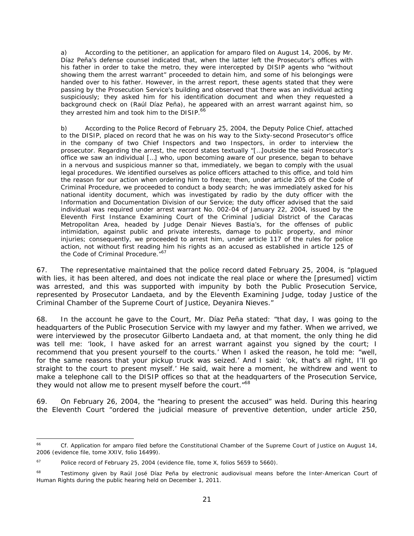a) According to the petitioner, an application for *amparo* filed on August 14, 2006, by Mr. Díaz Peña's defense counsel indicated that, when the latter left the Prosecutor's offices with his father in order to take the metro, they were intercepted by DISIP agents who "without showing them the arrest warrant" proceeded to detain him, and some of his belongings were handed over to his father. However, in the arrest report, these agents stated that they were passing by the Prosecution Service's building and observed that there was an individual acting suspiciously; they asked him for his identification document and when they requested a background check on (Raúl Díaz Peña), he appeared with an arrest warrant against him, so they arrested him and took him to the DISIP.<sup>66</sup>

b) According to the Police Record of February 25, 2004, the Deputy Police Chief, attached to the DISIP, placed on record that he was on his way to the Sixty-second Prosecutor's office in the company of two Chief Inspectors and two Inspectors, in order to interview the prosecutor. Regarding the arrest, the record states textually "[…]outside the said Prosecutor's office we saw an individual […] who, upon becoming aware of our presence, began to behave in a nervous and suspicious manner so that, immediately, we began to comply with the usual legal procedures. We identified ourselves as police officers attached to this office, and told him the reason for our action when ordering him to freeze; then, under article 205 of the Code of Criminal Procedure, we proceeded to conduct a body search; he was immediately asked for his national identity document, which was investigated by radio by the duty officer with the Information and Documentation Division of our Service; the duty officer advised that the said individual was required under arrest warrant No. 002-04 of January 22, 2004, issued by the Eleventh First Instance Examining Court of the Criminal Judicial District of the Caracas Metropolitan Area, headed by Judge Denair Nieves Bastia's, for the offenses of public intimidation, against public and private interests, damage to public property, and minor injuries; consequently, we proceeded to arrest him, under article 117 of the rules for police action, not without first reading him his rights as an accused as established in article 125 of the Code of Criminal Procedure.<sup>"67</sup>

67. The representative maintained that the police record dated February 25, 2004, is "plagued with lies, it has been altered, and does not indicate the real place or where the [presumed] victim was arrested, and this was supported with impunity by both the Public Prosecution Service, represented by Prosecutor Landaeta, and by the Eleventh Examining Judge, today Justice of the Criminal Chamber of the Supreme Court of Justice, Deyanira Nieves."

68. In the account he gave to the Court, Mr. Díaz Peña stated: "that day, I was going to the headquarters of the Public Prosecution Service with my lawyer and my father. When we arrived, we were interviewed by the prosecutor Gilberto Landaeta and, at that moment, the only thing he did was tell me: 'look, I have asked for an arrest warrant against you signed by the court; I recommend that you present yourself to the courts.' When I asked the reason, he told me: "well, for the same reasons that your pickup truck was seized.' And I said: 'ok, that's all right, I'll go straight to the court to present myself.' He said, wait here a moment, he withdrew and went to make a telephone call to the DISIP offices so that at the headquarters of the Prosecution Service, they would not allow me to present myself before the court."<sup>68</sup>

69. On February 26, 2004, the "hearing to present the accused" was held. During this hearing the Eleventh Court "ordered the judicial measure of preventive detention, under article 250,

1

<sup>&</sup>lt;sup>66</sup> *Cf.* Application for amparo filed before the Constitutional Chamber of the Supreme Court of Justice on August 14, 2006 (evidence file, tome XXIV, folio 16499).

 $67$  Police record of February 25, 2004 (evidence file, tome X, folios 5659 to 5660).

<sup>&</sup>lt;sup>68</sup> Testimony given by Raúl José Díaz Peña by electronic audiovisual means before the Inter-American Court of Human Rights during the public hearing held on December 1, 2011.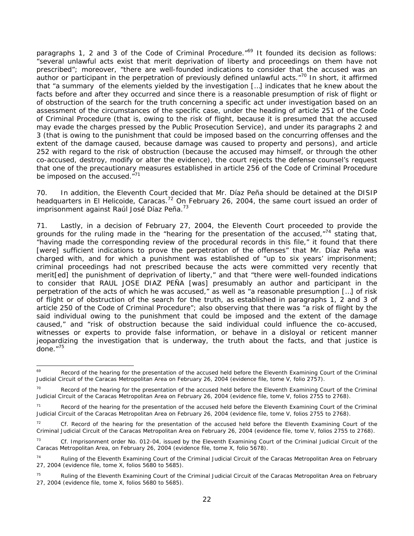paragraphs 1, 2 and 3 of the Code of Criminal Procedure.<sup>"69</sup> It founded its decision as follows: "several unlawful acts exist that merit deprivation of liberty and proceedings on them have not prescribed"; moreover, "there are well-founded indications to consider that the accused was an author or participant in the perpetration of previously defined unlawful acts."<sup>70</sup> In short, it affirmed that "a summary of the elements yielded by the investigation […] indicates that he knew about the facts before and after they occurred and since there is a reasonable presumption of risk of flight or of obstruction of the search for the truth concerning a specific act under investigation based on an assessment of the circumstances of the specific case, under the heading of article 251 of the Code of Criminal Procedure (that is, owing to the risk of flight, because it is presumed that the accused may evade the charges pressed by the Public Prosecution Service), and under its paragraphs 2 and 3 (that is owing to the punishment that could be imposed based on the concurring offenses and the extent of the damage caused, because damage was caused to property and persons), and article 252 with regard to the risk of obstruction (because the accused may himself, or through the other co-accused, destroy, modify or alter the evidence), the court rejects the defense counsel's request that one of the precautionary measures established in article 256 of the Code of Criminal Procedure be imposed on the accused."<sup>71</sup>

70. In addition, the Eleventh Court decided that Mr. Díaz Peña should be detained at the DISIP headquarters in El Helicoide, Caracas.<sup>72</sup> On February 26, 2004, the same court issued an order of imprisonment against Raúl José Díaz Peña.<sup>73</sup>

71. Lastly, in a decision of February 27, 2004, the Eleventh Court proceeded to provide the grounds for the ruling made in the "hearing for the presentation of the accused," $74$  stating that, "having made the corresponding review of the procedural records in this file," it found that there [were] sufficient indications to prove the perpetration of the offenses" that Mr. Díaz Peña was charged with, and for which a punishment was established of "up to six years' imprisonment; criminal proceedings had not prescribed because the acts were committed very recently that merit[ed] the punishment of deprivation of liberty," and that "there were well-founded indications to consider that RAUL JOSE DIAZ PEÑA [was] presumably an author and participant in the perpetration of the acts of which he was accused," as well as "a reasonable presumption […] of risk of flight or of obstruction of the search for the truth, as established in paragraphs 1, 2 and 3 of article 250 of the Code of Criminal Procedure"; also observing that there was "a risk of flight by the said individual owing to the punishment that could be imposed and the extent of the damage caused," and "risk of obstruction because the said individual could influence the co-accused, witnesses or experts to provide false information, or behave in a disloyal or reticent manner jeopardizing the investigation that is underway, the truth about the facts, and that justice is done." $75$ 

<sup>69</sup> Record of the hearing for the presentation of the accused held before the Eleventh Examining Court of the Criminal Judicial Circuit of the Caracas Metropolitan Area on February 26, 2004 (evidence file, tome V, folio 2757).

<sup>&</sup>lt;sup>70</sup> Record of the hearing for the presentation of the accused held before the Eleventh Examining Court of the Criminal Judicial Circuit of the Caracas Metropolitan Area on February 26, 2004 (evidence file, tome V, folios 2755 to 2768).

<sup>71</sup> Record of the hearing for the presentation of the accused held before the Eleventh Examining Court of the Criminal Judicial Circuit of the Caracas Metropolitan Area on February 26, 2004 (evidence file, tome V, folios 2755 to 2768).

<sup>&</sup>lt;sup>72</sup> *Cf.* Record of the hearing for the presentation of the accused held before the Eleventh Examining Court of the Criminal Judicial Circuit of the Caracas Metropolitan Area on February 26, 2004 (evidence file, tome V, folios 2755 to 2768).

<sup>73</sup> *Cf.* Imprisonment order No. 012-04, issued by the Eleventh Examining Court of the Criminal Judicial Circuit of the Caracas Metropolitan Area, on February 26, 2004 (evidence file, tome X, folio 5678).

<sup>&</sup>lt;sup>74</sup> Ruling of the Eleventh Examining Court of the Criminal Judicial Circuit of the Caracas Metropolitan Area on February 27, 2004 (evidence file, tome X, folios 5680 to 5685).

<sup>&</sup>lt;sup>75</sup> Ruling of the Eleventh Examining Court of the Criminal Judicial Circuit of the Caracas Metropolitan Area on February 27, 2004 (evidence file, tome X, folios 5680 to 5685).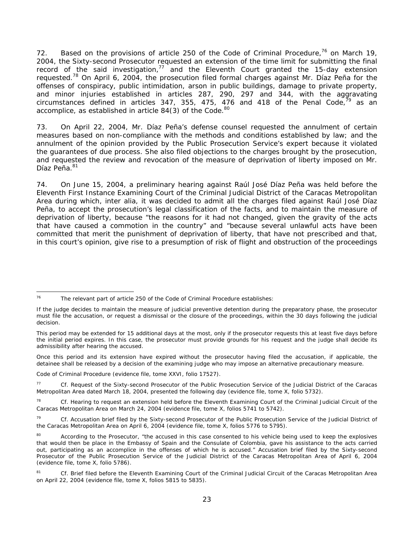72. Based on the provisions of article 250 of the Code of Criminal Procedure,  $76$  on March 19, 2004, the Sixty-second Prosecutor requested an extension of the time limit for submitting the final record of the said investigation, $77$  and the Eleventh Court granted the 15-day extension requested.<sup>78</sup> On April 6, 2004, the prosecution filed formal charges against Mr. Díaz Peña for the offenses of conspiracy, public intimidation, arson in public buildings, damage to private property, and minor injuries established in articles 287, 290, 297 and 344, with the aggravating circumstances defined in articles  $347$ ,  $355$ ,  $475$ ,  $476$  and  $418$  of the Penal Code,<sup>79</sup> as an accomplice, as established in article 84(3) of the Code.<sup>80</sup>

73. On April 22, 2004, Mr. Díaz Peña's defense counsel requested the annulment of certain measures based on non-compliance with the methods and conditions established by law; and the annulment of the opinion provided by the Public Prosecution Service's expert because it violated the guarantees of due process. She also filed objections to the charges brought by the prosecution, and requested the review and revocation of the measure of deprivation of liberty imposed on Mr. Díaz Peña. 81

74. On June 15, 2004, a preliminary hearing against Raúl José Díaz Peña was held before the Eleventh First Instance Examining Court of the Criminal Judicial District of the Caracas Metropolitan Area during which, *inter alia,* it was decided to admit all the charges filed against Raúl José Díaz Peña, to accept the prosecution's legal classification of the facts, and to maintain the measure of deprivation of liberty, because "the reasons for it had not changed, given the gravity of the acts that have caused a commotion in the country" and "because several unlawful acts have been committed that merit the punishment of deprivation of liberty, that have not prescribed and that, in this court's opinion, give rise to a presumption of risk of flight and obstruction of the proceedings

Once this period and its extension have expired without the prosecutor having filed the accusation, if applicable, the detainee shall be released by a decision of the examining judge who may impose an alternative precautionary measure.

Code of Criminal Procedure (evidence file, tome XXVI, folio 17527).

<sup>76</sup> The relevant part of article 250 of the Code of Criminal Procedure establishes:

If the judge decides to maintain the measure of judicial preventive detention during the preparatory phase, the prosecutor must file the accusation, or request a dismissal or the closure of the proceedings, within the 30 days following the judicial decision.

This period may be extended for 15 additional days at the most, only if the prosecutor requests this at least five days before the initial period expires. In this case, the prosecutor must provide grounds for his request and the judge shall decide its admissibility after hearing the accused.

<sup>77</sup> *Cf.* Request of the Sixty-second Prosecutor of the Public Prosecution Service of the Judicial District of the Caracas Metropolitan Area dated March 18, 2004, presented the following day (evidence file, tome X, folio 5732).

<sup>78</sup> *Cf.* Hearing to request an extension held before the Eleventh Examining Court of the Criminal Judicial Circuit of the Caracas Metropolitan Area on March 24, 2004 (evidence file, tome X, folios 5741 to 5742).

<sup>79</sup> *Cf.* Accusation brief filed by the Sixty-second Prosecutor of the Public Prosecution Service of the Judicial District of the Caracas Metropolitan Area on April 6, 2004 (evidence file, tome X, folios 5776 to 5795).

<sup>80</sup> According to the Prosecutor, "the accused in this case consented to his vehicle being used to keep the explosives that would then be place in the Embassy of Spain and the Consulate of Colombia, gave his assistance to the acts carried out, participating as an accomplice in the offenses of which he is accused." Accusation brief filed by the Sixty-second Prosecutor of the Public Prosecution Service of the Judicial District of the Caracas Metropolitan Area of April 6, 2004 (evidence file, tome X, folio 5786).

<sup>81</sup> *Cf.* Brief filed before the Eleventh Examining Court of the Criminal Judicial Circuit of the Caracas Metropolitan Area on April 22, 2004 (evidence file, tome X, folios 5815 to 5835).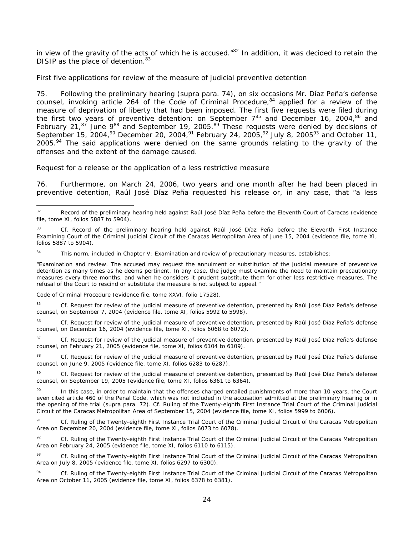in view of the gravity of the acts of which he is accused. $n^{82}$  In addition, it was decided to retain the DISIP as the place of detention.<sup>83</sup>

#### *First five applications for review of the measure of judicial preventive detention*

75. Following the preliminary hearing (*supra* para. 74), on six occasions Mr. Díaz Peña's defense counsel, invoking article 264 of the Code of Criminal Procedure, $84$  applied for a review of the measure of deprivation of liberty that had been imposed. The first five requests were filed during the first two years of preventive detention: on September  $7^{85}$  and December 16, 2004,  $86$  and February 21,<sup>87</sup> June 9<sup>88</sup> and September 19, 2005.<sup>89</sup> These requests were denied by decisions of September 15, 2004,<sup>90</sup> December 20, 2004,<sup>91</sup> February 24, 2005,<sup>92</sup> July 8, 2005<sup>93</sup> and October 11,  $2005<sup>94</sup>$  The said applications were denied on the same grounds relating to the gravity of the offenses and the extent of the damage caused.

#### *Request for a release or the application of a less restrictive measure*

76. Furthermore, on March 24, 2006, two years and one month after he had been placed in preventive detention, Raúl José Díaz Peña requested his release or, in any case, that "a less

Code of Criminal Procedure (evidence file, tome XXVI, folio 17528).

85 *Cf.* Request for review of the judicial measure of preventive detention, presented by Raúl José Díaz Peña's defense counsel, on September 7, 2004 (evidence file, tome XI, folios 5992 to 5998).

86 *Cf.* Request for review of the judicial measure of preventive detention, presented by Raúl José Díaz Peña's defense counsel, on December 16, 2004 (evidence file, tome XI, folios 6068 to 6072).

87 *Cf.* Request for review of the judicial measure of preventive detention, presented by Raúl José Díaz Peña's defense counsel, on February 21, 2005 (evidence file, tome XI, folios 6104 to 6109).

Cf. Request for review of the judicial measure of preventive detention, presented by Raúl José Díaz Peña's defense counsel, on June 9, 2005 (evidence file, tome XI, folios 6283 to 6287).

89 *Cf.* Request for review of the judicial measure of preventive detention, presented by Raúl José Díaz Peña's defense counsel, on September 19, 2005 (evidence file, tome XI, folios 6361 to 6364).

 $82$ Record of the preliminary hearing held against Raúl José Díaz Peña before the Eleventh Court of Caracas (evidence file, tome XI, folios 5887 to 5904).

Cf. Record of the preliminary hearing held against Raúl José Díaz Peña before the Eleventh First Instance Examining Court of the Criminal Judicial Circuit of the Caracas Metropolitan Area of June 15, 2004 (evidence file, tome XI, folios 5887 to 5904).

This norm, included in Chapter V: Examination and review of precautionary measures, establishes:

<sup>&</sup>quot;Examination and review. The accused may request the annulment or substitution of the judicial measure of preventive detention as many times as he deems pertinent. In any case, the judge must examine the need to maintain precautionary measures every three months, and when he considers it prudent substitute them for other less restrictive measures. The refusal of the Court to rescind or substitute the measure is not subject to appeal."

<sup>90</sup> In this case, in order to maintain that the offenses charged entailed punishments of more than 10 years, the Court even cited article 460 of the Penal Code, which was not included in the accusation admitted at the preliminary hearing or in the opening of the trial (*supra* para. 72). *Cf.* Ruling of the Twenty-eighth First Instance Trial Court of the Criminal Judicial Circuit of the Caracas Metropolitan Area of September 15, 2004 (evidence file, tome XI, folios 5999 to 6006).

Cf. Ruling of the Twenty-eighth First Instance Trial Court of the Criminal Judicial Circuit of the Caracas Metropolitan Area on December 20, 2004 (evidence file, tome XI, folios 6073 to 6078).

<sup>92</sup> Cf. Ruling of the Twenty-eighth First Instance Trial Court of the Criminal Judicial Circuit of the Caracas Metropolitan Area on February 24, 2005 (evidence file, tome XI, folios 6110 to 6115).

<sup>93</sup> *Cf.* Ruling of the Twenty-eighth First Instance Trial Court of the Criminal Judicial Circuit of the Caracas Metropolitan Area on July 8, 2005 (evidence file, tome XI, folios 6297 to 6300).

<sup>94</sup> *Cf.* Ruling of the Twenty-eighth First Instance Trial Court of the Criminal Judicial Circuit of the Caracas Metropolitan Area on October 11, 2005 (evidence file, tome XI, folios 6378 to 6381).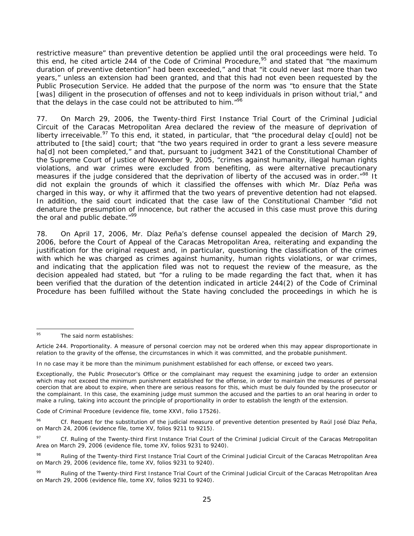restrictive measure" than preventive detention be applied until the oral proceedings were held. To this end, he cited article 244 of the Code of Criminal Procedure, $95$  and stated that "the maximum duration of preventive detention" had been exceeded," and that "it could never last more than two years," unless an extension had been granted, and that this had not even been requested by the Public Prosecution Service. He added that the purpose of the norm was "to ensure that the State [was] diligent in the prosecution of offenses and not to keep individuals in prison without trial," and that the delays in the case could not be attributed to him."<sup>96</sup>

77. On March 29, 2006, the Twenty-third First Instance Trial Court of the Criminal Judicial Circuit of the Caracas Metropolitan Area declared the review of the measure of deprivation of liberty irreceivable.<sup>97</sup> To this end, it stated, in particular, that "the procedural delay c[ould] not be attributed to [the said] court; that "the two years required in order to grant a less severe measure ha[d] not been completed," and that, pursuant to judgment 3421 of the Constitutional Chamber of the Supreme Court of Justice of November 9, 2005, "crimes against humanity, illegal human rights violations, and war crimes were excluded from benefiting, as were alternative precautionary measures if the judge considered that the deprivation of liberty of the accused was in order.<sup>"98</sup> It did not explain the grounds of which it classified the offenses with which Mr. Díaz Peña was charged in this way, or why it affirmed that the two years of preventive detention had not elapsed. In addition, the said court indicated that the case law of the Constitutional Chamber "did not denature the presumption of innocence, but rather the accused in this case must prove this during the oral and public debate."<sup>99</sup>

78. On April 17, 2006, Mr. Díaz Peña's defense counsel appealed the decision of March 29, 2006, before the Court of Appeal of the Caracas Metropolitan Area, reiterating and expanding the justification for the original request and, in particular, questioning the classification of the crimes with which he was charged as crimes against humanity, human rights violations, or war crimes, and indicating that the application filed was not to request the review of the measure, as the decision appealed had stated, but "for a ruling to be made regarding the fact that, when it has been verified that the duration of the detention indicated in article 244(2) of the Code of Criminal Procedure has been fulfilled without the State having concluded the proceedings in which he is

Code of Criminal Procedure (evidence file, tome XXVI, folio 17526).

<sup>95</sup> The said norm establishes:

Article 244. Proportionality. A measure of personal coercion may not be ordered when this may appear disproportionate in relation to the gravity of the offense, the circumstances in which it was committed, and the probable punishment.

In no case may it be more than the minimum punishment established for each offense, or exceed two years.

Exceptionally, the Public Prosecutor's Office or the complainant may request the examining judge to order an extension which may not exceed the minimum punishment established for the offense, in order to maintain the measures of personal coercion that are about to expire, when there are serious reasons for this, which must be duly founded by the prosecutor or the complainant. In this case, the examining judge must summon the accused and the parties to an oral hearing in order to make a ruling, taking into account the principle of proportionality in order to establish the length of the extension.

<sup>96</sup> *Cf.* Request for the substitution of the judicial measure of preventive detention presented by Raúl José Díaz Peña, on March 24, 2006 (evidence file, tome XV, folios 9211 to 9215).

<sup>97</sup> *Cf.* Ruling of the Twenty-third First Instance Trial Court of the Criminal Judicial Circuit of the Caracas Metropolitan Area on March 29, 2006 (evidence file, tome XV, folios 9231 to 9240).

<sup>&</sup>lt;sup>98</sup> Ruling of the Twenty-third First Instance Trial Court of the Criminal Judicial Circuit of the Caracas Metropolitan Area on March 29, 2006 (evidence file, tome XV, folios 9231 to 9240).

<sup>99</sup> Ruling of the Twenty-third First Instance Trial Court of the Criminal Judicial Circuit of the Caracas Metropolitan Area on March 29, 2006 (evidence file, tome XV, folios 9231 to 9240).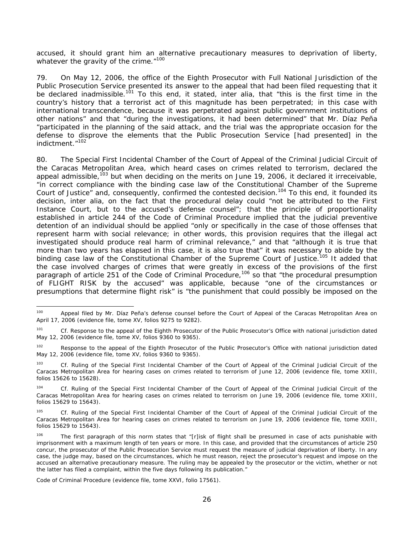accused, it should grant him an alternative precautionary measures to deprivation of liberty, whatever the gravity of the crime."<sup>100</sup>

79. On May 12, 2006, the office of the Eighth Prosecutor with Full National Jurisdiction of the Public Prosecution Service presented its answer to the appeal that had been filed requesting that it be declared inadmissible.<sup>101</sup> To this end, it stated, *inter alia*, that "this is the first time in the country's history that a terrorist act of this magnitude has been perpetrated; in this case with international transcendence, because it was perpetrated against public government institutions of other nations" and that "during the investigations, it had been determined" that Mr. Díaz Peña "participated in the planning of the said attack, and the trial was the appropriate occasion for the defense to disprove the elements that the Public Prosecution Service [had presented] in the indictment."102

80. The Special First Incidental Chamber of the Court of Appeal of the Criminal Judicial Circuit of the Caracas Metropolitan Area, which heard cases on crimes related to terrorism, declared the appeal admissible,  $103$  but when deciding on the merits on June 19, 2006, it declared it irreceivable, "in correct compliance with the binding case law of the Constitutional Chamber of the Supreme Court of Justice" and, consequently, confirmed the contested decision.<sup>104</sup> To this end, it founded its decision, *inter alia*, on the fact that the procedural delay could "not be attributed to the First Instance Court, but to the accused's defense counsel"; that the principle of proportionality established in article 244 of the Code of Criminal Procedure implied that the judicial preventive detention of an individual should be applied "only or specifically in the case of those offenses that represent harm with social relevance; in other words, this provision requires that the illegal act investigated should produce real harm of criminal relevance," and that "although it is true that more than two years has elapsed in this case, it is also true that" it was necessary to abide by the binding case law of the Constitutional Chamber of the Supreme Court of Justice.<sup>105</sup> It added that the case involved charges of crimes that were greatly in excess of the provisions of the first paragraph of article 251 of the Code of Criminal Procedure,<sup>106</sup> so that "the procedural presumption of FLIGHT RISK by the accused" was applicable, because "one of the circumstances or presumptions that determine flight risk" is "the punishment that could possibly be imposed on the

Code of Criminal Procedure (evidence file, tome XXVI, folio 17561).

1

<sup>&</sup>lt;sup>100</sup> Appeal filed by Mr. Díaz Peña's defense counsel before the Court of Appeal of the Caracas Metropolitan Area on April 17, 2006 (evidence file, tome XV, folios 9275 to 9282).

<sup>&</sup>lt;sup>101</sup> *Cf.* Response to the appeal of the Eighth Prosecutor of the Public Prosecutor's Office with national jurisdiction dated May 12, 2006 (evidence file, tome XV, folios 9360 to 9365).

<sup>&</sup>lt;sup>102</sup> Response to the appeal of the Eighth Prosecutor of the Public Prosecutor's Office with national jurisdiction dated May 12, 2006 (evidence file, tome XV, folios 9360 to 9365).

<sup>103</sup> *Cf.* Ruling of the Special First Incidental Chamber of the Court of Appeal of the Criminal Judicial Circuit of the Caracas Metropolitan Area for hearing cases on crimes related to terrorism of June 12, 2006 (evidence file, tome XXIII, folios 15626 to 15628).

<sup>104</sup> *Cf.* Ruling of the Special First Incidental Chamber of the Court of Appeal of the Criminal Judicial Circuit of the Caracas Metropolitan Area for hearing cases on crimes related to terrorism on June 19, 2006 (evidence file, tome XXIII, folios 15629 to 15643).

<sup>105</sup> *Cf.* Ruling of the Special First Incidental Chamber of the Court of Appeal of the Criminal Judicial Circuit of the Caracas Metropolitan Area for hearing cases on crimes related to terrorism on June 19, 2006 (evidence file, tome XXIII, folios 15629 to 15643).

<sup>106</sup> The first paragraph of this norm states that "[r]isk of flight shall be presumed in case of acts punishable with imprisonment with a maximum length of ten years or more. In this case, and provided that the circumstances of article 250 concur, the prosecutor of the Public Prosecution Service must request the measure of judicial deprivation of liberty. In any case, the judge may, based on the circumstances, which he must reason, reject the prosecutor's request and impose on the accused an alternative precautionary measure. The ruling may be appealed by the prosecutor or the victim, whether or not the latter has filed a complaint, within the five days following its publication."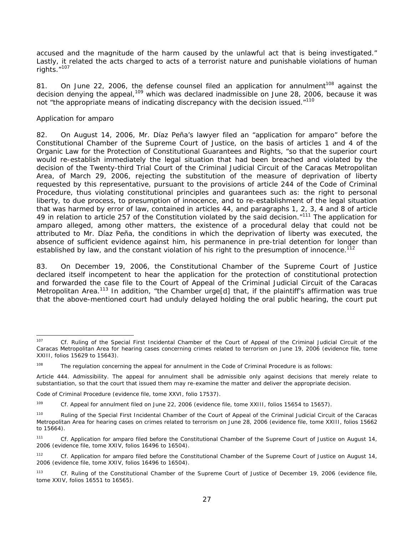accused and the magnitude of the harm caused by the unlawful act that is being investigated." Lastly, it related the acts charged to acts of a terrorist nature and punishable violations of human rights."107

81. On June 22, 2006, the defense counsel filed an application for annulment<sup>108</sup> against the decision denying the appeal,<sup>109</sup> which was declared inadmissible on June 28, 2006, because it was not "the appropriate means of indicating discrepancy with the decision issued."<sup>110</sup>

### *Application for amparo*

1

82. On August 14, 2006, Mr. Díaz Peña's lawyer filed an "application for *amparo*" before the Constitutional Chamber of the Supreme Court of Justice, on the basis of articles 1 and 4 of the Organic Law for the Protection of Constitutional Guarantees and Rights, "so that the superior court would re-establish immediately the legal situation that had been breached and violated by the decision of the Twenty-third Trial Court of the Criminal Judicial Circuit of the Caracas Metropolitan Area, of March 29, 2006, rejecting the substitution of the measure of deprivation of liberty requested by this representative, pursuant to the provisions of article 244 of the Code of Criminal Procedure, thus violating constitutional principles and guarantees such as: the right to personal liberty, to due process, to presumption of innocence, and to re-establishment of the legal situation that was harmed by error of law, contained in articles 44, and paragraphs 1, 2, 3, 4 and 8 of article 49 in relation to article 257 of the Constitution violated by the said decision."<sup>111</sup> The application for *amparo* alleged, among other matters, the existence of a procedural delay that could not be attributed to Mr. Díaz Peña, the conditions in which the deprivation of liberty was executed, the absence of sufficient evidence against him, his permanence in pre-trial detention for longer than established by law, and the constant violation of his right to the presumption of innocence.<sup>112</sup>

83. On December 19, 2006, the Constitutional Chamber of the Supreme Court of Justice declared itself incompetent to hear the application for the protection of constitutional protection and forwarded the case file to the Court of Appeal of the Criminal Judicial Circuit of the Caracas Metropolitan Area.<sup>113</sup> In addition, "the Chamber urge[d] that, if the plaintiff's affirmation was true that the above-mentioned court had unduly delayed holding the oral public hearing, the court put

<sup>107</sup> *Cf.* Ruling of the Special First Incidental Chamber of the Court of Appeal of the Criminal Judicial Circuit of the Caracas Metropolitan Area for hearing cases concerning crimes related to terrorism on June 19, 2006 (evidence file, tome XXIII, folios 15629 to 15643).

 $108$  The regulation concerning the appeal for annulment in the Code of Criminal Procedure is as follows:

Article 444. Admissibility. The appeal for annulment shall be admissible only against decisions that merely relate to substantiation, so that the court that issued them may re-examine the matter and deliver the appropriate decision.

Code of Criminal Procedure (evidence file, tome XXVI, folio 17537).

<sup>109</sup> *Cf.* Appeal for annulment filed on June 22, 2006 (evidence file, tome XXIII, folios 15654 to 15657).

<sup>110</sup> Ruling of the Special First Incidental Chamber of the Court of Appeal of the Criminal Judicial Circuit of the Caracas Metropolitan Area for hearing cases on crimes related to terrorism on June 28, 2006 (evidence file, tome XXIII, folios 15662 to 15664).

<sup>111</sup> *Cf.* Application for *amparo* filed before the Constitutional Chamber of the Supreme Court of Justice on August 14, 2006 (evidence file, tome XXIV, folios 16496 to 16504).

<sup>112</sup> *Cf.* Application for *amparo* filed before the Constitutional Chamber of the Supreme Court of Justice on August 14, 2006 (evidence file, tome XXIV, folios 16496 to 16504).

<sup>113</sup> *Cf.* Ruling of the Constitutional Chamber of the Supreme Court of Justice of December 19, 2006 (evidence file, tome XXIV, folios 16551 to 16565).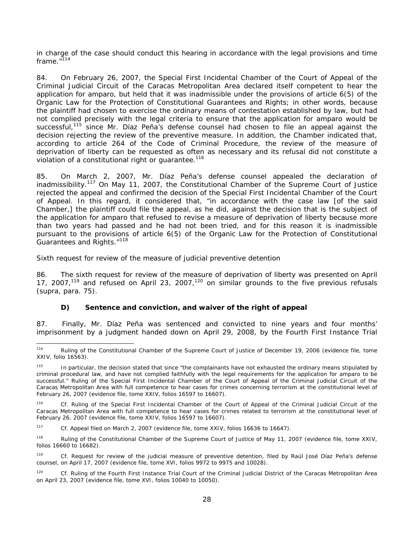in charge of the case should conduct this hearing in accordance with the legal provisions and time frame. $^{\prime\prime}$ <sup>114</sup>

84. On February 26, 2007, the Special First Incidental Chamber of the Court of Appeal of the Criminal Judicial Circuit of the Caracas Metropolitan Area declared itself competent to hear the application for *amparo*, but held that it was inadmissible under the provisions of article 6(5) of the Organic Law for the Protection of Constitutional Guarantees and Rights; in other words, because the plaintiff had chosen to exercise the ordinary means of contestation established by law, but had not complied precisely with the legal criteria to ensure that the application for *amparo* would be successful,<sup>115</sup> since Mr. Díaz Peña's defense counsel had chosen to file an appeal against the decision rejecting the review of the preventive measure. In addition, the Chamber indicated that, according to article 264 of the Code of Criminal Procedure, the review of the measure of deprivation of liberty can be requested as often as necessary and its refusal did not constitute a violation of a constitutional right or quarantee.<sup>116</sup>

85. On March 2, 2007, Mr. Díaz Peña's defense counsel appealed the declaration of inadmissibility.<sup>117</sup> On May 11, 2007, the Constitutional Chamber of the Supreme Court of Justice rejected the appeal and confirmed the decision of the Special First Incidental Chamber of the Court of Appeal. In this regard, it considered that, "in accordance with the case law [of the said Chamber,] the plaintiff could file the appeal, as he did, against the decision that is the subject of the application for *amparo* that refused to revise a measure of deprivation of liberty because more than two years had passed and he had not been tried, and for this reason it is inadmissible pursuant to the provisions of article 6(5) of the Organic Law for the Protection of Constitutional Guarantees and Rights."<sup>118</sup>

#### *Sixth request for review of the measure of judicial preventive detention*

86. The sixth request for review of the measure of deprivation of liberty was presented on April 17, 2007,119 and refused on April 23, 2007,120 on similar grounds to the five previous refusals (*supra*, para. 75).

### *D) Sentence and conviction, and waiver of the right of appeal*

87. Finally, Mr. Díaz Peña was sentenced and convicted to nine years and four months' imprisonment by a judgment handed down on April 29, 2008, by the Fourth First Instance Trial

120 *Cf.* Ruling of the Fourth First Instance Trial Court of the Criminal Judicial District of the Caracas Metropolitan Area on April 23, 2007 (evidence file, tome XVI, folios 10040 to 10050).

<sup>114</sup> Ruling of the Constitutional Chamber of the Supreme Court of Justice of December 19, 2006 (evidence file, tome XXIV, folio 16563).

In particular, the decision stated that since "the complainants have not exhausted the ordinary means stipulated by criminal procedural law, and have not complied faithfully with the legal requirements for the application for *amparo* to be successful." Ruling of the Special First Incidental Chamber of the Court of Appeal of the Criminal Judicial Circuit of the Caracas Metropolitan Area with full competence to hear cases for crimes concerning terrorism at the constitutional level of February 26, 2007 (evidence file, tome XXIV, folios 16597 to 16607).

<sup>116</sup> *Cf.* Ruling of the Special First Incidental Chamber of the Court of Appeal of the Criminal Judicial Circuit of the Caracas Metropolitan Area with full competence to hear cases for crimes related to terrorism at the constitutional level of February 26, 2007 (evidence file, tome XXIV, folios 16597 to 16607).

<sup>117</sup> *Cf.* Appeal filed on March 2, 2007 (evidence file, tome XXIV, folios 16636 to 16647).

<sup>118</sup> Ruling of the Constitutional Chamber of the Supreme Court of Justice of May 11, 2007 (evidence file, tome XXIV, folios 16660 to 16682).

<sup>119</sup> *Cf.* Request for review of the judicial measure of preventive detention, filed by Raúl José Díaz Peña's defense counsel, on April 17, 2007 (evidence file, tome XVI, folios 9972 to 9975 and 10028).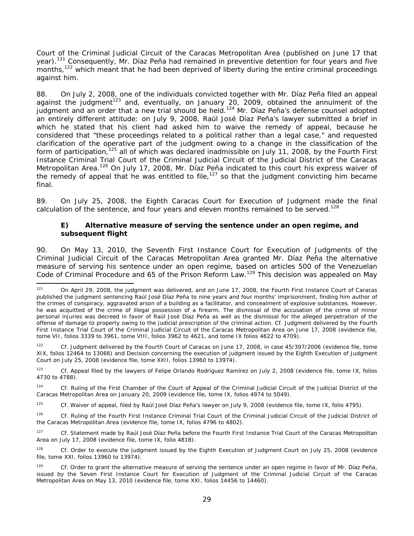Court of the Criminal Judicial Circuit of the Caracas Metropolitan Area (published on June 17 that year).<sup>121</sup> Consequently, Mr. Díaz Peña had remained in preventive detention for four years and five months,<sup>122</sup> which meant that he had been deprived of liberty during the entire criminal proceedings against him.

88. On July 2, 2008, one of the individuals convicted together with Mr. Díaz Peña filed an appeal against the judgment<sup>123</sup> and, eventually, on January 20, 2009, obtained the annulment of the judgment and an order that a new trial should be held.<sup>124</sup> Mr. Díaz Peña's defense counsel adopted an entirely different attitude: on July 9, 2008, Raúl José Díaz Peña's lawyer submitted a brief in which he stated that his client had asked him to waive the remedy of appeal, because he considered that "these proceedings related to a political rather than a legal case," and requested clarification of the operative part of the judgment owing to a change in the classification of the form of participation,<sup>125</sup> all of which was declared inadmissible on July 11, 2008, by the Fourth First Instance Criminal Trial Court of the Criminal Judicial Circuit of the Judicial District of the Caracas Metropolitan Area.<sup>126</sup> On July 17, 2008, Mr. Díaz Peña indicated to this court his express waiver of the remedy of appeal that he was entitled to file,<sup>127</sup> so that the judgment convicting him became final.

89. On July 25, 2008, the Eighth Caracas Court for Execution of Judgment made the final calculation of the sentence, and four years and eleven months remained to be served.<sup>128</sup>

### *E) Alternative measure of serving the sentence under an open regime, and subsequent flight*

90. On May 13, 2010, the Seventh First Instance Court for Execution of Judgments of the Criminal Judicial Circuit of the Caracas Metropolitan Area granted Mr. Díaz Peña the alternative measure of serving his sentence under an open regime, based on articles 500 of the Venezuelan Code of Criminal Procedure and 65 of the Prison Reform Law.<sup>129</sup> This decision was appealed on May

 $121$ 121 On April 29, 2008, the judgment was delivered, and on June 17, 2008, the Fourth First Instance Court of Caracas published the judgment sentencing Raúl José Díaz Peña to nine years and four months' imprisonment, finding him author of the crimes of conspiracy, aggravated arson of a building as a facilitator, and concealment of explosive substances. However, he was acquitted of the crime of illegal possession of a firearm. The dismissal of the accusation of the crime of minor personal injuries was decreed in favor of Raúl José Díaz Peña as well as the dismissal for the alleged perpetration of the offense of damage to property owing to the judicial prescription of the criminal action. *Cf.* Judgment delivered by the Fourth First Instance Trial Court of the Criminal Judicial Circuit of the Caracas Metropolitan Area on June 17, 2008 (evidence file, tome VII, folios 3339 to 3961, tome VIII, folios 3962 to 4621, and tome IX folios 4622 to 4709).

<sup>122</sup> *Cf.* Judgment delivered by the Fourth Court of Caracas on June 17, 2008, in case 45/397/2006 (evidence file, tome XIX, folios 12464 to 13066) and Decision concerning the execution of judgment issued by the Eighth Execution of Judgment Court on July 25, 2008 (evidence file, tome XXII, folios 13960 to 13974).

<sup>123</sup> *Cf.* Appeal filed by the lawyers of Felipe Orlando Rodríguez Ramírez on July 2, 2008 (evidence file, tome IX, folios 4730 to 4788).

<sup>124</sup> *Cf.* Ruling of the First Chamber of the Court of Appeal of the Criminal Judicial Circuit of the Judicial District of the Caracas Metropolitan Area on January 20, 2009 (evidence file, tome IX, folios 4974 to 5049).

<sup>125</sup> *Cf.* Waiver of appeal, filed by Raúl José Díaz Peña's lawyer on July 9, 2008 (evidence file, tome IX, folio 4795).

<sup>126</sup> *Cf.* Ruling of the Fourth First Instance Criminal Trial Court of the Criminal Judicial Circuit of the Judicial District of the Caracas Metropolitan Area (evidence file, tome IX, folios 4796 to 4802).

<sup>127</sup> *Cf.* Statement made by Raúl José Díaz Peña before the Fourth First Instance Trial Court of the Caracas Metropolitan Area on July 17, 2008 (evidence file, tome IX, folio 4818).

<sup>&</sup>lt;sup>128</sup> *Cf.* Order to execute the judgment issued by the Eighth Execution of Judgment Court on July 25, 2008 (evidence file, tome XXI, folios 13960 to 13974).

<sup>&</sup>lt;sup>129</sup> *Cf.* Order to grant the alternative measure of serving the sentence under an open regime in favor of Mr. Díaz Peña, issued by the Seven First Instance Court for Execution of Judgment of the Criminal Judicial Circuit of the Caracas Metropolitan Area on May 13, 2010 (evidence file, tome XXI, folios 14456 to 14460).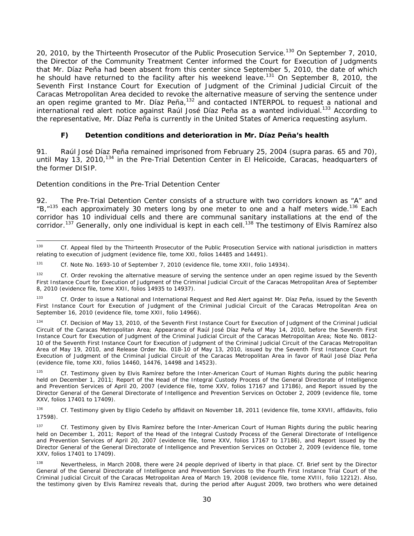20, 2010, by the Thirteenth Prosecutor of the Public Prosecution Service.<sup>130</sup> On September 7, 2010, the Director of the Community Treatment Center informed the Court for Execution of Judgments that Mr. Díaz Peña had been absent from this center since September 5, 2010, the date of which he should have returned to the facility after his weekend leave.<sup>131</sup> On September 8, 2010, the Seventh First Instance Court for Execution of Judgment of the Criminal Judicial Circuit of the Caracas Metropolitan Area decided to revoke the alternative measure of serving the sentence under an open regime granted to Mr. Díaz Peña,<sup>132</sup> and contacted INTERPOL to request a national and international red alert notice against Raúl José Díaz Peña as a wanted individual.<sup>133</sup> According to the representative, Mr. Díaz Peña is currently in the United States of America requesting asylum.

## *F) Detention conditions and deterioration in Mr. Díaz Peña's health*

91. Raúl José Díaz Peña remained imprisoned from February 25, 2004 (*supra* paras. 65 and 70), until May 13, 2010,<sup>134</sup> in the Pre-Trial Detention Center in El Helicoide, Caracas, headquarters of the former DISIP.

### *Detention conditions in the Pre-Trial Detention Center*

92. The Pre-Trial Detention Center consists of a structure with two corridors known as "A" and "B, $n^{135}$  each approximately 30 meters long by one meter to one and a half meters wide.<sup>136</sup> Each corridor has 10 individual cells and there are communal sanitary installations at the end of the corridor.<sup>137</sup> Generally, only one individual is kept in each cell.<sup>138</sup> The testimony of Elvis Ramírez also

<sup>130</sup> 130 *Cf.* Appeal filed by the Thirteenth Prosecutor of the Public Prosecution Service with national jurisdiction in matters relating to execution of judgment (evidence file, tome XXI, folios 14485 and 14491).

<sup>131</sup> *Cf.* Note No. 1693-10 of September 7, 2010 (evidence file, tome XXII, folio 14934).

<sup>&</sup>lt;sup>132</sup> *Cf.* Order revoking the alternative measure of serving the sentence under an open regime issued by the Seventh First Instance Court for Execution of Judgment of the Criminal Judicial Circuit of the Caracas Metropolitan Area of September 8, 2010 (evidence file, tome XXII, folios 14935 to 14937).

<sup>133</sup> *Cf.* Order to issue a National and International Request and Red Alert against Mr. Díaz Peña, issued by the Seventh First Instance Court for Execution of Judgment of the Criminal Judicial Circuit of the Caracas Metropolitan Area on September 16, 2010 (evidence file, tome XXII, folio 14966).

Cf. Decision of May 13, 2010, of the Seventh First Instance Court for Execution of Judgment of the Criminal Judicial Circuit of the Caracas Metropolitan Area; Appearance of Raúl José Díaz Peña of May 14, 2010, before the Seventh First Instance Court for Execution of Judgment of the Criminal Judicial Circuit of the Caracas Metropolitan Area; Note No. 0812- 10 of the Seventh First Instance Court for Execution of Judgment of the Criminal Judicial Circuit of the Caracas Metropolitan Area of May 19, 2010, and Release Order No. 018-10 of May 13, 2010, issued by the Seventh First Instance Court for Execution of Judgment of the Criminal Judicial Circuit of the Caracas Metropolitan Area in favor of Raúl José Díaz Peña (evidence file, tome XXI, folios 14460, 14476, 14498 and 14523).

<sup>135</sup> *Cf.* Testimony given by Elvis Ramírez before the Inter-American Court of Human Rights during the public hearing held on December 1, 2011; Report of the Head of the Integral Custody Process of the General Directorate of Intelligence and Prevention Services of April 20, 2007 (evidence file, tome XXV, folios 17167 and 17186), and Report issued by the Director General of the General Directorate of Intelligence and Prevention Services on October 2, 2009 (evidence file, tome XXV, folios 17401 to 17409).

<sup>136</sup>*Cf.* Testimony given by Eligio Cedeño by affidavit on November 18, 2011 (evidence file, tome XXVII, affidavits, folio 17598).

<sup>137</sup> *Cf.* Testimony given by Elvis Ramírez before the Inter-American Court of Human Rights during the public hearing held on December 1, 2011; Report of the Head of the Integral Custody Process of the General Directorate of Intelligence and Prevention Services of April 20, 2007 (evidence file, tome XXV, folios 17167 to 17186), and Report issued by the Director General of the General Directorate of Intelligence and Prevention Services on October 2, 2009 (evidence file, tome XXV, folios 17401 to 17409).

<sup>138</sup> Nevertheless, in March 2008, there were 24 people deprived of liberty in that place. *Cf.* Brief sent by the Director General of the General Directorate of Intelligence and Prevention Services to the Fourth First Instance Trial Court of the Criminal Judicial Circuit of the Caracas Metropolitan Area of March 19, 2008 (evidence file, tome XVIII, folio 12212). Also, the testimony given by Elvis Ramírez reveals that, during the period after August 2009, two brothers who were detained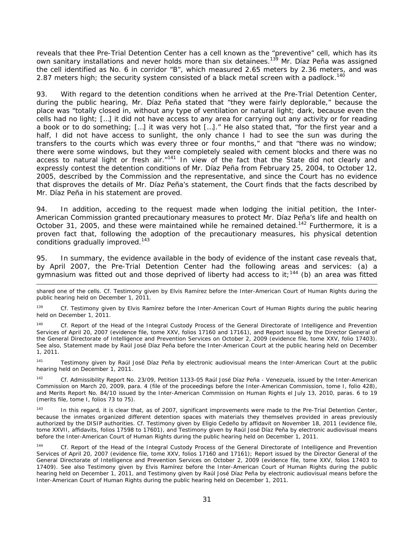reveals that thee Pre-Trial Detention Center has a cell known as the "preventive" cell, which has its own sanitary installations and never holds more than six detainees.<sup>139</sup> Mr. Díaz Peña was assigned the cell identified as No. 6 in corridor "B", which measured 2.65 meters by 2.36 meters, and was 2.87 meters high; the security system consisted of a black metal screen with a padlock.<sup>140</sup>

93. With regard to the detention conditions when he arrived at the Pre-Trial Detention Center, during the public hearing, Mr. Díaz Peña stated that "they were fairly deplorable," because the place was "totally closed in, without any type of ventilation or natural light; dark, because even the cells had no light; […] it did not have access to any area for carrying out any activity or for reading a book or to do something; […] it was very hot […]." He also stated that, "for the first year and a half, I did not have access to sunlight, the only chance I had to see the sun was during the transfers to the courts which was every three or four months," and that "there was no window; there were some windows, but they were completely sealed with cement blocks and there was no access to natural light or fresh air. $"141$  In view of the fact that the State did not clearly and expressly contest the detention conditions of Mr. Díaz Peña from February 25, 2004, to October 12, 2005, described by the Commission and the representative, and since the Court has no evidence that disproves the details of Mr. Díaz Peña's statement, the Court finds that the facts described by Mr. Díaz Peña in his statement are proved.

94. In addition, acceding to the request made when lodging the initial petition, the Inter-American Commission granted precautionary measures to protect Mr. Díaz Peña's life and health on October 31, 2005, and these were maintained while he remained detained.<sup>142</sup> Furthermore, it is a proven fact that, following the adoption of the precautionary measures, his physical detention conditions gradually improved.<sup>143</sup>

95. In summary, the evidence available in the body of evidence of the instant case reveals that, by April 2007, the Pre-Trial Detention Center had the following areas and services: (a) a gymnasium was fitted out and those deprived of liberty had access to it;<sup>144</sup> (b) an area was fitted

<sup>141</sup> Testimony given by Raúl José Díaz Peña by electronic audiovisual means the Inter-American Court at the public hearing held on December 1, 2011.

142 *Cf.* Admissibility Report No. 23/09, Petition 1133-05 Raúl José Díaz Peña - Venezuela, issued by the Inter-American Commission on March 20, 2009, para. 4 (file of the proceedings before the Inter-American Commission, tome I, folio 428), and Merits Report No. 84/10 issued by the Inter-American Commission on Human Rights el July 13, 2010, paras. 6 to 19 (merits file, tome I, folios 73 to 75).

<sup>143</sup> In this regard, it is clear that, as of 2007, significant improvements were made to the Pre-Trial Detention Center, because the inmates organized different detention spaces with materials they themselves provided in areas previously authorized by the DISIP authorities. *Cf.* Testimony given by Eligio Cedeño by affidavit on November 18, 2011 (evidence file, tome XXVII, affidavits, folios 17598 to 17601), and Testimony given by Raúl José Díaz Peña by electronic audiovisual means before the Inter-American Court of Human Rights during the public hearing held on December 1, 2011.

144 *Cf.* Report of the Head of the Integral Custody Process of the General Directorate of Intelligence and Prevention Services of April 20, 2007 (evidence file, tome XXV, folios 17160 and 17161); Report issued by the Director General of the General Directorate of Intelligence and Prevention Services on October 2, 2009 (evidence file, tome XXV, folios 17403 to 17409). See also Testimony given by Elvis Ramírez before the Inter-American Court of Human Rights during the public hearing held on December 1, 2011, and Testimony given by Raúl José Díaz Peña by electronic audiovisual means before the Inter-American Court of Human Rights during the public hearing held on December 1, 2011.

shared one of the cells. *Cf.* Testimony given by Elvis Ramírez before the Inter-American Court of Human Rights during the public hearing held on December 1, 2011.

<sup>139</sup> *Cf.* Testimony given by Elvis Ramírez before the Inter-American Court of Human Rights during the public hearing held on December 1, 2011.

<sup>140</sup> *Cf.* Report of the Head of the Integral Custody Process of the General Directorate of Intelligence and Prevention Services of April 20, 2007 (evidence file, tome XXV, folios 17160 and 17161), and Report issued by the Director General of the General Directorate of Intelligence and Prevention Services on October 2, 2009 (evidence file, tome XXV, folio 17403). See also, Statement made by Raúl José Díaz Peña before the Inter-American Court at the public hearing held on December 1, 2011.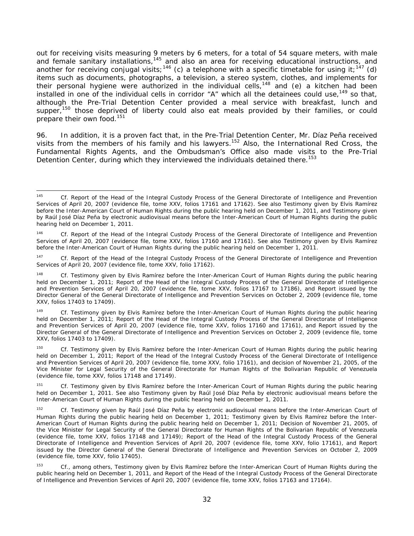out for receiving visits measuring 9 meters by 6 meters, for a total of 54 square meters, with male and female sanitary installations,<sup>145</sup> and also an area for receiving educational instructions, and and female sanitary installations,<sup>145</sup> and also an area for receiving educational instructions, and another for receiving conjugal visits;<sup>146</sup> (c) a telephone with a specific timetable for using it;<sup>147</sup> (d) items such as documents, photographs, a television, a stereo system, clothes, and implements for their personal hygiene were authorized in the individual cells,<sup>148</sup> and (e) a kitchen had been installed in one of the individual cells in corridor "A" which all the detainees could use,<sup>149</sup> so that, although the Pre-Trial Detention Center provided a meal service with breakfast, lunch and supper,<sup>150</sup> those deprived of liberty could also eat meals provided by their families, or could prepare their own food.<sup>151</sup>

96. In addition, it is a proven fact that, in the Pre-Trial Detention Center, Mr. Díaz Peña received visits from the members of his family and his lawyers.<sup>152</sup> Also, the International Red Cross, the Fundamental Rights Agents, and the Ombudsman's Office also made visits to the Pre-Trial Detention Center, during which they interviewed the individuals detained there.<sup>153</sup>

<sup>145</sup> Cf. Report of the Head of the Integral Custody Process of the General Directorate of Intelligence and Prevention Services of April 20, 2007 (evidence file, tome XXV, folios 17161 and 17162). See also Testimony given by Elvis Ramírez before the Inter-American Court of Human Rights during the public hearing held on December 1, 2011, and Testimony given by Raúl José Díaz Peña by electronic audiovisual means before the Inter-American Court of Human Rights during the public hearing held on December 1, 2011.

<sup>146</sup> *Cf.* Report of the Head of the Integral Custody Process of the General Directorate of Intelligence and Prevention Services of April 20, 2007 (evidence file, tome XXV, folios 17160 and 17161). See also Testimony given by Elvis Ramírez before the Inter-American Court of Human Rights during the public hearing held on December 1, 2011.

<sup>147</sup> *Cf.* Report of the Head of the Integral Custody Process of the General Directorate of Intelligence and Prevention Services of April 20, 2007 (evidence file, tome XXV, folio 17162).

<sup>&</sup>lt;sup>148</sup> *Cf.* Testimony given by Elvis Ramírez before the Inter-American Court of Human Rights during the public hearing held on December 1, 2011; Report of the Head of the Integral Custody Process of the General Directorate of Intelligence and Prevention Services of April 20, 2007 (evidence file, tome XXV, folios 17167 to 17186), and Report issued by the Director General of the General Directorate of Intelligence and Prevention Services on October 2, 2009 (evidence file, tome XXV, folios 17403 to 17409).

<sup>149</sup> *Cf.* Testimony given by Elvis Ramírez before the Inter-American Court of Human Rights during the public hearing held on December 1, 2011; Report of the Head of the Integral Custody Process of the General Directorate of Intelligence and Prevention Services of April 20, 2007 (evidence file, tome XXV, folios 17160 and 17161), and Report issued by the Director General of the General Directorate of Intelligence and Prevention Services on October 2, 2009 (evidence file, tome XXV, folios 17403 to 17409).

<sup>150</sup> *Cf.* Testimony given by Elvis Ramírez before the Inter-American Court of Human Rights during the public hearing held on December 1, 2011; Report of the Head of the Integral Custody Process of the General Directorate of Intelligence and Prevention Services of April 20, 2007 (evidence file, tome XXV, folio 17161), and decision of November 21, 2005, of the Vice Minister for Legal Security of the General Directorate for Human Rights of the Bolivarian Republic of Venezuela (evidence file, tome XXV, folios 17148 and 17149).

<sup>151</sup> *Cf.* Testimony given by Elvis Ramírez before the Inter-American Court of Human Rights during the public hearing held on December 1, 2011. See also Testimony given by Raúl José Díaz Peña by electronic audiovisual means before the Inter-American Court of Human Rights during the public hearing held on December 1, 2011.

<sup>152</sup> *Cf.* Testimony given by Raúl José Díaz Peña by electronic audiovisual means before the Inter-American Court of Human Rights during the public hearing held on December 1, 2011; Testimony given by Elvis Ramírez before the Inter-American Court of Human Rights during the public hearing held on December 1, 2011; Decision of November 21, 2005, of the Vice Minister for Legal Security of the General Directorate for Human Rights of the Bolivarian Republic of Venezuela (evidence file, tome XXV, folios 17148 and 17149); Report of the Head of the Integral Custody Process of the General Directorate of Intelligence and Prevention Services of April 20, 2007 (evidence file, tome XXV, folio 17161), and Report issued by the Director General of the General Directorate of Intelligence and Prevention Services on October 2, 2009 (evidence file, tome XXV, folio 17405).

<sup>153</sup> *Cf.*, among others, Testimony given by Elvis Ramírez before the Inter-American Court of Human Rights during the public hearing held on December 1, 2011, and Report of the Head of the Integral Custody Process of the General Directorate of Intelligence and Prevention Services of April 20, 2007 (evidence file, tome XXV, folios 17163 and 17164).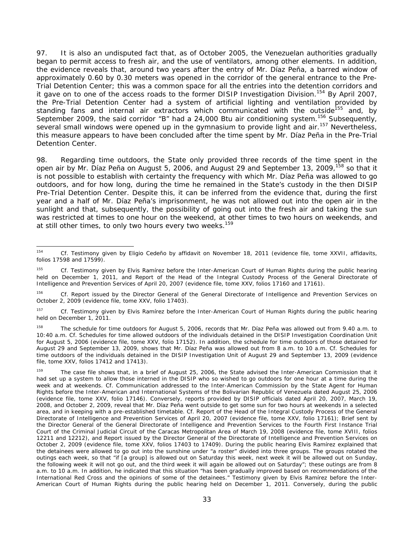97. It is also an undisputed fact that, as of October 2005, the Venezuelan authorities gradually began to permit access to fresh air, and the use of ventilators, among other elements. In addition, the evidence reveals that, around two years after the entry of Mr. Díaz Peña, a barred window of approximately 0.60 by 0.30 meters was opened in the corridor of the general entrance to the Pre-Trial Detention Center; this was a common space for all the entries into the detention corridors and it gave on to one of the access roads to the former DISIP Investigation Division.<sup>154</sup> By April 2007, the Pre-Trial Detention Center had a system of artificial lighting and ventilation provided by standing fans and internal air extractors which communicated with the outside<sup>155</sup> and, by September 2009, the said corridor "B" had a 24,000 Btu air conditioning system.<sup>156</sup> Subsequently, several small windows were opened up in the gymnasium to provide light and air.<sup>157</sup> Nevertheless, this measure appears to have been concluded after the time spent by Mr. Díaz Peña in the Pre-Trial Detention Center.

98. Regarding time outdoors, the State only provided three records of the time spent in the open air by Mr. Díaz Peña on August 5, 2006, and August 29 and September 13, 2009, <sup>158</sup> so that it is not possible to establish with certainty the frequency with which Mr. Díaz Peña was allowed to go outdoors, and for how long, during the time he remained in the State's custody in the then DISIP Pre-Trial Detention Center. Despite this, it can be inferred from the evidence that, during the first year and a half of Mr. Díaz Peña's imprisonment, he was not allowed out into the open air in the sunlight and that, subsequently, the possibility of going out into the fresh air and taking the sun was restricted at times to one hour on the weekend, at other times to two hours on weekends, and at still other times, to only two hours every two weeks.<sup>159</sup>

<sup>154</sup> Cf. Testimony given by Eligio Cedeño by affidavit on November 18, 2011 (evidence file, tome XXVII, affidavits, folios 17598 and 17599).

<sup>155</sup> *Cf.* Testimony given by Elvis Ramírez before the Inter-American Court of Human Rights during the public hearing held on December 1, 2011, and Report of the Head of the Integral Custody Process of the General Directorate of Intelligence and Prevention Services of April 20, 2007 (evidence file, tome XXV, folios 17160 and 17161).

<sup>156</sup> *Cf.* Report issued by the Director General of the General Directorate of Intelligence and Prevention Services on October 2, 2009 (evidence file, tome XXV, folio 17403).

<sup>157</sup> *Cf.* Testimony given by Elvis Ramírez before the Inter-American Court of Human Rights during the public hearing held on December 1, 2011.

<sup>158</sup> The schedule for time outdoors for August 5, 2006, records that Mr. Díaz Peña was allowed out from 9.40 a.m. to 10:40 a.m. *Cf.* Schedules for time allowed outdoors of the individuals detained in the DISIP Investigation Coordination Unit for August 5, 2006 (evidence file, tome XXV, folio 17152). In addition, the schedule for time outdoors of those detained for August 29 and September 13, 2009, shows that Mr. Díaz Peña was allowed out from 8 a.m. to 10 a.m. *Cf.* Schedules for time outdoors of the individuals detained in the DISIP Investigation Unit of August 29 and September 13, 2009 (evidence file, tome XXV, folios 17412 and 17413).

<sup>&</sup>lt;sup>159</sup> The case file shows that, in a brief of August 25, 2006, the State advised the Inter-American Commission that it had set up a system to allow those interned in the DISIP who so wished to go outdoors for one hour at a time during the week and at weekends. *Cf.* Communication addressed to the Inter-American Commission by the State Agent for Human Rights before the Inter-American and International Systems of the Bolivarian Republic of Venezuela dated August 25, 2006 (evidence file, tome XXV, folio 17146). Conversely, reports provided by DISIP officials dated April 20, 2007, March 19, 2008, and October 2, 2009, reveal that Mr. Díaz Peña went outside to get some sun for two hours at weekends in a selected area, and in keeping with a pre-established timetable. *Cf.* Report of the Head of the Integral Custody Process of the General Directorate of Intelligence and Prevention Services of April 20, 2007 (evidence file, tome XXV, folio 17161); Brief sent by the Director General of the General Directorate of Intelligence and Prevention Services to the Fourth First Instance Trial Court of the Criminal Judicial Circuit of the Caracas Metropolitan Area of March 19, 2008 (evidence file, tome XVIII, folios 12211 and 12212), and Report issued by the Director General of the Directorate of Intelligence and Prevention Services on October 2, 2009 (evidence file, tome XXV, folios 17403 to 17409). During the public hearing Elvis Ramírez explained that the detainees were allowed to go out into the sunshine under "a roster" divided into three groups. The groups rotated the outings each week, so that "if [a group] is allowed out on Saturday this week, next week it will be allowed out on Sunday, the following week it will not go out, and the third week it will again be allowed out on Saturday"; these outings are from 8 a.m. to 10 a.m. In addition, he indicated that this situation "has been gradually improved based on recommendations of the International Red Cross and the opinions of some of the detainees." Testimony given by Elvis Ramírez before the Inter-American Court of Human Rights during the public hearing held on December 1, 2011. Conversely, during the public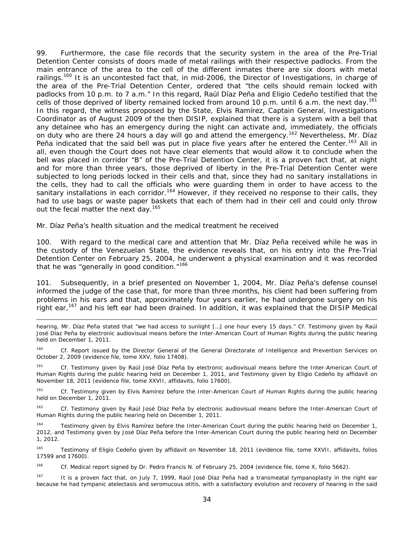99. Furthermore, the case file records that the security system in the area of the Pre-Trial Detention Center consists of doors made of metal railings with their respective padlocks. From the main entrance of the area to the cell of the different inmates there are six doors with metal railings.<sup>160</sup> It is an uncontested fact that, in mid-2006, the Director of Investigations, in charge of the area of the Pre-Trial Detention Center, ordered that "the cells should remain locked with padlocks from 10 p.m. to 7 a.m." In this regard, Raúl Díaz Peña and Eligio Cedeño testified that the cells of those deprived of liberty remained locked from around 10 p.m. until 6 a.m. the next day.<sup>161</sup> In this regard, the witness proposed by the State, Elvis Ramírez, Captain General, Investigations Coordinator as of August 2009 of the then DISIP, explained that there is a system with a bell that any detainee who has an emergency during the night can activate and, immediately, the officials on duty who are there 24 hours a day will go and attend the emergency.<sup>162</sup> Nevertheless, Mr. Díaz Peña indicated that the said bell was put in place five years after he entered the Center.<sup>163</sup> All in all, even though the Court does not have clear elements that would allow it to conclude when the bell was placed in corridor "B" of the Pre-Trial Detention Center, it is a proven fact that, at night and for more than three years, those deprived of liberty in the Pre-Trial Detention Center were subjected to long periods locked in their cells and that, since they had no sanitary installations in the cells, they had to call the officials who were guarding them in order to have access to the sanitary installations in each corridor.<sup>164</sup> However, if they received no response to their calls, they had to use bags or waste paper baskets that each of them had in their cell and could only throw out the fecal matter the next day.<sup>165</sup>

#### *Mr. Díaz Peña's health situation and the medical treatment he received*

-

100. With regard to the medical care and attention that Mr. Díaz Peña received while he was in the custody of the Venezuelan State, the evidence reveals that, on his entry into the Pre-Trial Detention Center on February 25, 2004, he underwent a physical examination and it was recorded that he was "generally in good condition."<sup>166</sup>

101. Subsequently, in a brief presented on November 1, 2004, Mr. Díaz Peña's defense counsel informed the judge of the case that, for more than three months, his client had been suffering from problems in his ears and that, approximately four years earlier, he had undergone surgery on his right ear,<sup>167</sup> and his left ear had been drained. In addition, it was explained that the DISIP Medical

hearing, Mr. Díaz Peña stated that "we had access to sunlight […] one hour every 15 days." *Cf.* Testimony given by Raúl José Díaz Peña by electronic audiovisual means before the Inter-American Court of Human Rights during the public hearing held on December 1, 2011.

<sup>160</sup> *Cf.* Report issued by the Director General of the General Directorate of Intelligence and Prevention Services on October 2, 2009 (evidence file, tome XXV, folio 17408).

Cf. Testimony given by Raúl José Díaz Peña by electronic audiovisual means before the Inter-American Court of Human Rights during the public hearing held on December 1, 2011, and Testimony given by Eligio Cedeño by affidavit on November 18, 2011 (evidence file, tome XXVII, affidavits, folio 17600).

<sup>162</sup> *Cf.* Testimony given by Elvis Ramírez before the Inter-American Court of Human Rights during the public hearing held on December 1, 2011.

163 *Cf.* Testimony given by Raúl José Díaz Peña by electronic audiovisual means before the Inter-American Court of Human Rights during the public hearing held on December 1, 2011.

<sup>164</sup> Testimony given by Elvis Ramírez before the Inter-American Court during the public hearing held on December 1, 2012, and Testimony given by José Díaz Peña before the Inter-American Court during the public hearing held on December 1, 2012.

165 Testimony of Eligio Cedeño given by affidavit on November 18, 2011 (evidence file, tome XXVII, affidavits, folios 17599 and 17600).

166 *Cf.* Medical report signed by Dr. Pedro Francis N. of February 25, 2004 (evidence file, tome X, folio 5662).

<sup>167</sup> It is a proven fact that, on July 7, 1999, Raúl José Díaz Peña had a transmeatal tympanoplasty in the right ear because he had tympanic atelectasis and seromucous otitis, with a satisfactory evolution and recovery of hearing in the said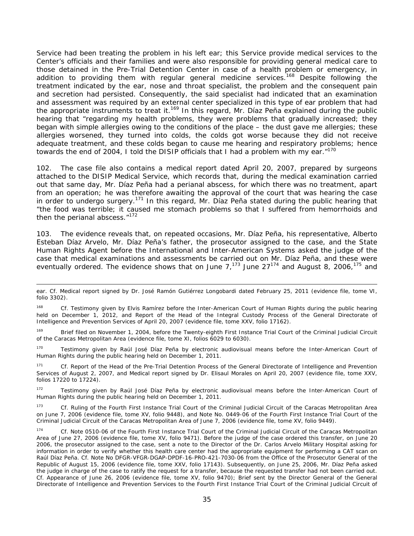Service had been treating the problem in his left ear; this Service provide medical services to the Center's officials and their families and were also responsible for providing general medical care to those detained in the Pre-Trial Detention Center in case of a health problem or emergency, in addition to providing them with regular general medicine services.<sup>168</sup> Despite following the treatment indicated by the ear, nose and throat specialist, the problem and the consequent pain and secretion had persisted. Consequently, the said specialist had indicated that an examination and assessment was required by an external center specialized in this type of ear problem that had the appropriate instruments to treat it.<sup>169</sup> In this regard, Mr. Díaz Peña explained during the public hearing that "regarding my health problems, they were problems that gradually increased; they began with simple allergies owing to the conditions of the place – the dust gave me allergies; these allergies worsened, they turned into colds, the colds got worse because they did not receive adequate treatment, and these colds began to cause me hearing and respiratory problems; hence towards the end of 2004, I told the DISIP officials that I had a problem with my ear."<sup>170</sup>

102. The case file also contains a medical report dated April 20, 2007, prepared by surgeons attached to the DISIP Medical Service, which records that, during the medical examination carried out that same day, Mr. Díaz Peña had a perianal abscess, for which there was no treatment, apart from an operation; he was therefore awaiting the approval of the court that was hearing the case in order to undergo surgery.<sup>171</sup> In this regard, Mr. Díaz Peña stated during the public hearing that "the food was terrible; it caused me stomach problems so that I suffered from hemorrhoids and then the perianal abscess."<sup>172</sup>

103. The evidence reveals that, on repeated occasions, Mr. Díaz Peña, his representative, Alberto Esteban Díaz Arvelo, Mr. Díaz Peña's father, the prosecutor assigned to the case, and the State Human Rights Agent before the International and Inter-American Systems asked the judge of the case that medical examinations and assessments be carried out on Mr. Díaz Peña, and these were eventually ordered. The evidence shows that on June  $7,^{173}$  June  $27^{174}$  and August 8, 2006,  $^{175}$  and

-

ear. *Cf.* Medical report signed by Dr. José Ramón Gutiérrez Longobardi dated February 25, 2011 (evidence file, tome VI, folio 3302).

<sup>168</sup> *Cf.* Testimony given by Elvis Ramírez before the Inter-American Court of Human Rights during the public hearing held on December 1, 2012, and Report of the Head of the Integral Custody Process of the General Directorate of Intelligence and Prevention Services of April 20, 2007 (evidence file, tome XXV, folio 17162).

<sup>169</sup> Brief filed on November 1, 2004, before the Twenty-eighth First Instance Trial Court of the Criminal Judicial Circuit of the Caracas Metropolitan Area (evidence file, tome XI, folios 6029 to 6030).

<sup>170</sup> Testimony given by Raúl José Díaz Peña by electronic audiovisual means before the Inter-American Court of Human Rights during the public hearing held on December 1, 2011.

<sup>171</sup> *Cf.* Report of the Head of the Pre-Trial Detention Process of the General Directorate of Intelligence and Prevention Services of August 2, 2007, and Medical report signed by Dr. Elisaul Morales on April 20, 2007 (evidence file, tome XXV, folios 17220 to 17224).

<sup>172</sup> Testimony given by Raúl José Díaz Peña by electronic audiovisual means before the Inter-American Court of Human Rights during the public hearing held on December 1, 2011.

<sup>173</sup> *Cf.* Ruling of the Fourth First Instance Trial Court of the Criminal Judicial Circuit of the Caracas Metropolitan Area on June 7, 2006 (evidence file, tome XV, folio 9448), and Note No. 0449-06 of the Fourth First Instance Trial Court of the Criminal Judicial Circuit of the Caracas Metropolitan Area of June 7, 2006 (evidence file, tome XV, folio 9449).

<sup>174</sup> *Cf.* Note 0510-06 of the Fourth First Instance Trial Court of the Criminal Judicial Circuit of the Caracas Metropolitan Area of June 27, 2006 (evidence file, tome XV, folio 9471). Before the judge of the case ordered this transfer, on June 20 2006, the prosecutor assigned to the case, sent a note to the Director of the Dr. Carlos Arvelo Military Hospital asking for information in order to verify whether this health care center had the appropriate equipment for performing a CAT scan on Raúl Díaz Peña. *Cf.* Note No DFGR-VFGR-DGAP-DPDF-16-PRO-421-7030-06 from the Office of the Prosecutor General of the Republic of August 15, 2006 (evidence file, tome XXV, folio 17143). Subsequently, on June 25, 2006, Mr. Díaz Peña asked the judge in charge of the case to ratify the request for a transfer, because the requested transfer had not been carried out. *Cf.* Appearance of June 26, 2006 (evidence file, tome XV, folio 9470); Brief sent by the Director General of the General Directorate of Intelligence and Prevention Services to the Fourth First Instance Trial Court of the Criminal Judicial Circuit of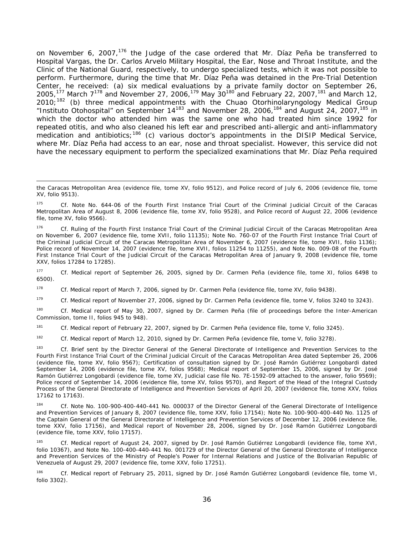on November 6, 2007,<sup>176</sup> the Judge of the case ordered that Mr. Díaz Peña be transferred to Hospital Vargas, the Dr. Carlos Arvelo Military Hospital, the Ear, Nose and Throat Institute, and the Clinic of the National Guard, respectively, to undergo specialized tests, which it was not possible to perform. Furthermore, during the time that Mr. Díaz Peña was detained in the Pre-Trial Detention Center, he received: (a) six medical evaluations by a private family doctor on September 26, 2005,<sup>177</sup> March  $7^{178}$  and November 27, 2006,<sup>179</sup> May 30<sup>180</sup> and February 22, 2007,<sup>181</sup> and March 12,  $2010;$ <sup>182</sup> (b) three medical appointments with the Chuao Otorhinolaryngology Medical Group "*Instituto Otohospital*" on September 14183 and November 28, 2006,184 and August 24, 2007,185 in which the doctor who attended him was the same one who had treated him since 1992 for repeated otitis, and who also cleaned his left ear and prescribed anti-allergic and anti-inflammatory medication and antibiotics;<sup>186</sup> (c) various doctor's appointments in the DISIP Medical Service, where Mr. Díaz Peña had access to an ear, nose and throat specialist. However, this service did not have the necessary equipment to perform the specialized examinations that Mr. Díaz Peña required

177 *Cf.* Medical report of September 26, 2005, signed by Dr. Carmen Peña (evidence file, tome XI, folios 6498 to 6500).

178 *Cf.* Medical report of March 7, 2006, signed by Dr. Carmen Peña (evidence file, tome XV, folio 9438).

179 *Cf.* Medical report of November 27, 2006, signed by Dr. Carmen Peña (evidence file, tome V, folios 3240 to 3243).

180 *Cf.* Medical report of May 30, 2007, signed by Dr. Carmen Peña (file of proceedings before the Inter-American Commission, tome II, folios 945 to 948).

181 *Cf.* Medical report of February 22, 2007, signed by Dr. Carmen Peña (evidence file, tome V, folio 3245).

182 *Cf.* Medical report of March 12, 2010, signed by Dr. Carmen Peña (evidence file, tome V, folio 3278).

183 *Cf.* Brief sent by the Director General of the General Directorate of Intelligence and Prevention Services to the Fourth First Instance Trial Court of the Criminal Judicial Circuit of the Caracas Metropolitan Area dated September 26, 2006 (evidence file, tome XV, folio 9567); Certification of consultation signed by Dr. José Ramón Gutiérrez Longobardi dated September 14, 2006 (evidence file, tome XV, folios 9568); Medical report of September 15, 2006, signed by Dr. José Ramón Gutiérrez Longobardi (evidence file, tome XV, Judicial case file No. 7E-1592-09 attached to the answer, folio 9569); Police record of September 14, 2006 (evidence file, tome XV, folios 9570), and Report of the Head of the Integral Custody Process of the General Directorate of Intelligence and Prevention Services of April 20, 2007 (evidence file, tome XXV, folios 17162 to 17163).

184 *Cf.* Note No. 100-900-400-440-441 No. 000037 of the Director General of the General Directorate of Intelligence and Prevention Services of January 8, 2007 (evidence file, tome XXV, folio 17154); Note No. 100-900-400-440 No. 1125 of the Captain General of the General Directorate of Intelligence and Prevention Services of December 12, 2006 (evidence file, tome XXV, folio 17156), and Medical report of November 28, 2006, signed by Dr. José Ramón Gutiérrez Longobardi (evidence file, tome XXV, folio 17157).

185 *Cf.* Medical report of August 24, 2007, signed by Dr. José Ramón Gutiérrez Longobardi (evidence file, tome XVI, folio 10367), and Note No. 100-400-440-441 No. 001729 of the Director General of the General Directorate of Intelligence and Prevention Services of the Ministry of People's Power for Internal Relations and Justice of the Bolivarian Republic of Venezuela of August 29, 2007 (evidence file, tome XXV, folio 17251).

186 *Cf.* Medical report of February 25, 2011, signed by Dr. José Ramón Gutiérrez Longobardi (evidence file, tome VI, folio 3302).

the Caracas Metropolitan Area (evidence file, tome XV, folio 9512), and Police record of July 6, 2006 (evidence file, tome XV, folio 9513).

<sup>175</sup> *Cf.* Note No. 644-06 of the Fourth First Instance Trial Court of the Criminal Judicial Circuit of the Caracas Metropolitan Area of August 8, 2006 (evidence file, tome XV, folio 9528), and Police record of August 22, 2006 (evidence file, tome XV, folio 9566).

<sup>176</sup> *Cf.* Ruling of the Fourth First Instance Trial Court of the Criminal Judicial Circuit of the Caracas Metropolitan Area on November 6, 2007 (evidence file, tome XVII, folio 11135); Note No. 760-07 of the Fourth First Instance Trial Court of the Criminal Judicial Circuit of the Caracas Metropolitan Area of November 6, 2007 (evidence file, tome XVII, folio 1136); Police record of November 14, 2007 (evidence file, tome XVII, folios 11254 to 11255), and Note No. 009-08 of the Fourth First Instance Trial Court of the Judicial Circuit of the Caracas Metropolitan Area of January 9, 2008 (evidence file, tome XXV, folios 17284 to 17285).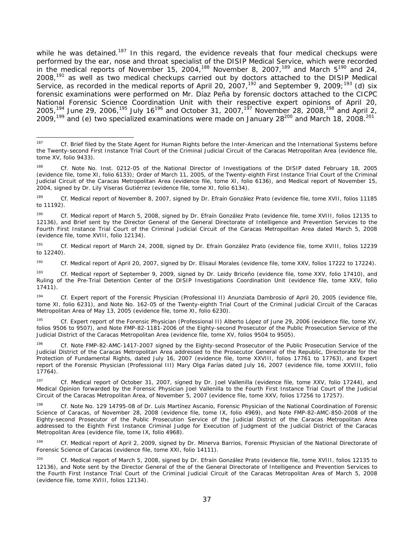while he was detained.<sup>187</sup> In this regard, the evidence reveals that four medical checkups were performed by the ear, nose and throat specialist of the DISIP Medical Service, which were recorded in the medical reports of November 15, 2004,<sup>188</sup> November 8, 2007,<sup>189</sup> and March  $5^{190}$  and 24, 2008,<sup>191</sup> as well as two medical checkups carried out by doctors attached to the DISIP Medical Service, as recorded in the medical reports of April 20, 2007,<sup>192</sup> and September 9, 2009;<sup>193</sup> (d) six forensic examinations were performed on Mr. Díaz Peña by forensic doctors attached to the CICPC National Forensic Science Coordination Unit with their respective expert opinions of April 20, 2005,<sup>194</sup> June 29, 2006,<sup>195</sup> July 16<sup>196</sup> and October 31, 2007,<sup>197</sup> November 28, 2008,<sup>198</sup> and April 2, 2009,<sup>199</sup> and (e) two specialized examinations were made on January 28<sup>200</sup> and March 18, 2008.<sup>201</sup>

-

<sup>187</sup> *Cf.* Brief filed by the State Agent for Human Rights before the Inter-American and the International Systems before the Twenty-second First Instance Trial Court of the Criminal Judicial Circuit of the Caracas Metropolitan Area (evidence file, tome XV, folio 9433).

<sup>188</sup> *Cf.* Note No. Inst. 0212-05 of the National Director of Investigations of the DISIP dated February 18, 2005 (evidence file, tome XI, folio 6133); Order of March 11, 2005, of the Twenty-eighth First Instance Trial Court of the Criminal Judicial Circuit of the Caracas Metropolitan Area (evidence file, tome XI, folio 6136), and Medical report of November 15, 2004, signed by Dr. Lily Viseras Gutiérrez (evidence file, tome XI, folio 6134).

<sup>189</sup> *Cf.* Medical report of November 8, 2007, signed by Dr. Efraín González Prato (evidence file, tome XVII, folios 11185 to 11192).

<sup>190</sup> *Cf.* Medical report of March 5, 2008, signed by Dr. Efraín González Prato (evidence file, tome XVIII, folios 12135 to 12136), and Brief sent by the Director General of the General Directorate of Intelligence and Prevention Services to the Fourth First Instance Trial Court of the Criminal Judicial Circuit of the Caracas Metropolitan Area dated March 5, 2008 (evidence file, tome XVIII, folio 12134).

<sup>191</sup> *Cf.* Medical report of March 24, 2008, signed by Dr. Efraín González Prato (evidence file, tome XVIII, folios 12239 to 12240).

<sup>192</sup> *Cf.* Medical report of April 20, 2007, signed by Dr. Elisaul Morales (evidence file, tome XXV, folios 17222 to 17224).

<sup>193</sup> *Cf.* Medical report of September 9, 2009, signed by Dr. Leidy Briceño (evidence file, tome XXV, folio 17410), and Ruling of the Pre-Trial Detention Center of the DISIP Investigations Coordination Unit (evidence file, tome XXV, folio 17411).

<sup>194</sup> *Cf.* Expert report of the Forensic Physician (Professional II) Anunziata Dambrosio of April 20, 2005 (evidence file, tome XI, folio 6231), and Note No. 162-05 of the Twenty-eighth Trial Court of the Criminal Judicial Circuit of the Caracas Metropolitan Area of May 13, 2005 (evidence file, tome XI, folio 6230).

<sup>195</sup> *Cf.* Expert report of the Forensic Physician (Professional II) Alberto López of June 29, 2006 (evidence file, tome XV, folios 9506 to 9507), and Note FMP-82-1181-2006 of the Eighty-second Prosecutor of the Public Prosecution Service of the Judicial District of the Caracas Metropolitan Area (evidence file, tome XV, folios 9504 to 9505).

<sup>196</sup> *Cf.* Note FMP-82-AMC-1417-2007 signed by the Eighty-second Prosecutor of the Public Prosecution Service of the Judicial District of the Caracas Metropolitan Area addressed to the Prosecutor General of the Republic, Directorate for the Protection of Fundamental Rights, dated July 16, 2007 (evidence file, tome XXVIII, folios 17761 to 17763), and Expert report of the Forensic Physician (Professional III) Mary Olga Farías dated July 16, 2007 (evidence file, tome XXVIII, folio 17764).

<sup>197</sup> *Cf.* Medical report of October 31, 2007, signed by Dr. Joel Vallenilla (evidence file, tome XXV, folio 17244), and Medical Opinion forwarded by the Forensic Physician Joel Vallenilla to the Fourth First Instance Trial Court of the Judicial Circuit of the Caracas Metropolitan Area, of November 5, 2007 (evidence file, tome XXV, folios 17256 to 17257).

<sup>198</sup> *Cf.* Note No. 129 14795-08 of Dr. Luis Martínez Ascanio, Forensic Physician of the National Coordination of Forensic Science of Caracas, of November 28, 2008 (evidence file, tome IX, folio 4969), and Note FMP-82-AMC-850-2008 of the Eighty-second Prosecutor of the Public Prosecution Service of the Judicial District of the Caracas Metropolitan Area addressed to the Eighth First Instance Criminal Judge for Execution of Judgment of the Judicial District of the Caracas Metropolitan Area (evidence file, tome IX, folio 4968).

<sup>199</sup> *Cf.* Medical report of April 2, 2009, signed by Dr. Minerva Barrios, Forensic Physician of the National Directorate of Forensic Science of Caracas (evidence file, tome XXI, folio 14111).

<sup>200</sup> *Cf.* Medical report of March 5, 2008, signed by Dr. Efraín González Prato (evidence file, tome XVIII, folios 12135 to 12136), and Note sent by the Director General of the of the General Directorate of Intelligence and Prevention Services to the Fourth First Instance Trial Court of the Criminal Judicial Circuit of the Caracas Metropolitan Area of March 5, 2008 (evidence file, tome XVIII, folios 12134).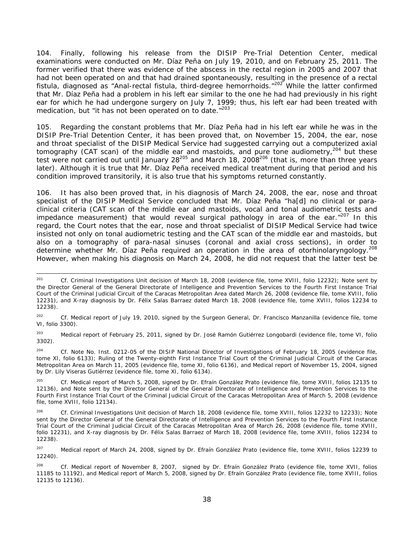104. Finally, following his release from the DISIP Pre-Trial Detention Center, medical examinations were conducted on Mr. Díaz Peña on July 19, 2010, and on February 25, 2011. The former verified that there was evidence of the abscess in the rectal region in 2005 and 2007 that had not been operated on and that had drained spontaneously, resulting in the presence of a rectal fistula, diagnosed as "Anal-rectal fistula, third-degree hemorrhoids."<sup>202</sup> While the latter confirmed that Mr. Díaz Peña had a problem in his left ear similar to the one he had had previously in his right ear for which he had undergone surgery on July 7, 1999; thus, his left ear had been treated with medication, but "it has not been operated on to date."<sup>203</sup>

105. Regarding the constant problems that Mr. Díaz Peña had in his left ear while he was in the DISIP Pre-Trial Detention Center, it has been proved that, on November 15, 2004, the ear, nose and throat specialist of the DISIP Medical Service had suggested carrying out a computerized axial tomography (CAT scan) of the middle ear and mastoids, and pure tone audiometry,<sup>204</sup> but these test were not carried out until January 28<sup>205</sup> and March 18, 2008<sup>206</sup> (that is, more than three years later). Although it is true that Mr. Díaz Peña received medical treatment during that period and his condition improved transitorily, it is also true that his symptoms returned constantly.

106. It has also been proved that, in his diagnosis of March 24, 2008, the ear, nose and throat specialist of the DISIP Medical Service concluded that Mr. Díaz Peña "ha[d] no clinical or paraclinical criteria (CAT scan of the middle ear and mastoids, vocal and tonal audiometric tests and impedance measurement) that would reveal surgical pathology in area of the ear. $n^{207}$  In this regard, the Court notes that the ear, nose and throat specialist of DISIP Medical Service had twice insisted not only on tonal audiometric testing and the CAT scan of the middle ear and mastoids, but also on a tomography of para-nasal sinuses (coronal and axial cross sections), in order to determine whether Mr. Díaz Peña required an operation in the area of otorhinolaryngology.<sup>208</sup> However, when making his diagnosis on March 24, 2008, he did not request that the latter test be

<sup>203</sup> Medical report of February 25, 2011, signed by Dr. José Ramón Gutiérrez Longobardi (evidence file, tome VI, folio 3302).

204 *Cf.* Note No. Inst. 0212-05 of the DISIP National Director of Investigations of February 18, 2005 (evidence file, tome XI, folio 6133); Ruling of the Twenty-eighth First Instance Trial Court of the Criminal Judicial Circuit of the Caracas Metropolitan Area on March 11, 2005 (evidence file, tome XI, folio 6136), and Medical report of November 15, 2004, signed by Dr. Lily Viseras Gutiérrez (evidence file, tome XI, folio 6134).

205 *Cf.* Medical report of March 5, 2008, signed by Dr. Efraín González Prato (evidence file, tome XVIII, folios 12135 to 12136), and Note sent by the Director General of the General Directorate of Intelligence and Prevention Services to the Fourth First Instance Trial Court of the Criminal Judicial Circuit of the Caracas Metropolitan Area of March 5, 2008 (evidence file, tome XVIII, folio 12134).

 <sup>201</sup> *Cf.* Criminal Investigations Unit decision of March 18, 2008 (evidence file, tome XVIII, folio 12232); Note sent by the Director General of the General Directorate of Intelligence and Prevention Services to the Fourth First Instance Trial Court of the Criminal Judicial Circuit of the Caracas Metropolitan Area dated March 26, 2008 (evidence file, tome XVIII, folio 12231), and X-ray diagnosis by Dr. Félix Salas Barraez dated March 18, 2008 (evidence file, tome XVIII, folios 12234 to 12238).

<sup>202</sup> *Cf.* Medical report of July 19, 2010, signed by the Surgeon General, Dr. Francisco Manzanilla (evidence file, tome VI, folio 3300).

Cf. Criminal Investigations Unit decision of March 18, 2008 (evidence file, tome XVIII, folios 12232 to 12233); Note sent by the Director General of the General Directorate of Intelligence and Prevention Services to the Fourth First Instance Trial Court of the Criminal Judicial Circuit of the Caracas Metropolitan Area of March 26, 2008 (evidence file, tome XVIII, folio 12231), and X-ray diagnosis by Dr. Félix Salas Barraez of March 18, 2008 (evidence file, tome XVIII, folios 12234 to 12238).

<sup>&</sup>lt;sup>207</sup> Medical report of March 24, 2008, signed by Dr. Efraín González Prato (evidence file, tome XVIII, folios 12239 to 12240).

<sup>208</sup> *Cf.* Medical report of November 8, 2007, signed by Dr. Efraín González Prato (evidence file, tome XVII, folios 11185 to 11192), and Medical report of March 5, 2008, signed by Dr. Efraín González Prato (evidence file, tome XVIII, folios 12135 to 12136).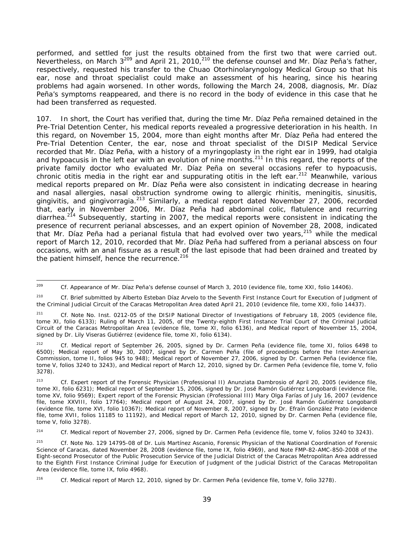performed, and settled for just the results obtained from the first two that were carried out. Nevertheless, on March 3209 and April 21, 2010,210 the defense counsel and Mr. Díaz Peña's father, respectively, requested his transfer to the Chuao Otorhinolaryngology Medical Group so that his ear, nose and throat specialist could make an assessment of his hearing, since his hearing problems had again worsened. In other words, following the March 24, 2008, diagnosis, Mr. Díaz Peña's symptoms reappeared, and there is no record in the body of evidence in this case that he had been transferred as requested.

107. In short, the Court has verified that, during the time Mr. Díaz Peña remained detained in the Pre-Trial Detention Center, his medical reports revealed a progressive deterioration in his health. In this regard, on November 15, 2004, more than eight months after Mr. Díaz Peña had entered the Pre-Trial Detention Center, the ear, nose and throat specialist of the DISIP Medical Service recorded that Mr. Díaz Peña, with a history of a myringoplasty in the right ear in 1999, had otalgia and hypoacusis in the left ear with an evolution of nine months.<sup>211</sup> In this regard, the reports of the private family doctor who evaluated Mr. Díaz Peña on several occasions refer to hypoacusis, chronic otitis media in the right ear and suppurating otitis in the left ear.<sup>212</sup> Meanwhile, various medical reports prepared on Mr. Díaz Peña were also consistent in indicating decrease in hearing and nasal allergies, nasal obstruction syndrome owing to allergic rhinitis, meningitis, sinusitis, gingivitis, and gingivorragia.<sup>213</sup> Similarly, a medical report dated November 27, 2006, recorded that, early in November 2006, Mr. Díaz Peña had abdominal colic, flatulence and recurring diarrhea.<sup>214</sup> Subsequently, starting in 2007, the medical reports were consistent in indicating the presence of recurrent perianal abscesses, and an expert opinion of November 28, 2008, indicated that Mr. Díaz Peña had a perianal fistula that had evolved over two years,<sup>215</sup> while the medical report of March 12, 2010, recorded that Mr. Díaz Peña had suffered from a perianal abscess on four occasions, with an anal fissure as a result of the last episode that had been drained and treated by the patient himself, hence the recurrence.<sup>216</sup>

<sup>209</sup> Cf. Appearance of Mr. Díaz Peña's defense counsel of March 3, 2010 (evidence file, tome XXI, folio 14406).

<sup>210</sup> *Cf.* Brief submitted by Alberto Esteban Díaz Arvelo to the Seventh First Instance Court for Execution of Judgment of the Criminal Judicial Circuit of the Caracas Metropolitan Area dated April 21, 2010 (evidence file, tome XXI, folio 14437).

<sup>211</sup> *Cf.* Note No. Inst. 0212-05 of the DISIP National Director of Investigations of February 18, 2005 (evidence file, tome XI, folio 6133); Ruling of March 11, 2005, of the Twenty-eighth First Instance Trial Court of the Criminal Judicial Circuit of the Caracas Metropolitan Area (evidence file, tome XI, folio 6136), and Medical report of November 15, 2004, signed by Dr. Lily Viseras Gutiérrez (evidence file, tome XI, folio 6134).

<sup>212</sup> *Cf.* Medical report of September 26, 2005, signed by Dr. Carmen Peña (evidence file, tome XI, folios 6498 to 6500); Medical report of May 30, 2007, signed by Dr. Carmen Peña (file of proceedings before the Inter-American Commission, tome II, folios 945 to 948); Medical report of November 27, 2006, signed by Dr. Carmen Peña (evidence file, tome V, folios 3240 to 3243), and Medical report of March 12, 2010, signed by Dr. Carmen Peña (evidence file, tome V, folio 3278).

<sup>213</sup> *Cf.* Expert report of the Forensic Physician (Professional II) Anunziata Dambrosio of April 20, 2005 (evidence file, tome XI, folio 6231); Medical report of September 15, 2006, signed by Dr. José Ramón Gutiérrez Longobardi (evidence file, tome XV, folio 9569); Expert report of the Forensic Physician (Professional III) Mary Olga Farías of July 16, 2007 (evidence file, tome XXVIII, folio 17764); Medical report of August 24, 2007, signed by Dr. José Ramón Gutiérrez Longobardi (evidence file, tome XVI, folio 10367); Medical report of November 8, 2007, signed by Dr. Efraín González Prato (evidence file, tome XVII, folios 11185 to 11192), and Medical report of March 12, 2010, signed by Dr. Carmen Peña (evidence file, tome V, folio 3278).

<sup>214</sup> *Cf.* Medical report of November 27, 2006, signed by Dr. Carmen Peña (evidence file, tome V, folios 3240 to 3243).

<sup>215</sup> *Cf.* Note No. 129 14795-08 of Dr. Luis Martínez Ascanio, Forensic Physician of the National Coordination of Forensic Science of Caracas, dated November 28, 2008 (evidence file, tome IX, folio 4969), and Note FMP-82-AMC-850-2008 of the Eight-second Prosecutor of the Public Prosecution Service of the Judicial District of the Caracas Metropolitan Area addressed to the Eighth First Instance Criminal Judge for Execution of Judgment of the Judicial District of the Caracas Metropolitan Area (evidence file, tome IX, folio 4968).

<sup>216</sup> *Cf.* Medical report of March 12, 2010, signed by Dr. Carmen Peña (evidence file, tome V, folio 3278).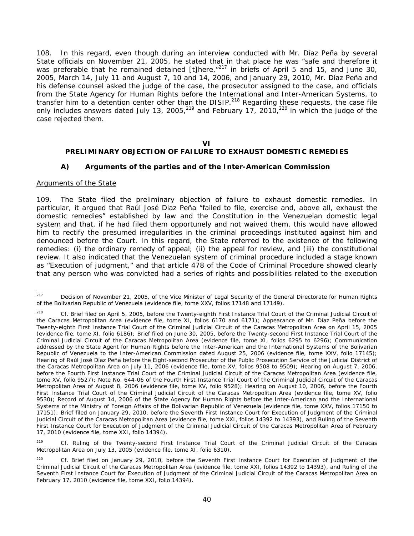108. In this regard, even though during an interview conducted with Mr. Díaz Peña by several State officials on November 21, 2005, he stated that in that place he was "safe and therefore it was preferable that he remained detained [t]here,"<sup>217</sup> in briefs of April 5 and 15, and June 30, 2005, March 14, July 11 and August 7, 10 and 14, 2006, and January 29, 2010, Mr. Díaz Peña and his defense counsel asked the judge of the case, the prosecutor assigned to the case, and officials from the State Agency for Human Rights before the International and Inter-American Systems, to transfer him to a detention center other than the DISIP.<sup>218</sup> Regarding these requests, the case file only includes answers dated July 13, 2005,  $219$  and February 17, 2010,  $220$  in which the judge of the case rejected them.

#### **VI**

# **PRELIMINARY OBJECTION OF FAILURE TO EXHAUST DOMESTIC REMEDIES**

### *A) Arguments of the parties and of the Inter-American Commission*

#### *Arguments of the State*

109. The State filed the preliminary objection of failure to exhaust domestic remedies. In particular, it argued that Raúl José Diaz Peña "failed to file, exercise and, above all, exhaust the domestic remedies" established by law and the Constitution in the Venezuelan domestic legal system and that, if he had filed them opportunely and not waived them, this would have allowed him to rectify the presumed irregularities in the criminal proceedings instituted against him and denounced before the Court. In this regard, the State referred to the existence of the following remedies: (i) the ordinary remedy of appeal; (ii) the appeal for review, and (iii) the constitutional review. It also indicated that the Venezuelan system of criminal procedure included a stage known as "Execution of judgment," and that article 478 of the Code of Criminal Procedure showed clearly that any person who was convicted had a series of rights and possibilities related to the execution

219 *Cf.* Ruling of the Twenty-second First Instance Trial Court of the Criminal Judicial Circuit of the Caracas Metropolitan Area on July 13, 2005 (evidence file, tome XI, folio 6310).

<sup>217</sup> Decision of November 21, 2005, of the Vice Minister of Legal Security of the General Directorate for Human Rights of the Bolivarian Republic of Venezuela (evidence file, tome XXV, folios 17148 and 17149).

<sup>218</sup> *Cf.* Brief filed on April 5, 2005, before the Twenty-eighth First Instance Trial Court of the Criminal Judicial Circuit of the Caracas Metropolitan Area (evidence file, tome XI, folios 6170 and 6171); Appearance of Mr. Díaz Peña before the Twenty-eighth First Instance Trial Court of the Criminal Judicial Circuit of the Caracas Metropolitan Area on April 15, 2005 (evidence file, tome XI, folio 6186); Brief filed on June 30, 2005, before the Twenty-second First Instance Trial Court of the Criminal Judicial Circuit of the Caracas Metropolitan Area (evidence file, tome XI, folios 6295 to 6296); Communication addressed by the State Agent for Human Rights before the Inter-American and the International Systems of the Bolivarian Republic of Venezuela to the Inter-American Commission dated August 25, 2006 (evidence file, tome XXV, folio 17145); Hearing of Raúl José Díaz Peña before the Eight-second Prosecutor of the Public Prosecution Service of the Judicial District of the Caracas Metropolitan Area on July 11, 2006 (evidence file, tome XV, folios 9508 to 9509); Hearing on August 7, 2006, before the Fourth First Instance Trial Court of the Criminal Judicial Circuit of the Caracas Metropolitan Area (evidence file, tome XV, folio 9527); Note No. 644-06 of the Fourth First Instance Trial Court of the Criminal Judicial Circuit of the Caracas Metropolitan Area of August 8, 2006 (evidence file, tome XV, folio 9528); Hearing on August 10, 2006, before the Fourth First Instance Trial Court of the Criminal Judicial Circuit of the Caracas Metropolitan Area (evidence file, tome XV, folio 9530); Record of August 14, 2006 of the State Agency for Human Rights before the Inter-American and the International Systems of the Ministry of Foreign Affairs of the Bolivarian Republic of Venezuela (evidence file, tome XXV, folios 17150 to 17151); Brief filed on January 29, 2010, before the Seventh First Instance Court for Execution of Judgment of the Criminal Judicial Circuit of the Caracas Metropolitan Area (evidence file, tome XXI, folios 14392 to 14393), and Ruling of the Seventh First Instance Court for Execution of Judgment of the Criminal Judicial Circuit of the Caracas Metropolitan Area of February 17, 2010 (evidence file, tome XXI, folio 14394).

<sup>&</sup>lt;sup>220</sup> *Cf.* Brief filed on January 29, 2010, before the Seventh First Instance Court for Execution of Judgment of the Criminal Judicial Circuit of the Caracas Metropolitan Area (evidence file, tome XXI, folios 14392 to 14393), and Ruling of the Seventh First Instance Court for Execution of Judgment of the Criminal Judicial Circuit of the Caracas Metropolitan Area on February 17, 2010 (evidence file, tome XXI, folio 14394).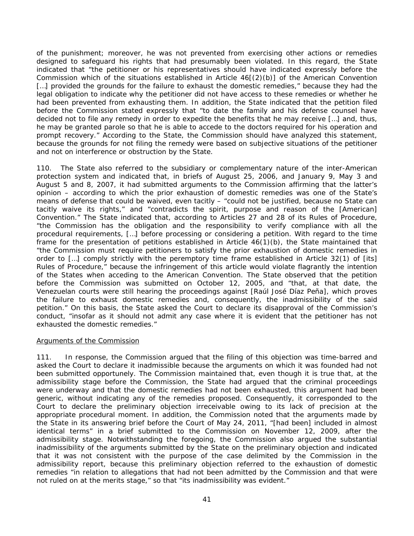of the punishment; moreover, he was not prevented from exercising other actions or remedies designed to safeguard his rights that had presumably been violated. In this regard, the State indicated that "the petitioner or his representatives should have indicated expressly before the Commission which of the situations established in Article 46[(2)(b)] of the American Convention [...] provided the grounds for the failure to exhaust the domestic remedies," because they had the legal obligation to indicate why the petitioner did not have access to these remedies or whether he had been prevented from exhausting them. In addition, the State indicated that the petition filed before the Commission stated expressly that "to date the family and his defense counsel have decided not to file any remedy in order to expedite the benefits that he may receive […] and, thus, he may be granted parole so that he is able to accede to the doctors required for his operation and prompt recovery." According to the State, the Commission should have analyzed this statement, because the grounds for not filing the remedy were based on subjective situations of the petitioner and not on interference or obstruction by the State.

110. The State also referred to the subsidiary or complementary nature of the inter-American protection system and indicated that, in briefs of August 25, 2006, and January 9, May 3 and August 5 and 8, 2007, it had submitted arguments to the Commission affirming that the latter's opinion – according to which the prior exhaustion of domestic remedies was one of the State's means of defense that could be waived, even tacitly – "could not be justified, because no State can tacitly waive its rights," and "contradicts the spirit, purpose and reason of the [American] Convention." The State indicated that, according to Articles 27 and 28 of its Rules of Procedure, "the Commission has the obligation and the responsibility to verify compliance with all the procedural requirements, […] before processing or considering a petition. With regard to the time frame for the presentation of petitions established in Article 46(1)(b), the State maintained that "the Commission must require petitioners to satisfy the prior exhaustion of domestic remedies in order to […] comply strictly with the peremptory time frame established in Article 32(1) of [its] Rules of Procedure," because the infringement of this article would violate flagrantly the intention of the States when acceding to the American Convention. The State observed that the petition before the Commission was submitted on October 12, 2005, and "that, at that date, the Venezuelan courts were still hearing the proceedings against [Raúl José Díaz Peña], which proves the failure to exhaust domestic remedies and, consequently, the inadmissibility of the said petition." On this basis, the State asked the Court to declare its disapproval of the Commission's conduct, "insofar as it should not admit any case where it is evident that the petitioner has not exhausted the domestic remedies."

### *Arguments of the Commission*

111. In response, the Commission argued that the filing of this objection was time-barred and asked the Court to declare it inadmissible because the arguments on which it was founded had not been submitted opportunely. The Commission maintained that, even though it is true that, at the admissibility stage before the Commission, the State had argued that the criminal proceedings were underway and that the domestic remedies had not been exhausted, this argument had been generic, without indicating any of the remedies proposed. Consequently, it corresponded to the Court to declare the preliminary objection irreceivable owing to its lack of precision at the appropriate procedural moment. In addition, the Commission noted that the arguments made by the State in its answering brief before the Court of May 24, 2011, "[had been] included in almost identical terms" in a brief submitted to the Commission on November 12, 2009, after the admissibility stage. Notwithstanding the foregoing, the Commission also argued the substantial inadmissibility of the arguments submitted by the State on the preliminary objection and indicated that it was not consistent with the purpose of the case delimited by the Commission in the admissibility report, because this preliminary objection referred to the exhaustion of domestic remedies "in relation to allegations that had not been admitted by the Commission and that were not ruled on at the merits stage," so that "its inadmissibility was evident."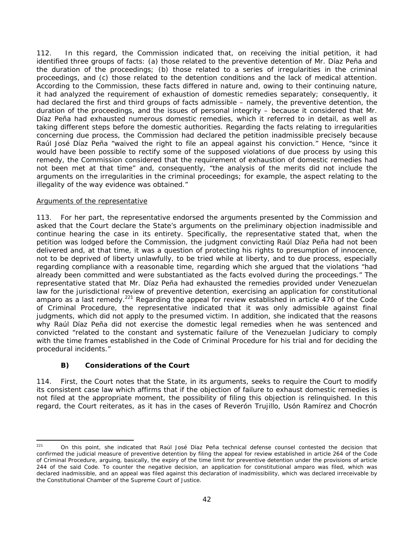112. In this regard, the Commission indicated that, on receiving the initial petition, it had identified three groups of facts: (a) those related to the preventive detention of Mr. Díaz Peña and the duration of the proceedings; (b) those related to a series of irregularities in the criminal proceedings, and (c) those related to the detention conditions and the lack of medical attention. According to the Commission, these facts differed in nature and, owing to their continuing nature, it had analyzed the requirement of exhaustion of domestic remedies separately; consequently, it had declared the first and third groups of facts admissible – namely, the preventive detention, the duration of the proceedings, and the issues of personal integrity – because it considered that Mr. Díaz Peña had exhausted numerous domestic remedies, which it referred to in detail, as well as taking different steps before the domestic authorities. Regarding the facts relating to irregularities concerning due process, the Commission had declared the petition inadmissible precisely because Raúl José Díaz Peña "waived the right to file an appeal against his conviction." Hence, "since it would have been possible to rectify some of the supposed violations of due process by using this remedy, the Commission considered that the requirement of exhaustion of domestic remedies had not been met at that time" and, consequently, "the analysis of the merits did not include the arguments on the irregularities in the criminal proceedings; for example, the aspect relating to the illegality of the way evidence was obtained."

## *Arguments of the representative*

113. For her part, the representative endorsed the arguments presented by the Commission and asked that the Court declare the State's arguments on the preliminary objection inadmissible and continue hearing the case in its entirety. Specifically, the representative stated that, when the petition was lodged before the Commission, the judgment convicting Raúl Díaz Peña had not been delivered and, at that time, it was a question of protecting his rights to presumption of innocence, not to be deprived of liberty unlawfully, to be tried while at liberty, and to due process, especially regarding compliance with a reasonable time, regarding which she argued that the violations "had already been committed and were substantiated as the facts evolved during the proceedings." The representative stated that Mr. Díaz Peña had exhausted the remedies provided under Venezuelan law for the jurisdictional review of preventive detention, exercising an application for constitutional amparo as a last remedy.<sup>221</sup> Regarding the appeal for review established in article 470 of the Code of Criminal Procedure, the representative indicated that it was only admissible against final judgments, which did not apply to the presumed victim. In addition, she indicated that the reasons why Raúl Díaz Peña did not exercise the domestic legal remedies when he was sentenced and convicted "related to the constant and systematic failure of the Venezuelan Judiciary to comply with the time frames established in the Code of Criminal Procedure for his trial and for deciding the procedural incidents."

# *B) Considerations of the Court*

114. First, the Court notes that the State, in its arguments, seeks to require the Court to modify its consistent case law which affirms that if the objection of failure to exhaust domestic remedies is not filed at the appropriate moment, the possibility of filing this objection is relinquished. In this regard, the Court reiterates, as it has in the cases of *Reverón Trujillo, Usón Ramírez* and *Chocrón* 

 $221$ On this point, she indicated that Raúl José Díaz Peña technical defense counsel contested the decision that confirmed the judicial measure of preventive detention by filing the appeal for review established in article 264 of the Code of Criminal Procedure, arguing, basically, the expiry of the time limit for preventive detention under the provisions of article 244 of the said Code. To counter the negative decision, an application for constitutional *amparo* was filed, which was declared inadmissible, and an appeal was filed against this declaration of inadmissibility, which was declared irreceivable by the Constitutional Chamber of the Supreme Court of Justice.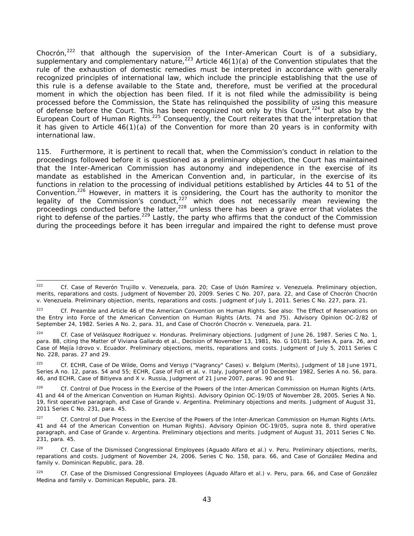*Chocrón,*222 that although the supervision of the Inter-American Court is of a subsidiary, supplementary and complementary nature,<sup>223</sup> Article 46(1)(a) of the Convention stipulates that the rule of the exhaustion of domestic remedies must be interpreted in accordance with generally recognized principles of international law, which include the principle establishing that the use of this rule is a defense available to the State and, therefore, must be verified at the procedural moment in which the objection has been filed. If it is not filed while the admissibility is being processed before the Commission, the State has relinquished the possibility of using this measure of defense before the Court. This has been recognized not only by this Court,<sup>224</sup> but also by the European Court of Human Rights.<sup>225</sup> Consequently, the Court reiterates that the interpretation that it has given to Article 46(1)(a) of the Convention for more than 20 years is in conformity with international law.

115. Furthermore, it is pertinent to recall that, when the Commission's conduct in relation to the proceedings followed before it is questioned as a preliminary objection, the Court has maintained that the Inter-American Commission has autonomy and independence in the exercise of its mandate as established in the American Convention and, in particular, in the exercise of its functions in relation to the processing of individual petitions established by Articles 44 to 51 of the Convention.226 However, in matters it is considering, the Court has the authority to monitor the legality of the Commission's conduct,<sup>227</sup> which does not necessarily mean reviewing the proceedings conducted before the latter,  $228$  unless there has been a grave error that violates the right to defense of the parties.<sup>229</sup> Lastly, the party who affirms that the conduct of the Commission during the proceedings before it has been irregular and impaired the right to defense must prove

 $222$ 222 *Cf. Case of Reverón Trujillo v. Venezuela, para. 20; Case of Usón Ramírez v. Venezuela. Preliminary objection, merits, reparations and costs.* Judgment of November 20, 2009. Series C No. 207, para. 22, and *Case of Chocrón Chocrón v. Venezuela. Preliminary objection, merits, reparations and costs*. Judgment of July 1, 2011. Series C No. 227, para. 21.

<sup>223</sup> *Cf.* Preamble and Article 46 of the American Convention on Human Rights. See also: *The Effect of Reservations on the Entry into Force of the American Convention on Human Rights* (Arts. 74 and 75). Advisory Opinion OC-2/82 of September 24, 1982. Series A No. 2, para. 31, and *Case of Chocrón Chocrón v. Venezuela*, para. 21.

<sup>224</sup> *Cf. Case of Velásquez Rodríguez v. Honduras*. *Preliminary objections.* Judgment of June 26, 1987. Series C No. 1, para. 88, citing the *Matter of Viviana Gallardo et al.*, Decision of November 13, 1981, No. G 101/81. Series A, para. 26, and *Case of Mejía Idrovo v. Ecuador. Preliminary objections, merits, reparations and costs*. Judgment of July 5, 2011 Series C No. 228, paras. 27 and 29.

<sup>225</sup> *Cf.* ECHR, *Case of De Wilde, Ooms and Versyp ("Vagrancy" Cases) v. Belgium (Merits)*, Judgment of 18 June 1971, Series A no. 12, paras. 54 and 55; ECHR, *Case of Foti et al. v. Italy,* Judgment of 10 December 1982, Series A no. 56, para. 46, and ECHR, *Case of Bitiyeva and X v. Russia*, Judgment of 21 June 2007, paras. 90 and 91.

<sup>&</sup>lt;sup>226</sup> *Cf. Control of Due Process in the Exercise of the Powers of the Inter-American Commission on Human Rights* (Arts. 41 and 44 of the American Convention on Human Rights). Advisory Opinion OC-19/05 of November 28, 2005. Series A No. 19, first operative paragraph, and *Case of Grande v. Argentina. Preliminary objections and merits*. Judgment of August 31, 2011 Series C No. 231, para. 45.

<sup>227</sup> *Cf. Control of Due Process in the Exercise of the Powers of the Inter-American Commission on Human Rights (Arts. 41 and 44 of the American Convention on Human Rights).* Advisory Opinion OC-19/05, *supra* note 8, third operative paragraph, and *Case of Grande v. Argentina. Preliminary objections and merits*. Judgment of August 31, 2011 Series C No. 231, para. 45.

<sup>228</sup> *Cf. Case of the Dismissed Congressional Employees (Aguado Alfaro et al.) v. Peru. Preliminary objections, merits, reparations and costs*. Judgment of November 24, 2006. Series C No. 158, para. 66, and *Case of González Medina and family v. Dominican Republic*, para. 28.

<sup>229</sup> Cf. *Case of the Dismissed Congressional Employees (Aguado Alfaro et al.) v. Peru*, para. 66, and *Case of González Medina and family v. Dominican Republic*, para. 28.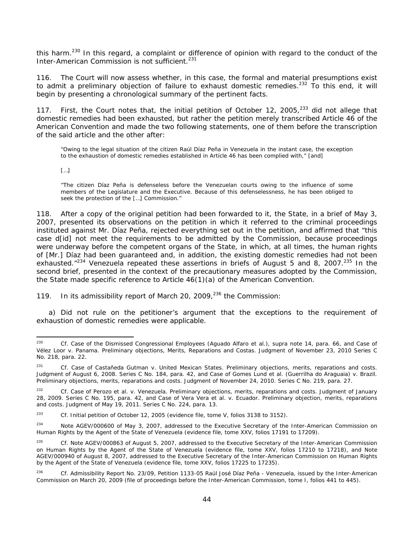this harm.<sup>230</sup> In this regard, a complaint or difference of opinion with regard to the conduct of the Inter-American Commission is not sufficient.<sup>231</sup>

116. The Court will now assess whether, in this case, the formal and material presumptions exist to admit a preliminary objection of failure to exhaust domestic remedies.<sup>232</sup> To this end, it will begin by presenting a chronological summary of the pertinent facts.

117. First, the Court notes that, the initial petition of October 12, 2005,<sup>233</sup> did not allege that domestic remedies had been exhausted, but rather the petition merely transcribed Article 46 of the American Convention and made the two following statements, one of them before the transcription of the said article and the other after:

"Owing to the legal situation of the citizen Raúl Díaz Peña in Venezuela in the instant case, the exception to the exhaustion of domestic remedies established in Article 46 has been complied with," [and]

[…]

-

"The citizen Díaz Peña is defenseless before the Venezuelan courts owing to the influence of some members of the Legislature and the Executive. Because of this defenselessness, he has been obliged to seek the protection of the […] Commission."

118. After a copy of the original petition had been forwarded to it, the State, in a brief of May 3, 2007, presented its observations on the petition in which it referred to the criminal proceedings instituted against Mr. Díaz Peña, rejected everything set out in the petition, and affirmed that "this case d[id] not meet the requirements to be admitted by the Commission, because proceedings were underway before the competent organs of the State, in which, at all times, the human rights of [Mr.] Díaz had been guaranteed and, in addition, the existing domestic remedies had not been exhausted. $1234$  Venezuela repeated these assertions in briefs of August 5 and 8, 2007.<sup>235</sup> In the second brief, presented in the context of the precautionary measures adopted by the Commission, the State made specific reference to Article 46(1)(a) of the American Convention.

119. In its admissibility report of March 20, 2009, $^{236}$  the Commission:

 a) Did not rule on the petitioner's argument that the exceptions to the requirement of exhaustion of domestic remedies were applicable.

<sup>230</sup> *Cf. Case of the Dismissed Congressional Employees (Aguado Alfaro et al.)*, *supra* note 14, para. 66, and *Case of Vélez Loor v. Panama. Preliminary objections, Merits, Reparations and Costas*. Judgment of November 23, 2010 Series C No. 218, para. 22.

<sup>231</sup> *Cf. Case of Castañeda Gutman v. United Mexican States. Preliminary objections, merits, reparations and costs.*  Judgment of August 6, 2008. Series C No. 184, para. 42, and *Case of Gomes Lund et al. (Guerrilha do Araguaia) v. Brazil*. Preliminary objections, merits, reparations and costs. Judgment of November 24, 2010. Series C No. 219, para. 27.

<sup>232</sup> *Cf. Case of Perozo et al. v. Venezuela. Preliminary objections, merits, reparations and costs.* Judgment of January 28, 2009. Series C No. 195, para. 42, and *Case of Vera Vera et al. v. Ecuador. Preliminary objection, merits, reparations and costs.* Judgment of May 19, 2011. Series C No. 224, para. 13.

<sup>233</sup> *Cf.* Initial petition of October 12, 2005 (evidence file, tome V, folios 3138 to 3152).

<sup>&</sup>lt;sup>234</sup> Note AGEV/000600 of May 3, 2007, addressed to the Executive Secretary of the Inter-American Commission on Human Rights by the Agent of the State of Venezuela (evidence file, tome XXV, folios 17191 to 17209).

<sup>235</sup> *Cf.* Note AGEV/000863 of August 5, 2007, addressed to the Executive Secretary of the Inter-American Commission on Human Rights by the Agent of the State of Venezuela (evidence file, tome XXV, folios 17210 to 17218), and Note AGEV/000940 of August 8, 2007, addressed to the Executive Secretary of the Inter-American Commission on Human Rights by the Agent of the State of Venezuela (evidence file, tome XXV, folios 17225 to 17235).

<sup>236</sup> *Cf.* Admissibility Report No. 23/09, Petition 1133-05 Raúl José Díaz Peña - Venezuela, issued by the Inter-American Commission on March 20, 2009 (file of proceedings before the Inter-American Commission, tome I, folios 441 to 445).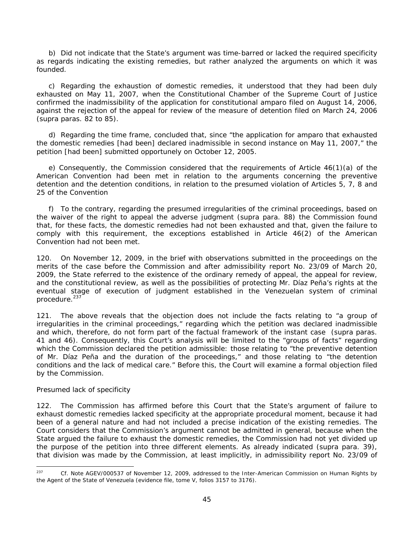b) Did not indicate that the State's argument was time-barred or lacked the required specificity as regards indicating the existing remedies, but rather analyzed the arguments on which it was founded.

 c) Regarding the exhaustion of domestic remedies, it understood that they had been duly exhausted on May 11, 2007, when the Constitutional Chamber of the Supreme Court of Justice confirmed the inadmissibility of the application for constitutional *amparo* filed on August 14, 2006, against the rejection of the appeal for review of the measure of detention filed on March 24, 2006 (*supra* paras. 82 to 85).

 d) Regarding the time frame, concluded that, since "the application for *amparo* that exhausted the domestic remedies [had been] declared inadmissible in second instance on May 11, 2007," the petition [had been] submitted opportunely on October 12, 2005.

 e) Consequently, the Commission considered that the requirements of Article 46(1)(a) of the American Convention had been met in relation to the arguments concerning the preventive detention and the detention conditions, in relation to the presumed violation of Articles 5, 7, 8 and 25 of the Convention

 f) To the contrary, regarding the presumed irregularities of the criminal proceedings, based on the waiver of the right to appeal the adverse judgment (*supra* para. 88) the Commission found that, for these facts, the domestic remedies had not been exhausted and that, given the failure to comply with this requirement, the exceptions established in Article 46(2) of the American Convention had not been met.

120. On November 12, 2009, in the brief with observations submitted in the proceedings on the merits of the case before the Commission and after admissibility report No. 23/09 of March 20, 2009, the State referred to the existence of the ordinary remedy of appeal, the appeal for review, and the constitutional review, as well as the possibilities of protecting Mr. Díaz Peña's rights at the eventual stage of execution of judgment established in the Venezuelan system of criminal procedure.<sup>237</sup>

121. The above reveals that the objection does not include the facts relating to "a group of irregularities in the criminal proceedings," regarding which the petition was declared inadmissible and which, therefore, do not form part of the factual framework of the instant case (*supra* paras. 41 and 46). Consequently, this Court's analysis will be limited to the "groups of facts" regarding which the Commission declared the petition admissible: those relating to "the preventive detention of Mr. Díaz Peña and the duration of the proceedings," and those relating to "the detention conditions and the lack of medical care." Before this, the Court will examine a formal objection filed by the Commission.

### *Presumed lack of specificity*

122. The Commission has affirmed before this Court that the State's argument of failure to exhaust domestic remedies lacked specificity at the appropriate procedural moment, because it had been of a general nature and had not included a precise indication of the existing remedies. The Court considers that the Commission's argument cannot be admitted in general, because when the State argued the failure to exhaust the domestic remedies, the Commission had not yet divided up the purpose of the petition into three different elements. As already indicated (*supra* para. 39), that division was made by the Commission, at least implicitly, in admissibility report No. 23/09 of

 $237$ 237 *Cf.* Note AGEV/000537 of November 12, 2009, addressed to the Inter-American Commission on Human Rights by the Agent of the State of Venezuela (evidence file, tome V, folios 3157 to 3176).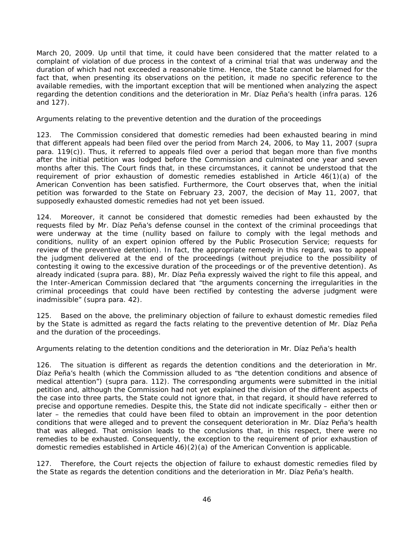March 20, 2009. Up until that time, it could have been considered that the matter related to a complaint of violation of due process in the context of a criminal trial that was underway and the duration of which had not exceeded a reasonable time. Hence, the State cannot be blamed for the fact that, when presenting its observations on the petition, it made no specific reference to the available remedies, with the important exception that will be mentioned when analyzing the aspect regarding the detention conditions and the deterioration in Mr. Díaz Peña's health (*infra* paras. 126 and 127).

#### *Arguments relating to the preventive detention and the duration of the proceedings*

123. The Commission considered that domestic remedies had been exhausted bearing in mind that different appeals had been filed over the period from March 24, 2006, to May 11, 2007 (*supra*  para. 119(c)). Thus, it referred to appeals filed over a period that began more than five months after the initial petition was lodged before the Commission and culminated one year and seven months after this. The Court finds that, in these circumstances, it cannot be understood that the requirement of prior exhaustion of domestic remedies established in Article 46(1)(a) of the American Convention has been satisfied. Furthermore, the Court observes that, when the initial petition was forwarded to the State on February 23, 2007, the decision of May 11, 2007, that supposedly exhausted domestic remedies had not yet been issued.

124. Moreover, it cannot be considered that domestic remedies had been exhausted by the requests filed by Mr. Díaz Peña's defense counsel in the context of the criminal proceedings that were underway at the time (nullity based on failure to comply with the legal methods and conditions, nullity of an expert opinion offered by the Public Prosecution Service; requests for review of the preventive detention). In fact, the appropriate remedy in this regard, was to appeal the judgment delivered at the end of the proceedings (without prejudice to the possibility of contesting it owing to the excessive duration of the proceedings or of the preventive detention). As already indicated (*supra* para. 88), Mr. Díaz Peña expressly waived the right to file this appeal, and the Inter-American Commission declared that "the arguments concerning the irregularities in the criminal proceedings that could have been rectified by contesting the adverse judgment were inadmissible" (*supra* para. 42).

125. Based on the above, *the preliminary objection of failure to exhaust domestic remedies filed by the State is admitted as regard the facts relating to the preventive detention of Mr. Díaz Peña and the duration of the proceedings.*

#### *Arguments relating to the detention conditions and the deterioration in Mr. Díaz Peña's health*

126. The situation is different as regards the detention conditions and the deterioration in Mr. Díaz Peña's health (which the Commission alluded to as "the detention conditions and absence of medical attention") (*supra* para. 112). The corresponding arguments were submitted in the initial petition and, although the Commission had not yet explained the division of the different aspects of the case into three parts, the State could not ignore that, in that regard, it should have referred to precise and opportune remedies. Despite this, the State did not indicate specifically – either then or later – the remedies that could have been filed to obtain an improvement in the poor detention conditions that were alleged and to prevent the consequent deterioration in Mr. Díaz Peña's health that was alleged. That omission leads to the conclusions that, in this respect, there were no remedies to be exhausted. Consequently, the exception to the requirement of prior exhaustion of domestic remedies established in Article 46)(2)(a) of the American Convention is applicable.

127. Therefore, *the Court rejects the objection of failure to exhaust domestic remedies filed by the State as regards the detention conditions and the deterioration in Mr. Díaz Peña's health.*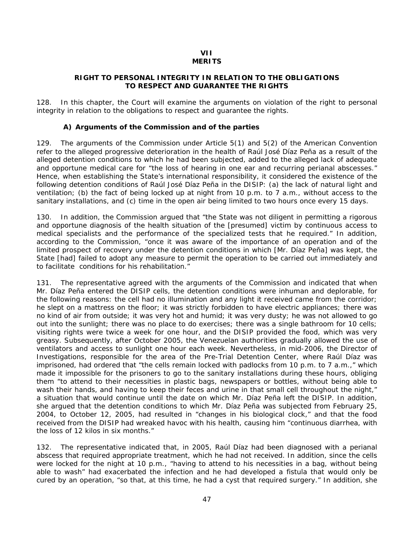#### **VII MERITS**

### **RIGHT TO PERSONAL INTEGRITY IN RELATION TO THE OBLIGATIONS TO RESPECT AND GUARANTEE THE RIGHTS**

128. In this chapter, the Court will examine the arguments on violation of the right to personal integrity in relation to the obligations to respect and guarantee the rights.

### *A) Arguments of the Commission and of the parties*

129. The arguments of the Commission under Article 5(1) and 5(2) of the American Convention refer to the alleged progressive deterioration in the health of Raúl José Díaz Peña as a result of the alleged detention conditions to which he had been subjected, added to the alleged lack of adequate and opportune medical care for "the loss of hearing in one ear and recurring perianal abscesses." Hence, when establishing the State's international responsibility, it considered the existence of the following detention conditions of Raúl José Díaz Peña in the DISIP: (a) the lack of natural light and ventilation; (b) the fact of being locked up at night from 10 p.m. to 7 a.m., without access to the sanitary installations, and (c) time in the open air being limited to two hours once every 15 days.

130. In addition, the Commission argued that "the State was not diligent in permitting a rigorous and opportune diagnosis of the health situation of the [presumed] victim by continuous access to medical specialists and the performance of the specialized tests that he required." In addition, according to the Commission, "once it was aware of the importance of an operation and of the limited prospect of recovery under the detention conditions in which [Mr. Díaz Peña] was kept, the State [had] failed to adopt any measure to permit the operation to be carried out immediately and to facilitate conditions for his rehabilitation."

131. The representative agreed with the arguments of the Commission and indicated that when Mr. Díaz Peña entered the DISIP cells, the detention conditions were inhuman and deplorable, for the following reasons: the cell had no illumination and any light it received came from the corridor; he slept on a mattress on the floor; it was strictly forbidden to have electric appliances; there was no kind of air from outside; it was very hot and humid; it was very dusty; he was not allowed to go out into the sunlight; there was no place to do exercises; there was a single bathroom for 10 cells; visiting rights were twice a week for one hour, and the DISIP provided the food, which was very greasy. Subsequently, after October 2005, the Venezuelan authorities gradually allowed the use of ventilators and access to sunlight one hour each week. Nevertheless, in mid-2006, the Director of Investigations, responsible for the area of the Pre-Trial Detention Center, where Raúl Díaz was imprisoned, had ordered that "the cells remain locked with padlocks from 10 p.m. to 7 a.m.," which made it impossible for the prisoners to go to the sanitary installations during these hours, obliging them "to attend to their necessities in plastic bags, newspapers or bottles, without being able to wash their hands, and having to keep their feces and urine in that small cell throughout the night," a situation that would continue until the date on which Mr. Díaz Peña left the DISIP. In addition, she argued that the detention conditions to which Mr. Díaz Peña was subjected from February 25, 2004, to October 12, 2005, had resulted in "changes in his biological clock," and that the food received from the DISIP had wreaked havoc with his health, causing him "continuous diarrhea, with the loss of 12 kilos in six months."

132. The representative indicated that, in 2005, Raúl Díaz had been diagnosed with a perianal abscess that required appropriate treatment, which he had not received. In addition, since the cells were locked for the night at 10 p.m., "having to attend to his necessities in a bag, without being able to wash" had exacerbated the infection and he had developed a fistula that would only be cured by an operation, "so that, at this time, he had a cyst that required surgery." In addition, she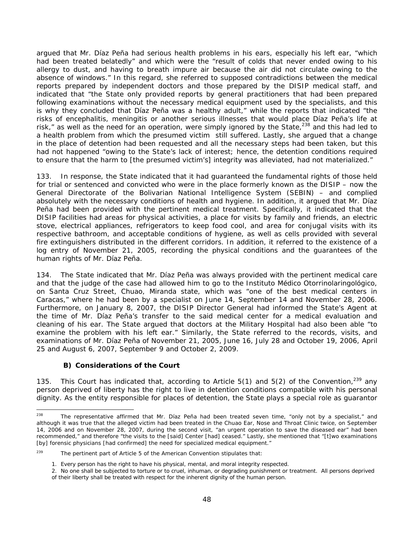argued that Mr. Díaz Peña had serious health problems in his ears, especially his left ear, "which had been treated belatedly" and which were the "result of colds that never ended owing to his allergy to dust, and having to breath impure air because the air did not circulate owing to the absence of windows." In this regard, she referred to supposed contradictions between the medical reports prepared by independent doctors and those prepared by the DISIP medical staff, and indicated that "the State only provided reports by general practitioners that had been prepared following examinations without the necessary medical equipment used by the specialists, and this is why they concluded that Díaz Peña was a healthy adult," while the reports that indicated "the risks of encephalitis, meningitis or another serious illnesses that would place Díaz Peña's life at risk," as well as the need for an operation, were simply ignored by the State,<sup>238</sup> and this had led to a health problem from which the presumed victim still suffered. Lastly, she argued that a change in the place of detention had been requested and all the necessary steps had been taken, but this had not happened "owing to the State's lack of interest; hence, the detention conditions required to ensure that the harm to [the presumed victim's] integrity was alleviated, had not materialized."

133. In response, the State indicated that it had guaranteed the fundamental rights of those held for trial or sentenced and convicted who were in the place formerly known as the DISIP – now the General Directorate of the Bolivarian National Intelligence System (SEBIN) – and complied absolutely with the necessary conditions of health and hygiene. In addition, it argued that Mr. Díaz Peña had been provided with the pertinent medical treatment. Specifically, it indicated that the DISIP facilities had areas for physical activities, a place for visits by family and friends, an electric stove, electrical appliances, refrigerators to keep food cool, and area for conjugal visits with its respective bathroom, and acceptable conditions of hygiene, as well as cells provided with several fire extinguishers distributed in the different corridors. In addition, it referred to the existence of a log entry of November 21, 2005, recording the physical conditions and the guarantees of the human rights of Mr. Díaz Peña.

134. The State indicated that Mr. Díaz Peña was always provided with the pertinent medical care and that the judge of the case had allowed him to go to the *Instituto Médico Otorrinolaringológico*, on Santa Cruz Street, Chuao, Miranda state, which was "one of the best medical centers in Caracas," where he had been by a specialist on June 14, September 14 and November 28, 2006. Furthermore, on January 8, 2007, the DISIP Director General had informed the State's Agent at the time of Mr. Díaz Peña's transfer to the said medical center for a medical evaluation and cleaning of his ear. The State argued that doctors at the Military Hospital had also been able "to examine the problem with his left ear." Similarly, the State referred to the records, visits, and examinations of Mr. Díaz Peña of November 21, 2005, June 16, July 28 and October 19, 2006, April 25 and August 6, 2007, September 9 and October 2, 2009.

### *B) Considerations of the Court*

135. This Court has indicated that, according to Article 5(1) and 5(2) of the Convention,  $239$  any person deprived of liberty has the right to live in detention conditions compatible with his personal dignity. As the entity responsible for places of detention, the State plays a special role as guarantor

<sup>238</sup> The representative affirmed that Mr. Díaz Peña had been treated seven time, "only not by a specialist," and although it was true that the alleged victim had been treated in the Chuao Ear, Nose and Throat Clinic twice, on September 14, 2006 and on November 28, 2007, during the second visit, "an urgent operation to save the diseased ear" had been recommended," and therefore "the visits to the [said] Center [had] ceased." Lastly, she mentioned that "[t]wo examinations [by] forensic physicians [had confirmed] the need for specialized medical equipment."

 $239$  The pertinent part of Article 5 of the American Convention stipulates that:

<sup>1.</sup> Every person has the right to have his physical, mental, and moral integrity respected.

<sup>2.</sup> No one shall be subjected to torture or to cruel, inhuman, or degrading punishment or treatment. All persons deprived of their liberty shall be treated with respect for the inherent dignity of the human person.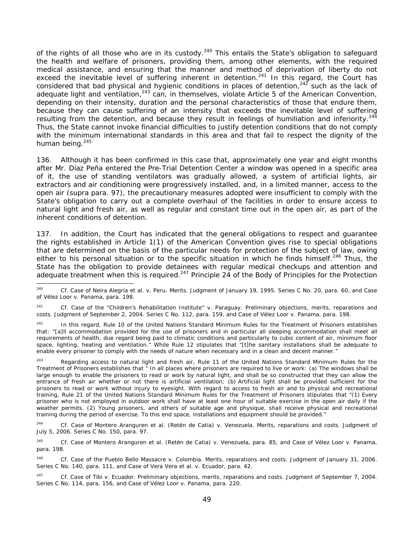of the rights of all those who are in its custody.<sup>240</sup> This entails the State's obligation to safeguard the health and welfare of prisoners, providing them, among other elements, with the required medical assistance, and ensuring that the manner and method of deprivation of liberty do not exceed the inevitable level of suffering inherent in detention.<sup>241</sup> In this regard, the Court has considered that bad physical and hygienic conditions in places of detention,  $242$  such as the lack of adequate light and ventilation,<sup>243</sup> can, in themselves, violate Article 5 of the American Convention, depending on their intensity, duration and the personal characteristics of those that endure them, because they can cause suffering of an intensity that exceeds the inevitable level of suffering resulting from the detention, and because they result in feelings of humiliation and inferiority.<sup>244</sup> Thus, the State cannot invoke financial difficulties to justify detention conditions that do not comply with the minimum international standards in this area and that fail to respect the dignity of the human being. $245$ 

136. Although it has been confirmed in this case that, approximately one year and eight months after Mr. Díaz Peña entered the Pre-Trial Detention Center a window was opened in a specific area of it, the use of standing ventilators was gradually allowed, a system of artificial lights, air extractors and air conditioning were progressively installed, and, in a limited manner, access to the open air (*supra* para. 97), the precautionary measures adopted were insufficient to comply with the State's obligation to carry out a complete overhaul of the facilities in order to ensure access to natural light and fresh air, as well as regular and constant time out in the open air, as part of the inherent conditions of detention.

137. In addition, the Court has indicated that the general obligations to respect and guarantee the rights established in Article 1(1) of the American Convention gives rise to special obligations that are determined on the basis of the particular needs for protection of the subject of law, owing either to his personal situation or to the specific situation in which he finds himself.<sup>246</sup> Thus, the State has the obligation to provide detainees with regular medical checkups and attention and adequate treatment when this is required.<sup>247</sup> Principle 24 of the Body of Principles for the Protection

<sup>240</sup> 240 *Cf. Case of Neira Alegría et al. v. Peru*. *Merits*. Judgment of January 19, 1995. Series C No. 20, para. 60, and *Case of Vélez Loor v. Panama*, para. 198.

<sup>241</sup> *Cf. Case of the "Children's Rehabilitation Institute" v. Paraguay. Preliminary objections, merits, reparations and costs.* Judgment of September 2, 2004. Series C No. 112, para. 159, and *Case of Vélez Loor v. Panama*, para. 198.

<sup>&</sup>lt;sup>242</sup> In this regard, Rule 10 of the United Nations Standard Minimum Rules for the Treatment of Prisoners establishes that: "[a]ll accommodation provided for the use of prisoners and in particular all sleeping accommodation shall meet all requirements of health, due regard being paid to climatic conditions and particularly to cubic content of air, minimum floor space, lighting, heating and ventilation." While Rule 12 stipulates that "[t]he sanitary installations shall be adequate to enable every prisoner to comply with the needs of nature when necessary and in a clean and decent manner."

<sup>&</sup>lt;sup>243</sup> Regarding access to natural light and fresh air, Rule 11 of the United Nations Standard Minimum Rules for the Treatment of Prisoners establishes that " In all places where prisoners are required to live or work: (a) The windows shall be large enough to enable the prisoners to read or work by natural light, and shall be so constructed that they can allow the entrance of fresh air whether or not there is artificial ventilation; (b) Artificial light shall be provided sufficient for the prisoners to read or work without injury to eyesight. With regard to access to fresh air and to physical and recreational training, Rule 21 of the United Nations Standard Minimum Rules for the Treatment of Prisoners stipulates that "(1) Every prisoner who is not employed in outdoor work shall have at least one hour of suitable exercise in the open air daily if the weather permits. (2) Young prisoners, and others of suitable age and physique, shall receive physical and recreational training during the period of exercise. To this end space, installations and equipment should be provided."

<sup>244</sup> *Cf. Case of Montero Aranguren et al. (Retén de Catia) v. Venezuela. Merits, reparations and costs.* Judgment of July 5, 2006. Series C No. 150, para. 97.

<sup>245</sup> *Cf. Case of Montero Aranguren et al. (Retén de Catia) v. Venezuela*, para. 85, and *Case of Vélez Loor v. Panama*, para. 198.

<sup>&</sup>lt;sup>246</sup> *Cf. Case of the Pueblo Bello Massacre v. Colombia. Merits, reparations and costs. Judgment of January 31, 2006.* Series C No. 140, para. 111, and *Case of Vera Vera et al. v. Ecuador*, para. 42.

<sup>247</sup> *Cf. Case of Tibi v. Ecuador. Preliminary objections, merits, reparations and costs.* Judgment of September 7, 2004. Series C No. 114, para. 156, and *Case of Vélez Loor v. Panama*, para. 220.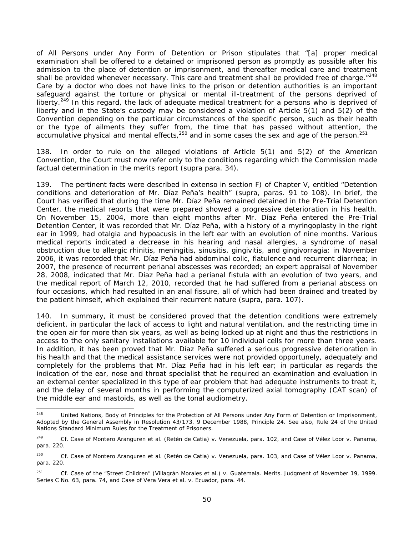of All Persons under Any Form of Detention or Prison stipulates that "[a] proper medical examination shall be offered to a detained or imprisoned person as promptly as possible after his admission to the place of detention or imprisonment, and thereafter medical care and treatment shall be provided whenever necessary. This care and treatment shall be provided free of charge."<sup>248</sup> Care by a doctor who does not have links to the prison or detention authorities is an important safeguard against the torture or physical or mental ill-treatment of the persons deprived of liberty.<sup>249</sup> In this regard, the lack of adequate medical treatment for a persons who is deprived of liberty and in the State's custody may be considered a violation of Article 5(1) and 5(2) of the Convention depending on the particular circumstances of the specific person, such as their health or the type of ailments they suffer from, the time that has passed without attention, the accumulative physical and mental effects,  $250$  and in some cases the sex and age of the person.  $251$ 

138. In order to rule on the alleged violations of Article 5(1) and 5(2) of the American Convention, the Court must now refer only to the conditions regarding which the Commission made factual determination in the merits report (*supra* para. 34).

139. The pertinent facts were described *in extenso* in section F) of Chapter V, entitled "Detention conditions and deterioration of Mr. Díaz Peña's health" (*supra,* paras. 91 to 108). In brief, the Court has verified that during the time Mr. Díaz Peña remained detained in the Pre-Trial Detention Center, the medical reports that were prepared showed a progressive deterioration in his health. On November 15, 2004, more than eight months after Mr. Díaz Peña entered the Pre-Trial Detention Center, it was recorded that Mr. Díaz Peña, with a history of a myringoplasty in the right ear in 1999, had otalgia and hypoacusis in the left ear with an evolution of nine months. Various medical reports indicated a decrease in his hearing and nasal allergies, a syndrome of nasal obstruction due to allergic rhinitis, meningitis, sinusitis, gingivitis, and gingivorragia; in November 2006, it was recorded that Mr. Díaz Peña had abdominal colic, flatulence and recurrent diarrhea; in 2007, the presence of recurrent perianal abscesses was recorded; an expert appraisal of November 28, 2008, indicated that Mr. Díaz Peña had a perianal fistula with an evolution of two years, and the medical report of March 12, 2010, recorded that he had suffered from a perianal abscess on four occasions, which had resulted in an anal fissure, all of which had been drained and treated by the patient himself, which explained their recurrent nature (*supra,* para. 107).

140. In summary, it must be considered proved that the detention conditions were extremely deficient, in particular the lack of access to light and natural ventilation, and the restricting time in the open air for more than six years, as well as being locked up at night and thus the restrictions in access to the only sanitary installations available for 10 individual cells for more than three years. In addition, it has been proved that Mr. Díaz Peña suffered a serious progressive deterioration in his health and that the medical assistance services were not provided opportunely, adequately and completely for the problems that Mr. Díaz Peña had in his left ear; in particular as regards the indication of the ear, nose and throat specialist that he required an examination and evaluation in an external center specialized in this type of ear problem that had adequate instruments to treat it, and the delay of several months in performing the computerized axial tomography (CAT scan) of the middle ear and mastoids, as well as the tonal audiometry.

<sup>248</sup> United Nations, Body of Principles for the Protection of All Persons under Any Form of Detention or Imprisonment, Adopted by the General Assembly in Resolution 43/173, 9 December 1988, Principle 24. See also, Rule 24 of the United Nations Standard Minimum Rules for the *Treatment* of Prisoners.

<sup>249</sup> *Cf. Case of Montero Aranguren et al. (Retén de Catia) v. Venezuela*, para. 102, and *Case of Vélez Loor v. Panama*, para. 220.

<sup>&</sup>lt;sup>250</sup> Cf. Case of Montero Aranguren et al. (Retén de Catia) v. Venezuela, para. 103, and Case of Vélez Loor v. Panama, para. 220.

<sup>251</sup> *Cf. Case of the "Street Children" (Villagrán Morales et al.) v. Guatemala. Merits.* Judgment of November 19, 1999. Series C No. 63, para. 74, and *Case of Vera Vera et al. v. Ecuador*, para. 44.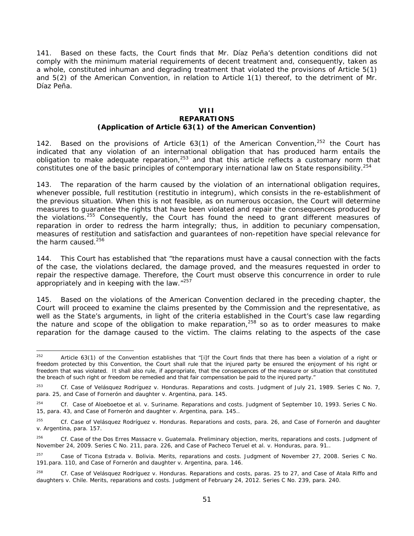141. Based on these facts, *the Court finds that Mr. Díaz Peña's detention conditions did not comply with the minimum material requirements of decent treatment and, consequently, taken as a whole, constituted inhuman and degrading treatment that violated the provisions of Article 5(1) and 5(2) of the American Convention, in relation to Article 1(1) thereof, to the detriment of Mr. Díaz Peña.*

#### **VIII REPARATIONS (Application of Article 63(1) of the American Convention)**

142. Based on the provisions of Article  $63(1)$  of the American Convention,<sup>252</sup> the Court has indicated that any violation of an international obligation that has produced harm entails the obligation to make adequate reparation, $253$  and that this article reflects a customary norm that constitutes one of the basic principles of contemporary international law on State responsibility.<sup>254</sup>

143. The reparation of the harm caused by the violation of an international obligation requires, whenever possible, full restitution (*restitutio in integrum*), which consists in the re-establishment of the previous situation. When this is not feasible, as on numerous occasion, the Court will determine measures to guarantee the rights that have been violated and repair the consequences produced by the violations.<sup>255</sup> Consequently, the Court has found the need to grant different measures of reparation in order to redress the harm integrally; thus, in addition to pecuniary compensation, measures of restitution and satisfaction and guarantees of non-repetition have special relevance for the harm caused. $256$ 

144. This Court has established that "the reparations must have a causal connection with the facts of the case, the violations declared, the damage proved, and the measures requested in order to repair the respective damage. Therefore, the Court must observe this concurrence in order to rule appropriately and in keeping with the law."<sup>257</sup>

145. Based on the violations of the American Convention declared in the preceding chapter, the Court will proceed to examine the claims presented by the Commission and the representative, as well as the State's arguments, in light of the criteria established in the Court's case law regarding the nature and scope of the obligation to make reparation, $258$  so as to order measures to make reparation for the damage caused to the victim. The claims relating to the aspects of the case

<sup>252</sup> Article 63(1) of the Convention establishes that "[i]f the Court finds that there has been a violation of a right or freedom protected by this Convention, the Court shall rule that the injured party be ensured the enjoyment of his right or freedom that was violated. It shall also rule, if appropriate, that the consequences of the measure or situation that constituted the breach of such right or freedom be remedied and that fair compensation be paid to the injured party."

<sup>253</sup> *Cf. Case of Velásquez Rodríguez v. Honduras. Reparations and costs*. Judgment of July 21, 1989. Series C No. 7, para. 25, and *Case of Fornerón and daughter v. Argentina*, para. 145.

<sup>254</sup> *Cf. Case of Aloeboetoe et al. v. Suriname. Reparations and costs.* Judgment of September 10, 1993. Series C No. 15, para. 43, and *Case of Fornerón and daughter v. Argentina*, para. 145..

<sup>255</sup> *Cf. Case of Velásquez Rodríguez v. Honduras. Reparations and costs*, para. 26, and *Case of Fornerón and daughter v. Argentina*, para. 157.

<sup>256</sup> *Cf. Case of* the *Dos Erres Massacre v. Guatemala. Preliminary objection, merits, reparations and costs.* Judgment of November 24, 2009. Series C No. 211, para. 226, and *Case of Pacheco Teruel et al. v. Honduras*, para. 91..

<sup>257</sup> *Case of Ticona Estrada v. Bolivia. Merits, reparations and costs.* Judgment of November 27, 2008. Series C No. 191.para. 110, and *Case of Fornerón and daughter v. Argentina*, para. 146.

<sup>&</sup>lt;sup>258</sup> *Cf. Case of Velásquez Rodríguez v. Honduras. Reparations and costs, paras.* 25 to 27, and *Case of Atala Riffo and daughters v. Chile. Merits, reparations and costs*. Judgment of February 24, 2012. Series C No. 239, para. 240.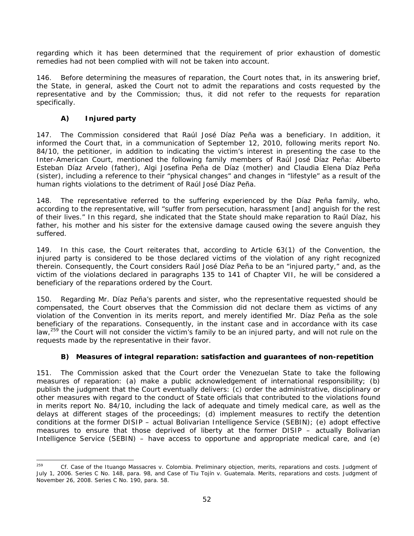regarding which it has been determined that the requirement of prior exhaustion of domestic remedies had not been complied with will not be taken into account.

146. Before determining the measures of reparation, the Court notes that, in its answering brief, the State, in general, asked the Court not to admit the reparations and costs requested by the representative and by the Commission; thus, it did not refer to the requests for reparation specifically.

# *A) Injured party*

147. The Commission considered that Raúl José Díaz Peña was a beneficiary. In addition, it informed the Court that, in a communication of September 12, 2010, following merits report No. 84/10, the petitioner, in addition to indicating the victim's interest in presenting the case to the Inter-American Court, mentioned the following family members of Raúl José Díaz Peña: Alberto Esteban Díaz Arvelo (father), Algi Josefina Peña de Díaz (mother) and Claudia Elena Díaz Peña (sister), including a reference to their "physical changes" and changes in "lifestyle" as a result of the human rights violations to the detriment of Raúl José Díaz Peña.

148. The representative referred to the suffering experienced by the Díaz Peña family, who, according to the representative, will "suffer from persecution, harassment [and] anguish for the rest of their lives." In this regard, she indicated that the State should make reparation to Raúl Díaz, his father, his mother and his sister for the extensive damage caused owing the severe anguish they suffered.

149. In this case, the Court reiterates that, according to Article 63(1) of the Convention, the injured party is considered to be those declared victims of the violation of any right recognized therein. Consequently, the Court considers Raúl José Díaz Peña to be an "injured party," and, as the victim of the violations declared in paragraphs 135 to 141 of Chapter VII, he will be considered a beneficiary of the reparations ordered by the Court.

150. Regarding Mr. Díaz Peña's parents and sister, who the representative requested should be compensated, the Court observes that the Commission did not declare them as victims of any violation of the Convention in its merits report, and merely identified Mr. Díaz Peña as the sole beneficiary of the reparations. Consequently, in the instant case and in accordance with its case law,<sup>259</sup> the Court will not consider the victim's family to be an injured party, and will not rule on the requests made by the representative in their favor.

# *B) Measures of integral reparation: satisfaction and guarantees of non-repetition*

151. The Commission asked that the Court order the Venezuelan State to take the following measures of reparation: (a) make a public acknowledgement of international responsibility; (b) publish the judgment that the Court eventually delivers: (c) order the administrative, disciplinary or other measures with regard to the conduct of State officials that contributed to the violations found in merits report No. 84/10, including the lack of adequate and timely medical care, as well as the delays at different stages of the proceedings; (d) implement measures to rectify the detention conditions at the former DISIP – actual Bolivarian Intelligence Service (SEBIN); (e) adopt effective measures to ensure that those deprived of liberty at the former DISIP – actually Bolivarian Intelligence Service (SEBIN) – have access to opportune and appropriate medical care, and (e)

<sup>259</sup> 259 *Cf. Case of the Ituango Massacres v. Colombia. Preliminary objection, merits, reparations and costs.* Judgment of July 1, 2006. Series C No. 148, para. 98, and *Case of Tiu Tojín v. Guatemala. Merits, reparations and costs.* Judgment of November 26, 2008. Series C No. 190, para. 58.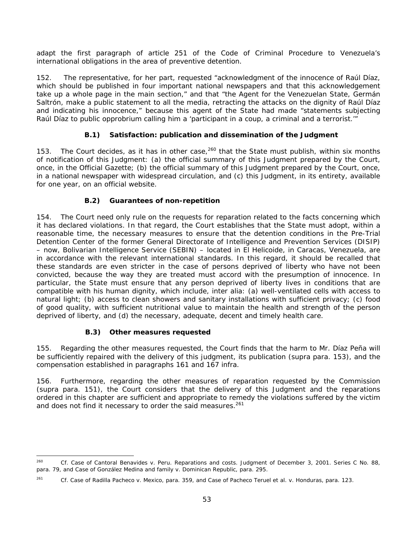adapt the first paragraph of article 251 of the Code of Criminal Procedure to Venezuela's international obligations in the area of preventive detention.

152. The representative, for her part, requested "acknowledgment of the innocence of Raúl Díaz, which should be published in four important national newspapers and that this acknowledgement take up a whole page in the main section," and that "the Agent for the Venezuelan State, Germán Saltrón, make a public statement to all the media, retracting the attacks on the dignity of Raúl Díaz and indicating his innocence," because this agent of the State had made "statements subjecting Raúl Díaz to public opprobrium calling him a 'participant in a coup, a criminal and a terrorist.'"

## **B.1) Satisfaction: publication and dissemination of the Judgment**

153. The Court decides, as it has in other case,  $260$  that the State must publish, within six months of notification of this Judgment: (a) the official summary of this Judgment prepared by the Court, once, in the Official Gazette; (b) the official summary of this Judgment prepared by the Court, once, in a national newspaper with widespread circulation, and (c) this Judgment, in its entirety, available for one year, on an official website.

# **B.2) Guarantees of non-repetition**

154. The Court need only rule on the requests for reparation related to the facts concerning which it has declared violations. In that regard, the Court establishes that the State must adopt, within a reasonable time, the necessary measures to ensure that the detention conditions in the Pre-Trial Detention Center of the former General Directorate of Intelligence and Prevention Services (DISIP) – now, Bolivarian Intelligence Service (SEBIN) – located in El Helicoide, in Caracas, Venezuela, are in accordance with the relevant international standards. In this regard, it should be recalled that these standards are even stricter in the case of persons deprived of liberty who have not been convicted, because the way they are treated must accord with the presumption of innocence. In particular, the State must ensure that any person deprived of liberty lives in conditions that are compatible with his human dignity, which include, *inter alia*: (a) well-ventilated cells with access to natural light; (b) access to clean showers and sanitary installations with sufficient privacy; (c) food of good quality, with sufficient nutritional value to maintain the health and strength of the person deprived of liberty, and (d) the necessary, adequate, decent and timely health care.

### **B.3) Other measures requested**

155. Regarding the other measures requested, the Court finds that the harm to Mr. Díaz Peña will be sufficiently repaired with the delivery of this judgment, its publication (*supra* para. 153), and the compensation established in paragraphs 161 and 167 *infra*.

156. Furthermore, regarding the other measures of reparation requested by the Commission (*supra* para. 151), the Court considers that the delivery of this Judgment and the reparations ordered in this chapter are sufficient and appropriate to remedy the violations suffered by the victim and does not find it necessary to order the said measures.<sup>261</sup>

<sup>260</sup> 260 *Cf. Case of Cantoral Benavides v. Peru. Reparations and costs*. Judgment of December 3, 2001. Series C No. 88, para. 79*, and Case of González Medina and family v. Dominican Republic*, para. 295.

<sup>261</sup> *Cf. Case of Radilla Pacheco v. Mexico*, para. 359, and *Case of Pacheco Teruel et al. v. Honduras*, para. 123.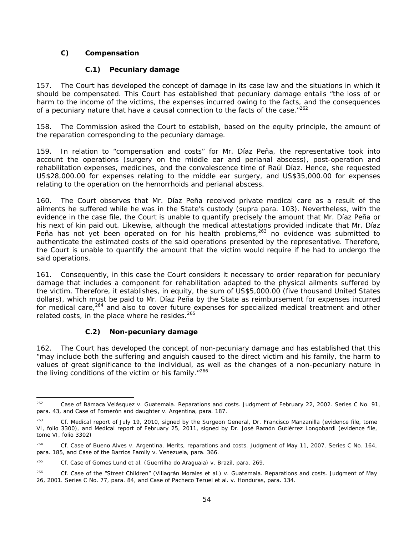## *C) Compensation*

## **C.1) Pecuniary damage**

157. The Court has developed the concept of damage in its case law and the situations in which it should be compensated. This Court has established that pecuniary damage entails "the loss of or harm to the income of the victims, the expenses incurred owing to the facts, and the consequences of a pecuniary nature that have a causal connection to the facts of the case."<sup>262</sup>

158. The Commission asked the Court to establish, based on the equity principle, the amount of the reparation corresponding to the pecuniary damage.

159. In relation to "compensation and costs" for Mr. Díaz Peña, the representative took into account the operations (surgery on the middle ear and perianal abscess), post-operation and rehabilitation expenses, medicines, and the convalescence time of Raúl Díaz. Hence, she requested US\$28,000.00 for expenses relating to the middle ear surgery, and US\$35,000.00 for expenses relating to the operation on the hemorrhoids and perianal abscess.

160. The Court observes that Mr. Díaz Peña received private medical care as a result of the ailments he suffered while he was in the State's custody (*supra* para. 103). Nevertheless, with the evidence in the case file, the Court is unable to quantify precisely the amount that Mr. Díaz Peña or his next of kin paid out. Likewise, although the medical attestations provided indicate that Mr. Díaz Peña has not yet been operated on for his health problems,  $263$  no evidence was submitted to authenticate the estimated costs of the said operations presented by the representative. Therefore, the Court is unable to quantify the amount that the victim would require if he had to undergo the said operations.

161. Consequently, in this case the Court considers it necessary to order reparation for pecuniary damage that includes a component for rehabilitation adapted to the physical ailments suffered by the victim. Therefore, it establishes, in equity, the sum of US\$5,000.00 (five thousand United States dollars), which must be paid to Mr. Díaz Peña by the State as reimbursement for expenses incurred for medical care,<sup>264</sup> and also to cover future expenses for specialized medical treatment and other related costs, in the place where he resides. $265$ 

# **C.2) Non-pecuniary damage**

1

162. The Court has developed the concept of non-pecuniary damage and has established that this "may include both the suffering and anguish caused to the direct victim and his family, the harm to values of great significance to the individual, as well as the changes of a non-pecuniary nature in the living conditions of the victim or his family."266

<sup>262</sup> *Case of Bámaca Velásquez v. Guatemala. Reparations and costs*. Judgment of February 22, 2002. Series C No. 91, para. 43, and *Case of Fornerón and daughter v. Argentina*, para. 187.

<sup>263</sup> *Cf.* Medical report of July 19, 2010, signed by the Surgeon General, Dr. Francisco Manzanilla (evidence file, tome VI, folio 3300), and Medical report of February 25, 2011, signed by Dr. José Ramón Gutiérrez Longobardi (evidence file, tome VI, folio 3302)

<sup>&</sup>lt;sup>264</sup> Cf. Case of Bueno Alves v. Argentina. Merits, reparations and costs. Judgment of May 11, 2007. Series C No. 164, para. 185, and *Case of the Barrios Family v. Venezuela*, para. 366.

<sup>265</sup> *Cf. Case of Gomes Lund et al. (Guerrilha do Araguaia) v. Brazil*, para. 269.

<sup>&</sup>lt;sup>266</sup> Cf. Case of the "Street Children" (Villagrán Morales et al.) v. Guatemala. Reparations and costs. Judgment of May 26, 2001. Series C No. 77, para. 84, and *Case of Pacheco Teruel et al. v. Honduras*, para. 134.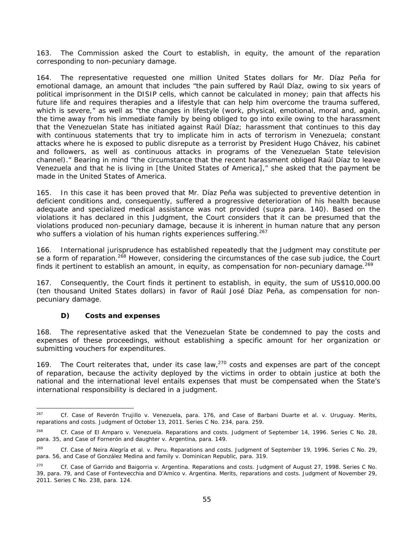163. The Commission asked the Court to establish, in equity, the amount of the reparation corresponding to non-pecuniary damage.

164. The representative requested one million United States dollars for Mr. Díaz Peña for emotional damage, an amount that includes "the pain suffered by Raúl Díaz, owing to six years of political imprisonment in the DISIP cells, which cannot be calculated in money; pain that affects his future life and requires therapies and a lifestyle that can help him overcome the trauma suffered, which is severe," as well as "the changes in lifestyle (work, physical, emotional, moral and, again, the time away from his immediate family by being obliged to go into exile owing to the harassment that the Venezuelan State has initiated against Raúl Díaz; harassment that continues to this day with continuous statements that try to implicate him in acts of terrorism in Venezuela; constant attacks where he is exposed to public disrepute as a terrorist by President Hugo Chávez, his cabinet and followers, as well as continuous attacks in programs of the Venezuelan State television channel)." Bearing in mind "the circumstance that the recent harassment obliged Raúl Díaz to leave Venezuela and that he is living in [the United States of America]," she asked that the payment be made in the United States of America.

165. In this case it has been proved that Mr. Díaz Peña was subjected to preventive detention in deficient conditions and, consequently, suffered a progressive deterioration of his health because adequate and specialized medical assistance was not provided (*supra* para. 140). Based on the violations it has declared in this Judgment, the Court considers that it can be presumed that the violations produced non-pecuniary damage, because it is inherent in human nature that any person who suffers a violation of his human rights experiences suffering.  $267$ 

166. International jurisprudence has established repeatedly that the Judgment may constitute *per se* a form of reparation.268 However, considering the circumstances of the case *sub judice*, the Court finds it pertinent to establish an amount, in equity, as compensation for non-pecuniary damage.  $^{269}$ 

167. Consequently, the Court finds it pertinent to establish, in equity, the sum of US\$10,000.00 (ten thousand United States dollars) in favor of Raúl José Díaz Peña, as compensation for nonpecuniary damage.

### *D) Costs and expenses*

168. The representative asked that the Venezuelan State be condemned to pay the costs and expenses of these proceedings, without establishing a specific amount for her organization or submitting vouchers for expenditures.

169. The Court reiterates that, under its case law,<sup>270</sup> costs and expenses are part of the concept of reparation, because the activity deployed by the victims in order to obtain justice at both the national and the international level entails expenses that must be compensated when the State's international responsibility is declared in a judgment.

<sup>267</sup> 267 *Cf. Case of Reverón Trujillo v. Venezuela,* para. 176, and *Case of Barbani Duarte et al. v. Uruguay. Merits, reparations and costs*. Judgment of October 13, 2011. Series C No. 234, para. 259.

<sup>268</sup> *Cf. Case of El Amparo v. Venezuela. Reparations and costs*. Judgment of September 14, 1996. Series C No. 28, para. 35, and *Case of Fornerón and daughter v. Argentina*, para. 149.

<sup>269</sup> *Cf. Case of Neira Alegría et al. v. Peru. Reparations and costs.* Judgment of September 19, 1996. Series C No. 29, para. 56, and *Case of González Medina and family v. Dominican Republic*, para. 319.

<sup>&</sup>lt;sup>270</sup> *Cf. Case of Garrido and Baigorria v. Argentina. Reparations and costs. Judgment of August 27, 1998. Series C No.* 39, para. 79, and *Case of Fontevecchia and D'Amico v. Argentina. Merits, reparations and costs*. Judgment of November 29, 2011. Series C No. 238, para. 124.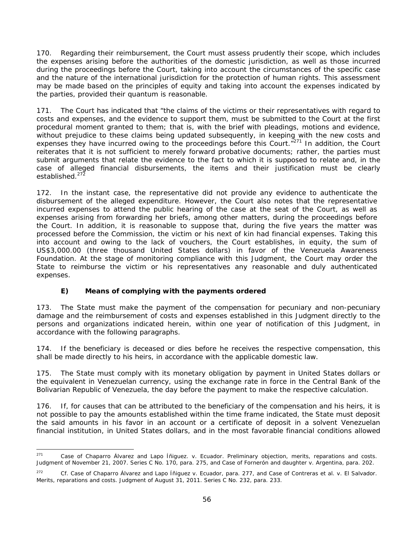170. Regarding their reimbursement, the Court must assess prudently their scope, which includes the expenses arising before the authorities of the domestic jurisdiction, as well as those incurred during the proceedings before the Court, taking into account the circumstances of the specific case and the nature of the international jurisdiction for the protection of human rights. This assessment may be made based on the principles of equity and taking into account the expenses indicated by the parties, provided their *quantum* is reasonable.

171. The Court has indicated that "the claims of the victims or their representatives with regard to costs and expenses, and the evidence to support them, must be submitted to the Court at the first procedural moment granted to them; that is, with the brief with pleadings, motions and evidence, without prejudice to these claims being updated subsequently, in keeping with the new costs and expenses they have incurred owing to the proceedings before this Court."<sup>271</sup> In addition, the Court reiterates that it is not sufficient to merely forward probative documents; rather, the parties must submit arguments that relate the evidence to the fact to which it is supposed to relate and, in the case of alleged financial disbursements, the items and their justification must be clearly established.<sup>272</sup>

172. In the instant case, the representative did not provide any evidence to authenticate the disbursement of the alleged expenditure. However, the Court also notes that the representative incurred expenses to attend the public hearing of the case at the seat of the Court, as well as expenses arising from forwarding her briefs, among other matters, during the proceedings before the Court. In addition, it is reasonable to suppose that, during the five years the matter was processed before the Commission, the victim or his next of kin had financial expenses. Taking this into account and owing to the lack of vouchers, the Court establishes, in equity, the sum of US\$3,000.00 (three thousand United States dollars) in favor of the Venezuela Awareness Foundation. At the stage of monitoring compliance with this Judgment, the Court may order the State to reimburse the victim or his representatives any reasonable and duly authenticated expenses.

# *E) Means of complying with the payments ordered*

173. The State must make the payment of the compensation for pecuniary and non-pecuniary damage and the reimbursement of costs and expenses established in this Judgment directly to the persons and organizations indicated herein, within one year of notification of this Judgment, in accordance with the following paragraphs.

174. If the beneficiary is deceased or dies before he receives the respective compensation, this shall be made directly to his heirs, in accordance with the applicable domestic law.

175. The State must comply with its monetary obligation by payment in United States dollars or the equivalent in Venezuelan currency, using the exchange rate in force in the Central Bank of the Bolivarian Republic of Venezuela, the day before the payment to make the respective calculation.

176. If, for causes that can be attributed to the beneficiary of the compensation and his heirs, it is not possible to pay the amounts established within the time frame indicated, the State must deposit the said amounts in his favor in an account or a certificate of deposit in a solvent Venezuelan financial institution, in United States dollars, and in the most favorable financial conditions allowed

<sup>271</sup> Case of Chaparro Álvarez and Lapo Íñiguez. v. Ecuador. Preliminary objection, merits, reparations and costs. Judgment of November 21, 2007. Series C No. 170, para. 275, and *Case of Fornerón and daughter v. Argentina, para. 202.* 

*<sup>272</sup> Cf. Case of Chaparro Álvarez and Lapo Íñiguez v. Ecuador,* para. 277, and *Case of Contreras et al. v. El Salvador. Merits, reparations and costs.* Judgment of August 31, 2011. Series C No. 232, para. 233.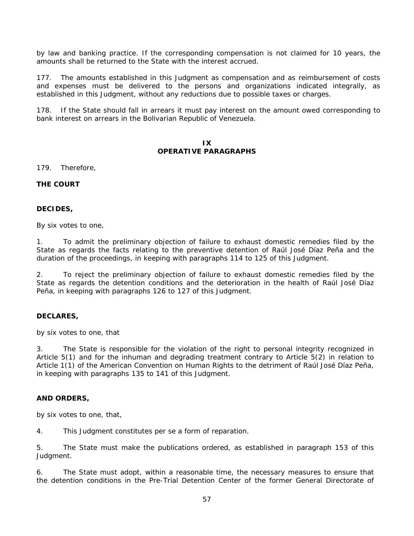by law and banking practice. If the corresponding compensation is not claimed for 10 years, the amounts shall be returned to the State with the interest accrued.

177. The amounts established in this Judgment as compensation and as reimbursement of costs and expenses must be delivered to the persons and organizations indicated integrally, as established in this Judgment, without any reductions due to possible taxes or charges.

178. If the State should fall in arrears it must pay interest on the amount owed corresponding to bank interest on arrears in the Bolivarian Republic of Venezuela.

#### **IX OPERATIVE PARAGRAPHS**

179. Therefore,

### **THE COURT**

#### **DECIDES,**

By six votes to one,

1. To admit the preliminary objection of failure to exhaust domestic remedies filed by the State as regards the facts relating to the preventive detention of Raúl José Díaz Peña and the duration of the proceedings, in keeping with paragraphs 114 to 125 of this Judgment.

2. To reject the preliminary objection of failure to exhaust domestic remedies filed by the State as regards the detention conditions and the deterioration in the health of Raúl José Díaz Peña, in keeping with paragraphs 126 to 127 of this Judgment.

### **DECLARES,**

by six votes to one, that

3. The State is responsible for the violation of the right to personal integrity recognized in Article 5(1) and for the inhuman and degrading treatment contrary to Article 5(2) in relation to Article 1(1) of the American Convention on Human Rights to the detriment of Raúl José Díaz Peña, in keeping with paragraphs 135 to 141 of this Judgment.

### **AND ORDERS,**

by six votes to one, that,

4. This Judgment constitutes *per se* a form of reparation.

5. The State must make the publications ordered, as established in paragraph 153 of this Judgment.

6. The State must adopt, within a reasonable time, the necessary measures to ensure that the detention conditions in the Pre-Trial Detention Center of the former General Directorate of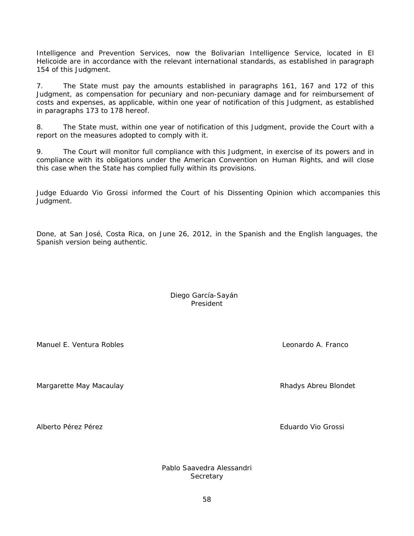Intelligence and Prevention Services, now the Bolivarian Intelligence Service, located in El Helicoide are in accordance with the relevant international standards, as established in paragraph 154 of this Judgment.

7. The State must pay the amounts established in paragraphs 161, 167 and 172 of this Judgment, as compensation for pecuniary and non-pecuniary damage and for reimbursement of costs and expenses, as applicable, within one year of notification of this Judgment, as established in paragraphs 173 to 178 hereof.

8. The State must, within one year of notification of this Judgment, provide the Court with a report on the measures adopted to comply with it.

9. The Court will monitor full compliance with this Judgment, in exercise of its powers and in compliance with its obligations under the American Convention on Human Rights, and will close this case when the State has complied fully within its provisions.

Judge Eduardo Vio Grossi informed the Court of his Dissenting Opinion which accompanies this Judgment.

Done, at San José, Costa Rica, on June 26, 2012, in the Spanish and the English languages, the Spanish version being authentic.

> Diego García-Sayán President

Manuel E. Ventura Robles **Leonardo A. Franco** 

Margarette May Macaulay **Rhamatic Accord Accord Accord Accord Accord Accord Accord Accord Accord Accord Accord A** 

Alberto Pérez Pérez **Eduardo Vio Grossi** et al estado Vio Grossi et al estado Vio Grossi et al estado Vio Grossi

Pablo Saavedra Alessandri **Secretary**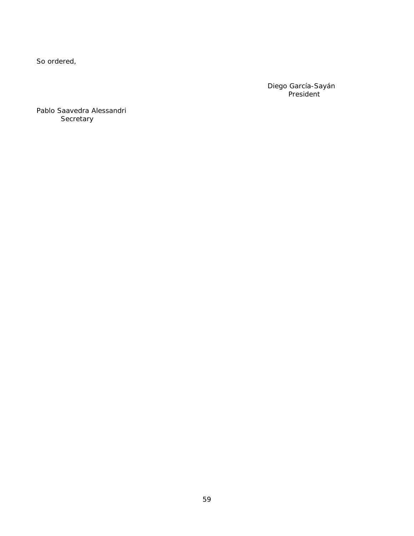So ordered,

Diego García-Sayán President

Pablo Saavedra Alessandri **Secretary**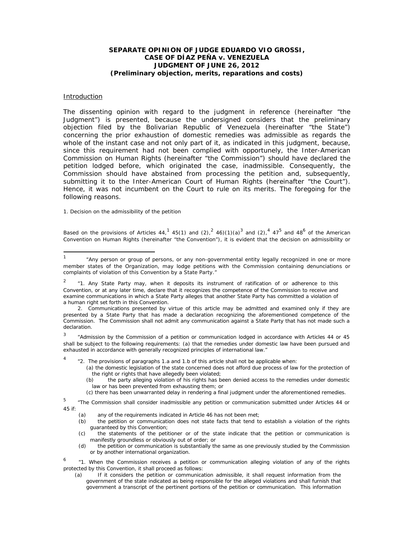#### **SEPARATE OPINION OF JUDGE EDUARDO VIO GROSSI, CASE OF DÍAZ PEÑA** *v.* **VENEZUELA JUDGMENT OF JUNE 26, 2012 (***Preliminary objection, merits, reparations and costs***)**

#### Introduction

-

The dissenting opinion with regard to the judgment in reference (hereinafter "the Judgment") is presented, because the undersigned considers that the preliminary objection filed by the Bolivarian Republic of Venezuela (hereinafter "the State") concerning the prior exhaustion of domestic remedies was admissible as regards the whole of the instant case and not only part of it, as indicated in this judgment, because, since this requirement had not been complied with opportunely, the Inter-American Commission on Human Rights (hereinafter "the Commission") should have declared the petition lodged before, which originated the case, inadmissible. Consequently, the Commission should have abstained from processing the petition and, subsequently, submitting it to the Inter-American Court of Human Rights (hereinafter "the Court"). Hence, it was not incumbent on the Court to rule on its merits. The foregoing for the following reasons.

1. Decision on the admissibility of the petition

Based on the provisions of Articles 44,<sup>1</sup> 45(1) and (2),<sup>2</sup> 46)(1)(a)<sup>3</sup> and (2),<sup>4</sup> 47<sup>5</sup> and 48<sup>6</sup> of the American Convention on Human Rights (hereinafter "the Convention"), it is evident that the decision on admissibility or

*3 "Admission by the Commission of a petition or communication lodged in accordance with Articles 44 or 45 shall be subject to the following requirements: (a) that the remedies under domestic law have been pursued and exhausted in accordance with generally recognized principles of international law."* 

*4 "2. The provisions of paragraphs 1.a and 1.b of this article shall not be applicable when:* 

*(a) the domestic legislation of the state concerned does not afford due process of law for the protection of the right or rights that have allegedly been violated;* 

 *(c) there has been unwarranted delay in rendering a final judgment under the aforementioned remedies.* 

*5 "The Commission shall consider inadmissible any petition or communication submitted under Articles 44 or 45 if:* 

- *(a) any of the requirements indicated in Article 46 has not been met;*
- *(b) the petition or communication does not state facts that tend to establish a violation of the rights guaranteed by this Convention;*
- *(c) the statements of the petitioner or of the state indicate that the petition or communication is manifestly groundless or obviously out of order; or*
- *(d) the petition or communication is substantially the same as one previously studied by the Commission or by another international organization.*

*6 "1. When the Commission receives a petition or communication alleging violation of any of the rights protected by this Convention, it shall proceed as follows:* 

*(a) If it considers the petition or communication admissible, it shall request information from the government of the state indicated as being responsible for the alleged violations and shall furnish that government a transcript of the pertinent portions of the petition or communication. This information* 

<sup>1</sup> "Any person or group of persons, or any non-governmental entity legally recognized in one or more member states of the Organization, may lodge petitions with the Commission containing denunciations or complaints of violation of this Convention by a State Party."

*<sup>2</sup> "1. Any State Party may, when it deposits its instrument of ratification of or adherence to this Convention, or at any later time, declare that it recognizes the competence of the Commission to receive and examine communications in which a State Party alleges that another State Party has committed a violation of a human right set forth in this Convention.* 

 *<sup>2.</sup> Communications presented by virtue of this article may be admitted and examined only if they are presented by a State Party that has made a declaration recognizing the aforementioned competence of the Commission. The Commission shall not admit any communication against a State Party that has not made such a declaration.* 

 *<sup>(</sup>b) the party alleging violation of his rights has been denied access to the remedies under domestic law or has been prevented from exhausting them; or*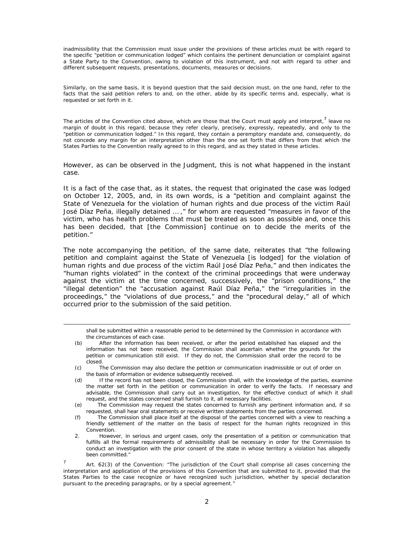inadmissibility that the Commission must issue under the provisions of these articles must be with regard to the specific "*petition or communication lodged*" which contains the pertinent denunciation or complaint against a State Party to the Convention, owing to violation of this instrument, and not with regard to other and different subsequent requests, presentations, documents, measures or decisions.

Similarly, on the same basis, it is beyond question that the said decision must, on the one hand, refer to the facts that the said petition refers to and, on the other, abide by its specific terms and, especially, what is requested or set forth in it.

The articles of the Convention cited above, which are those that the Court must apply and interpret,<sup>7</sup> leave no margin of doubt in this regard, because they refer clearly, precisely, expressly, repeatedly, and only to the "*petition or communication lodged."* In this regard, they contain a peremptory mandate and, consequently, do not concede any margin for an interpretation other than the one set forth that differs from that which the States Parties to the Convention really agreed to in this regard, and as they stated in these articles.

However, as can be observed in the Judgment, this is not what happened in the instant case.

It is a fact of the case that, as it states, the request that originated the case was lodged on October 12, 2005, and, in its own words, is a "*petition and complaint against the State of Venezuela for the violation of human rights and due process of the victim Raúl José Díaz Peña, illegally detained … ,"* for whom are requested "*measures in favor of the victim, who has health problems that must be treated as soon as possible and, once this has been decided, that* [the Commission*] continue on to decide the merits of the petition."* 

The note accompanying the petition, of the same date, reiterates that *"the following petition and complaint against the State of Venezuela* [is lodged] *for the violation of human rights and due process of the victim Raúl José Díaz Peña,"* and then indicates the "*human rights violated*" in the context of the criminal proceedings that were underway against the victim at the time concerned, successively, the "*prison conditions*," the "*illegal detention*" the "*accusation against Raúl Díaz Peña,*" the *"irregularities in the proceedings,"* the *"violations of due process,"* and the *"procedural delay*," all of which occurred prior to the submission of the said petition.

*shall be submitted within a reasonable period to be determined by the Commission in accordance with the circumstances of each case.* 

*(b) After the information has been received, or after the period established has elapsed and the*  information has not been received, the Commission shall ascertain whether the grounds for the *petition or communication still exist. If they do not, the Commission shall order the record to be closed.* 

-

- *(c) The Commission may also declare the petition or communication inadmissible or out of order on the basis of information or evidence subsequently received.*
- *(d) If the record has not been closed, the Commission shall, with the knowledge of the parties, examine the matter set forth in the* petition or *communication in order to verify the facts. If necessary and*  advisable, the Commission shall carry out an investigation, for the effective conduct of which it shall *request, and the states concerned shall furnish to it, all necessary facilities.*
- *(e) The Commission may request the states concerned to furnish any pertinent information and, if so requested, shall hear oral statements or receive written statements from the parties concerned.*
- *(f) The Commission shall place itself at the disposal of the parties concerned with a view to reaching a friendly settlement of the matter on the basis of respect for the human rights recognized in this Convention.*
- *2. However, in serious and urgent cases, only the presentation of a petition or communication that*  fulfills all the formal requirements of admissibility shall be necessary in order for the Commission to *conduct an investigation with the prior consent of the state in whose territory a violation has allegedly been committed."*

<sup>7</sup> Art. 62(3) of the Convention: "The jurisdiction of the Court shall comprise all cases concerning the interpretation and application of the provisions of this Convention that are submitted to it, provided that the States Parties to the case recognize or have recognized such jurisdiction, whether by special declaration pursuant to the preceding paragraphs, or by a special agreement."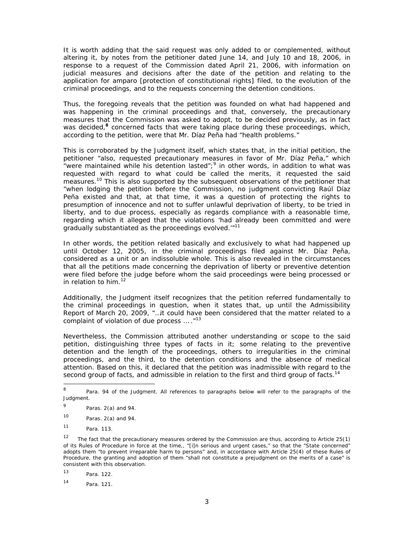It is worth adding that the said request was only added to or complemented, without altering it, by notes from the petitioner dated June 14, and July 10 and 18, 2006, in response to a request of the Commission dated April 21, 2006, with information on judicial measures and decisions after the date of the petition and relating to the application for *amparo* [protection of constitutional rights] filed, to the evolution of the criminal proceedings, and to the requests concerning the detention conditions.

*Thus, the foregoing reveals that the petition was founded on what had happened and was happening in the criminal proceedings and that, conversely, the precautionary measures that the Commission was asked to adopt, to be decided previously, as in fact was decided,<sup>8</sup> concerned facts that were taking place during these proceedings, which, according to the petition, were that Mr. Díaz Peña had "health problems."* 

This is corroborated by the Judgment itself, which states that, in the initial petition, the petitioner "*also, requested precautionary measures in favor of Mr. Díaz Peña,*" which "*were maintained while his detention lasted";*<sup>9</sup> in other words, in addition to what was requested with regard to what could be called the merits, it requested the said measures.<sup>10</sup> This is also supported by the subsequent observations of the petitioner that "*when lodging the petition before the Commission, no judgment convicting Raúl Díaz Peña existed and that, at that time, it was a question of protecting the rights to presumption of innocence and not to suffer unlawful deprivation of liberty, to be tried in liberty, and to due process, especially as regards compliance with a reasonable time,* regarding which it alleged that the violations 'had already been committed and were *gradually substantiated as the proceedings evolved.'"*<sup>11</sup>

In other words, the petition related basically and exclusively to what had happened up until October 12, 2005, in the criminal proceedings filed against Mr. Díaz Peña, considered as a unit or an indissoluble whole. This is also revealed in the circumstances that all the petitions made concerning the deprivation of liberty or preventive detention were filed before the judge before whom the said proceedings were being processed or in relation to him.<sup>12</sup>

Additionally, the Judgment itself recognizes that the petition referred fundamentally to the criminal proceedings in question, when it states that, up until the Admissibility Report of March 20, 2009, *"…it could have been considered that the matter related to a complaint of violation of due process … .*"13

Nevertheless, the Commission attributed another understanding or scope to the said petition, distinguishing three types of facts in it; some relating to the preventive detention and the length of the proceedings, others to irregularities in the criminal proceedings, and the third, to the detention conditions and the absence of medical attention. Based on this, it declared that the petition was inadmissible with regard to the second group of facts, and admissible in relation to the first and third group of facts.<sup>14</sup>

 $\frac{1}{8}$  Para. 94 of the Judgment. All references to paragraphs below will refer to the paragraphs of the Judgment.

<sup>9</sup> Paras. 2(a) and 94.

 $10$  Paras.  $2(a)$  and 94.

<sup>11</sup> Para. 113.

<sup>&</sup>lt;sup>12</sup> The fact that the precautionary measures ordered by the Commission are thus, according to Article 25(1) of its Rules of Procedure in force at the time,, "[*i]n serious and urgent cases,"* so that the "*State concerned"*  adopts them *"to prevent irreparable harm to persons"* and, in accordance with Article 25(4) of these Rules of Procedure, the granting and adoption of them "*shall not constitute a prejudgment on the merits of a case"* is consistent with this observation.

<sup>13</sup> Para. 122.

<sup>14</sup> Para. 121.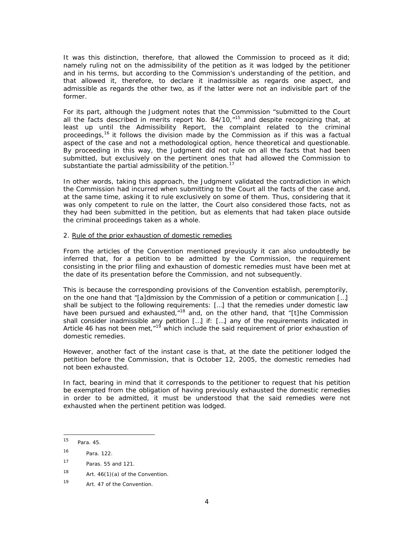It was this distinction, therefore, that allowed the Commission to proceed as it did; namely ruling not on the admissibility of the petition as it was lodged by the petitioner and in his terms, but according to the Commission's understanding of the petition, and that allowed it, therefore, to declare it inadmissible as regards one aspect, and admissible as regards the other two, as if the latter were not an indivisible part of the former.

For its part, although the Judgment notes that the Commission "*submitted to the Court all the facts described in merits report No. 84/10*,*"*15 and despite recognizing that, at least up until the Admissibility Report, the complaint related to the criminal proceedings,<sup>16</sup> it follows the division made by the Commission as if this was a factual aspect of the case and not a methodological option, hence theoretical and questionable. By proceeding in this way, the Judgment did not rule on all the facts that had been submitted, but exclusively on the pertinent ones that had allowed the Commission to substantiate the partial admissibility of the petition.<sup>17</sup>

In other words, taking this approach, the Judgment validated the contradiction in which the Commission had incurred when submitting to the Court all the facts of the case and, at the same time, asking it to rule exclusively on some of them. Thus, considering that it was only competent to rule on the latter, the Court also considered those facts, not as they had been submitted in the petition, but as elements that had taken place outside the criminal proceedings taken as a whole.

#### 2. Rule of the prior exhaustion of domestic remedies

From the articles of the Convention mentioned previously it can also undoubtedly be inferred that, for a petition to be admitted by the Commission, the requirement consisting in the prior filing and exhaustion of domestic remedies must have been met at the date of its presentation before the Commission, and not subsequently.

This is because the corresponding provisions of the Convention establish, peremptorily, on the one hand that "[*a]dmission by the Commission of a petition or communication […] shall be subject to the following requirements: […] that the remedies under domestic law have been pursued and exhausted*,"18 and, on the other hand, that "[*t]he Commission shall consider inadmissible any petition […] if: […] any of the requirements indicated in Article 46 has not been met*,"19 which include the said requirement of prior exhaustion of domestic remedies.

However, another fact of the instant case is that, at the date the petitioner lodged the petition before the Commission, that is October 12, 2005, the domestic remedies had not been exhausted.

In fact, bearing in mind that it corresponds to the petitioner to request that his petition be exempted from the obligation of having previously exhausted the domestic remedies in order to be admitted, it must be understood that the said remedies were not exhausted when the pertinent petition was lodged.

-

<sup>15</sup> Para. 45.

<sup>16</sup> Para. 122.

<sup>17</sup> Paras. 55 and 121.

<sup>18</sup> Art.  $46(1)(a)$  of the Convention.

<sup>19</sup> Art. 47 of the Convention.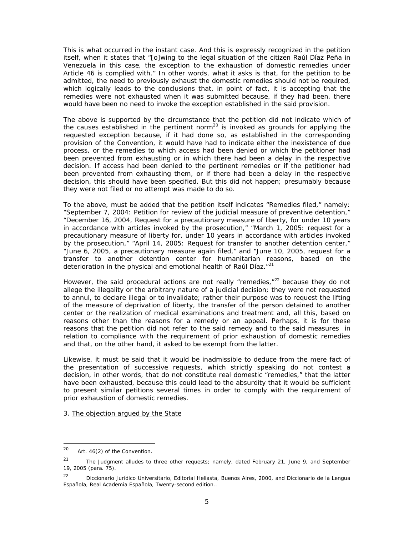This is what occurred in the instant case. And this is expressly recognized in the petition itself, when it states that *"[o]wing to the legal situation of the citizen Raúl Díaz Peña in Venezuela in this case, the exception to the exhaustion of domestic remedies under Article 46 is complied with.*" In other words, what it asks is that, for the petition to be admitted, the need to previously exhaust the domestic remedies should not be required, which logically leads to the conclusions that, in point of fact, it is accepting that the remedies were not exhausted when it was submitted because, if they had been, there would have been no need to invoke the exception established in the said provision.

The above is supported by the circumstance that the petition did not indicate which of the causes established in the pertinent norm<sup>20</sup> is invoked as grounds for applying the requested exception because, if it had done so, as established in the corresponding provision of the Convention, it would have had to indicate either the inexistence of due process, or the remedies to which access had been denied or which the petitioner had been prevented from exhausting or in which there had been a delay in the respective decision. If access had been denied to the pertinent remedies or if the petitioner had been prevented from exhausting them, or if there had been a delay in the respective decision, this should have been specified. But this did not happen; presumably because they were not filed or no attempt was made to do so.

To the above, must be added that the petition itself indicates "*Remedies filed*," namely: *"September 7, 2004: Petition for review of the judicial measure of preventive detention," "December 16, 2004, Request for a precautionary measure of liberty, for under 10 years in accordance with articles invoked by the prosecution," "March 1, 2005: request for a precautionary measure of liberty for, under 10 years in accordance with articles invoked by the prosecution," "April 14, 2005: Request for transfer to another detention center," "June 6, 2005, a precautionary measure again filed,"* and *"June 10, 2005, request for a transfer to another detention center for humanitarian reasons, based on the deterioration in the physical and emotional health of Raúl Díaz.*"21

However, the said procedural actions are not really "remedies, $n^{22}$  because they do not allege the illegality or the arbitrary nature of a judicial decision; they were not requested to annul, to declare illegal or to invalidate; rather their purpose was to request the lifting of the measure of deprivation of liberty, the transfer of the person detained to another center or the realization of medical examinations and treatment and, all this, based on reasons other than the reasons for a remedy or an appeal. Perhaps, it is for these reasons that the petition did not refer to the said remedy and to the said measures in relation to compliance with the requirement of prior exhaustion of domestic remedies and that, on the other hand, it asked to be exempt from the latter.

Likewise, it must be said that it would be inadmissible to deduce from the mere fact of the presentation of successive requests, which strictly speaking do not contest a decision, in other words, that do not constitute real domestic "remedies," that the latter have been exhausted, because this could lead to the absurdity that it would be sufficient to present similar petitions several times in order to comply with the requirement of prior exhaustion of domestic remedies.

#### 3. The objection argued by the State

 $20\degree$ Art. 46(2) of the Convention.

<sup>&</sup>lt;sup>21</sup> The Judgment alludes to three other requests; namely, dated February 21, June 9, and September 19, 2005 (para. 75).

<sup>22</sup> *Diccionario Jurídico Universitario*, Editorial Heliasta, Buenos Aires, 2000, and *Diccionario de la Lengua Española*, Real Academia Española, Twenty-second edition..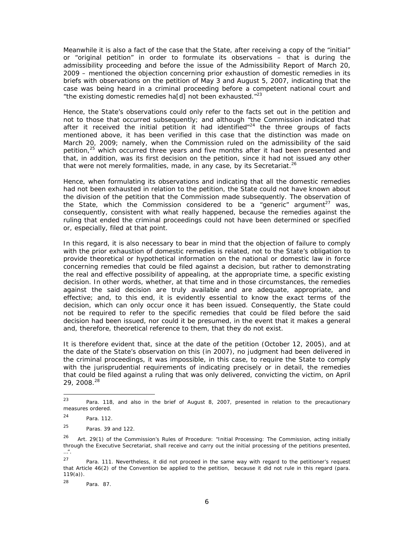Meanwhile it is also a fact of the case that the State, after receiving a copy of the "initial" or "original petition" in order to formulate its observations – that is during the admissibility proceeding and before the issue of the Admissibility Report of March 20, 2009 – mentioned the objection concerning prior exhaustion of domestic remedies in its briefs with observations on the petition of May 3 and August 5, 2007, indicating that the case was being heard in a criminal proceeding before a competent national court and *"the existing domestic remedies ha[d] not been exhausted."*23

Hence, the State's observations could only refer to the facts set out in the petition and not to those that occurred subsequently; and although "*the Commission indicated that after it received the initial petition it had identified*"24 the three groups of facts mentioned above, it has been verified in this case that the distinction was made on March 20, 2009; namely, when the Commission ruled on the admissibility of the said petition,<sup>25</sup> which occurred three years and five months after it had been presented and that, in addition, was its first decision on the petition, since it had not issued any other that were not merely formalities, made, in any case, by its Secretariat.<sup>26</sup>

Hence, when formulating its observations and indicating that all the domestic remedies had not been exhausted in relation to the petition, the State could not have known about the division of the petition that the Commission made subsequently. The observation of the State, which the Commission considered to be a "*generic*" argument<sup>27</sup> was, consequently, consistent with what really happened, because the remedies against the ruling that ended the criminal proceedings could not have been determined or specified or, especially, filed at that point.

In this regard, it is also necessary to bear in mind that the objection of failure to comply with the prior exhaustion of domestic remedies is related, not to the State's obligation to provide theoretical or hypothetical information on the national or domestic law in force concerning remedies that could be filed against a decision, but rather to demonstrating the real and effective possibility of appealing, at the appropriate time, a specific existing decision. In other words, whether, at that time and in those circumstances, the remedies against the said decision are truly available and are adequate, appropriate, and effective; and, to this end, it is evidently essential to know the exact terms of the decision, which can only occur once it has been issued. Consequently, the State could not be required to refer to the specific remedies that could be filed before the said decision had been issued, nor could it be presumed, in the event that it makes a general and, therefore, theoretical reference to them, that they do not exist.

It is therefore evident that, since at the date of the petition (October 12, 2005), and at the date of the State's observation on this (in 2007), no judgment had been delivered in the criminal proceedings, it was impossible, in this case, to require the State to comply with the jurisprudential requirements of indicating precisely or in detail, the remedies that could be filed against a ruling that was only delivered, convicting the victim, on April 29, 2008.28

<sup>23</sup> Para. 118, and also in the brief of August 8, 2007, presented in relation to the precautionary measures ordered.

<sup>24</sup> Para. 112.

<sup>25</sup> Paras. 39 and 122.

<sup>26</sup> Art. 29(1) of the Commission's Rules of Procedure: "*Initial Processing: The Commission, acting initially through the Executive Secretariat, shall receive and carry out the initial processing of the petitions presented, …*".

 $27$  Para. 111. Nevertheless, it did not proceed in the same way with regard to the petitioner's request that Article 46(2) of the Convention be applied to the petition, because it did not rule in this regard (para. 119(a)).

<sup>28</sup> Para. 87.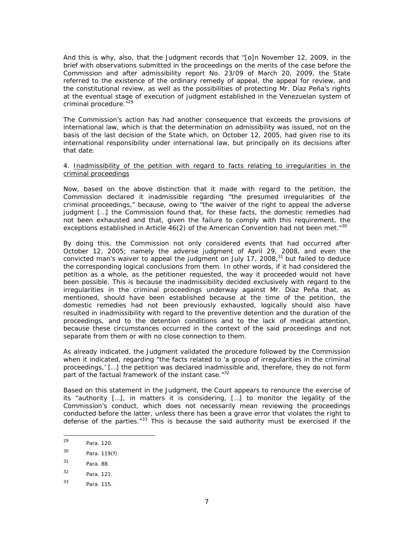And this is why, also, that the Judgment records that *"[o]n November 12, 2009, in the brief with observations submitted in the proceedings on the merits of the case before the Commission and after admissibility report No. 23/09 of March 20, 2009, the State referred to the existence of the ordinary remedy of appeal, the appeal for review, and the constitutional review, as well as the possibilities of protecting Mr. Díaz Peña's rights at the eventual stage of execution of judgment established in the Venezuelan system of criminal procedure*."29

The Commission's action has had another consequence that exceeds the provisions of international law, which is that the determination on admissibility was issued, not on the basis of the last decision of the State which, on October 12, 2005, had given rise to its international responsibility under international law, but principally on its decisions after that date.

#### 4. Inadmissibility of the petition with regard to facts relating to irregularities in the criminal proceedings

Now, based on the above distinction that it made with regard to the petition, the Commission declared it inadmissible regarding "*the presumed irregularities of the criminal proceedings,"* because, owing to "*the waiver of the right to appeal the adverse judgment […] the Commission found that, for these facts, the domestic remedies had not been exhausted and that, given the failure to comply with this requirement, the exceptions established in Article 46(2) of the American Convention had not been met.*"30

By doing this, the Commission not only considered events that had occurred after October 12, 2005; namely the adverse judgment of April 29, 2008, and even the convicted man's waiver to appeal the judgment on July  $17$ , 2008, $31$  but failed to deduce the corresponding logical conclusions from them. In other words, if it had considered the petition as a whole, as the petitioner requested, the way it proceeded would not have been possible. This is because the inadmissibility decided exclusively with regard to the irregularities in the criminal proceedings underway against Mr. Díaz Peña that, as mentioned, should have been established because at the time of the petition, the domestic remedies had not been previously exhausted, logically should also have resulted in inadmissibility with regard to the preventive detention and the duration of the proceedings, and to the detention conditions and to the lack of medical attention, because these circumstances occurred in the context of the said proceedings and not separate from them or with no close connection to them.

As already indicated, the Judgment validated the procedure followed by the Commission when it indicated, regarding "*the facts related to 'a group of irregularities in the criminal proceedings,' […] the petition was declared inadmissible and, therefore, they do not form part of the factual framework of the instant case.*"32

Based on this statement in the Judgment, the Court appears to renounce the exercise of its "*authority […], in matters it is considering, […] to monitor the legality of the Commission's conduct, which does not necessarily mean reviewing the proceedings conducted before the latter, unless there has been a grave error that violates the right to defense of the parties.*"33 This is because the said authority must be exercised if the

 $29$ Para. 120.

<sup>30</sup> Para. 119(f).

<sup>31</sup> Para. 88.

<sup>32</sup> Para. 121.

<sup>33</sup> Para. 115.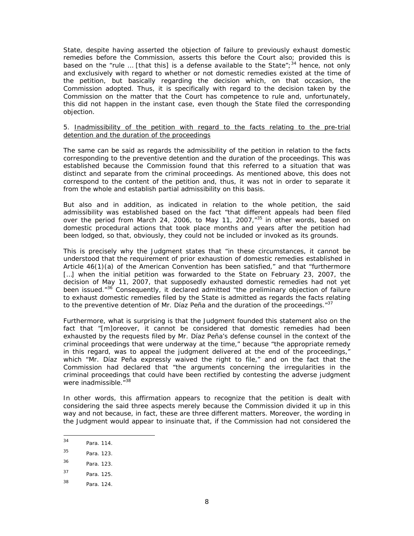State, despite having asserted the objection of failure to previously exhaust domestic remedies before the Commission, asserts this before the Court also; provided this is based on the "*rule …* [that this] *is a defense available to the State";*34 hence, not only and exclusively with regard to whether or not domestic remedies existed at the time of the petition, but basically regarding the decision which, on that occasion, the Commission adopted. Thus, it is specifically with regard to the decision taken by the Commission on the matter that the Court has competence to rule and, unfortunately, this did not happen in the instant case, even though the State filed the corresponding objection.

#### 5. Inadmissibility of the petition with regard to the facts relating to the pre-trial detention and the duration of the proceedings

The same can be said as regards the admissibility of the petition in relation to the facts corresponding to the preventive detention and the duration of the proceedings. This was established because the Commission found that this referred to a situation that was distinct and separate from the criminal proceedings. As mentioned above, this does not correspond to the content of the petition and, thus, it was not in order to separate it from the whole and establish partial admissibility on this basis.

But also and in addition, as indicated in relation to the whole petition, the said admissibility was established based on the fact *"that different appeals had been filed over the period from March 24, 2006, to May 11, 2007*,*" <sup>35</sup>* in other words, based on domestic procedural actions that took place months and years after the petition had been lodged, so that, obviously, they could not be included or invoked as its grounds.

This is precisely why the Judgment states that "*in these circumstances, it cannot be understood that the requirement of prior exhaustion of domestic remedies established in Article 46(1)(a) of the American Convention has been satisfied,"* and that "*furthermore*  [...] when the initial petition was forwarded to the State on February 23, 2007, the *decision of May 11, 2007, that supposedly exhausted domestic remedies had not yet been issued*."36 Consequently, it declared admitted "*the preliminary objection of failure to exhaust domestic remedies filed by the State is admitted as regards the facts relating to the preventive detention of Mr. Díaz Peña and the duration of the proceedings."37*

Furthermore, what is surprising is that the Judgment founded this statement also on the fact that "*[m]oreover, it cannot be considered that domestic remedies had been exhausted by the requests filed by Mr. Díaz Peña's defense counsel in the context of the criminal proceedings that were underway at the time,"* because *"the appropriate remedy in this regard, was to appeal the judgment delivered at the end of the proceedings,"* which *"Mr. Díaz Peña expressly waived the right to file,"* and on the fact that the Commission had declared that *"the arguments concerning the irregularities in the criminal proceedings that could have been rectified by contesting the adverse judgment were inadmissible*."38

In other words, this affirmation appears to recognize that the petition is dealt with considering the said three aspects merely because the Commission divided it up in this way and not because, in fact, these are three different matters. Moreover, the wording in the Judgment would appear to insinuate that, if the Commission had not considered the

 $34$ Para. 114.

<sup>35</sup> Para. 123.

<sup>36</sup> Para. 123.

<sup>37</sup> Para. 125.

<sup>38</sup> Para. 124.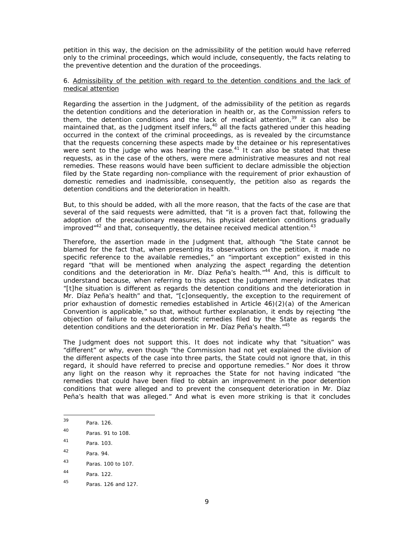petition in this way, the decision on the admissibility of the petition would have referred only to the criminal proceedings, which would include, consequently, the facts relating to the preventive detention and the duration of the proceedings.

#### 6. Admissibility of the petition with regard to the detention conditions and the lack of medical attention

Regarding the assertion in the Judgment, of the admissibility of the petition as regards the detention conditions and the deterioration in health or, as the Commission refers to them, the detention conditions and the lack of medical attention, $39$  it can also be maintained that, as the Judgment itself infers, $40$  all the facts gathered under this heading occurred in the context of the criminal proceedings, as is revealed by the circumstance that the requests concerning these aspects made by the detainee or his representatives were sent to the judge who was hearing the case. $41$  It can also be stated that these requests, as in the case of the others, were mere administrative measures and not real remedies. These reasons would have been sufficient to declare admissible the objection filed by the State regarding non-compliance with the requirement of prior exhaustion of domestic remedies and inadmissible, consequently, the petition also as regards the detention conditions and the deterioration in health.

But, to this should be added, with all the more reason, that the facts of the case are that several of the said requests were admitted, that "*it is a proven fact that, following the adoption of the precautionary measures, his physical detention conditions gradually*  improved<sup>"42</sup> and that, consequently, the detainee received medical attention.<sup>43</sup>

Therefore, the assertion made in the Judgment that, although "*the State cannot be blamed for the fact that, when presenting its observations on the petition, it made no specific reference to the available remedies*," an "*important exception*" existed in this regard "*that will be mentioned when analyzing the aspect regarding the detention conditions and the deterioration in Mr. Díaz Peña's health*."44 And, this is difficult to understand because, when referring to this aspect the Judgment merely indicates that *"[t]he situation is different as regards the detention conditions and the deterioration in Mr. Díaz Peña's health*" and that, *"[c]onsequently, the exception to the requirement of prior exhaustion of domestic remedies established in Article 46)(2)(a) of the American Convention is applicable*," so that, without further explanation, it ends by rejecting "*the objection of failure to exhaust domestic remedies filed by the State as regards the detention conditions and the deterioration in Mr. Díaz Peña's health."45*

The Judgment does not support this. It does not indicate why that "*situation*" was "*different*" or why, even though "*the Commission had not yet explained the division of the different aspects of the case into three parts, the State could not ignore that, in this regard, it should have referred to precise and opportune remedies."* Nor does it throw any light on the reason why it reproaches the State for not having indicated "*the remedies that could have been filed to obtain an improvement in the poor detention conditions that were alleged and to prevent the consequent deterioration in Mr. Díaz Peña's health that was alleged."* And what is even more striking is that it concludes

<sup>39</sup> Para. 126

<sup>40</sup> Paras. 91 to 108.

<sup>41</sup> Para. 103.

<sup>42</sup> Para. 94.

<sup>43</sup> Paras. 100 to 107.

<sup>44</sup> Para. 122.

<sup>45</sup> Paras. 126 and 127.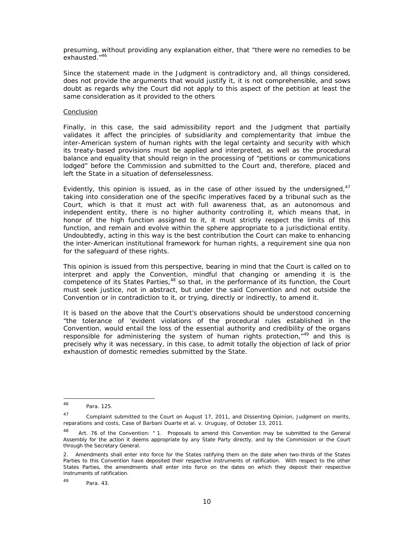presuming, without providing any explanation either, that "there were no remedies to be exhausted.*"46*

Since the statement made in the Judgment is contradictory and, all things considered, does not provide the arguments that would justify it, it is not comprehensible, and sows doubt as regards why the Court did not apply to this aspect of the petition at least the same consideration as it provided to the others

#### Conclusion

Finally, in this case, the said admissibility report and the Judgment that partially validates it affect the principles of subsidiarity and complementarity that imbue the inter-American system of human rights with the legal certainty and security with which its treaty-based provisions must be applied and interpreted, as well as the procedural balance and equality that should reign in the processing of "*petitions or communications lodged*" before the Commission and submitted to the Court and, therefore, placed and left the State in a situation of defenselessness.

Evidently, this opinion is issued, as in the case of other issued by the undersigned, $4^7$ taking into consideration one of the specific imperatives faced by a tribunal such as the Court, which is that it must act with full awareness that, as an autonomous and independent entity, there is no higher authority controlling it, which means that, in honor of the high function assigned to it, it must strictly respect the limits of this function, and remain and evolve within the sphere appropriate to a jurisdictional entity. Undoubtedly, acting in this way is the best contribution the Court can make to enhancing the inter-American institutional framework for human rights, a requirement *sine qua non* for the safeguard of these rights.

This opinion is issued from this perspective, bearing in mind that the Court is called on to interpret and apply the Convention, mindful that changing or amending it is the competence of its States Parties, $48$  so that, in the performance of its function, the Court must seek justice, not in abstract, but under the said Convention and not outside the Convention or in contradiction to it, or trying, directly or indirectly, to amend it.

It is based on the above that the Court's observations should be understood concerning "*the tolerance of 'evident violations of the procedural rules established in the Convention, would entail the loss of the essential authority and credibility of the organs*  responsible for administering the system of human rights protection,<sup>"49</sup> and this is precisely why it was necessary, in this case, to admit totally the objection of lack of prior exhaustion of domestic remedies submitted by the State.

<sup>46</sup> Para. 125.

 $47$  Complaint submitted to the Court on August 17, 2011, and Dissenting Opinion, Judgment on merits, reparations and costs, Case of Barbani Duarte *et al. v.* Uruguay, of October 13, 2011.

<sup>48</sup> Art. 76 of the Convention: *" 1. Proposals to amend this Convention may be submitted to the General Assembly for the action it deems appropriate by any State Party directly, and by the Commission or the Court through the Secretary General.* 

*<sup>2.</sup> Amendments shall enter into force for the States ratifying them on the date when two-thirds of the States*  Parties to this Convention have deposited their respective instruments of ratification. With respect to the other *States Parties, the amendments shall enter into force on the dates on which they deposit their respective instruments of ratification.* 

<sup>49</sup> Para. 43.